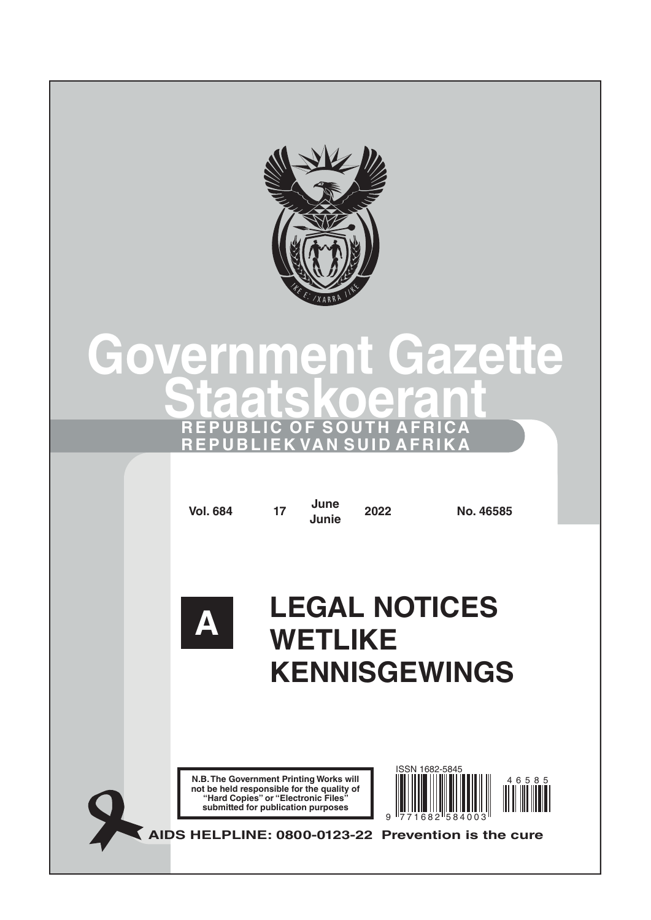

## **Government Gazette Staatskoerant REPUBLIC OF SOUTH AFRICA REPUBLIEK VAN SUID AFRIKA**

**Vol. 684 <sup>17</sup> June**

**Junie <sup>2022</sup> No. 46585**



# **LEGAL NOTICES WETLIKE KENNISGEWINGS**

**N.B. The Government Printing Works will not be held responsible for the quality of "Hard Copies" or "Electronic Files" submitted for publication purposes**



**AIDS HELPLINE: 0800-0123-22 Prevention is the cure**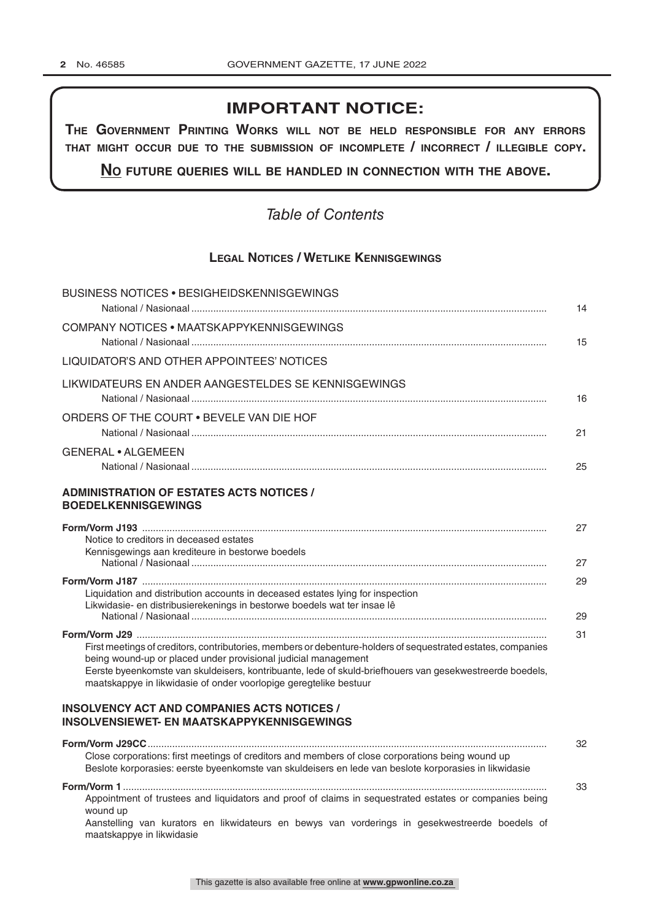## **IMPORTANT NOTICE:**

**The GovernmenT PrinTinG Works Will noT be held resPonsible for any errors ThaT miGhT occur due To The submission of incomPleTe / incorrecT / illeGible coPy.**

**no fuTure queries Will be handled in connecTion WiTh The above.**

## *Table of Contents*

## **Legal Notices / Wetlike Kennisgewings**

| <b>BUSINESS NOTICES • BESIGHEIDSKENNISGEWINGS</b>                                                                                                                                                                                                                                                                                                               |
|-----------------------------------------------------------------------------------------------------------------------------------------------------------------------------------------------------------------------------------------------------------------------------------------------------------------------------------------------------------------|
| COMPANY NOTICES . MAATSKAPPYKENNISGEWINGS                                                                                                                                                                                                                                                                                                                       |
| LIQUIDATOR'S AND OTHER APPOINTEES' NOTICES                                                                                                                                                                                                                                                                                                                      |
| LIKWIDATEURS EN ANDER AANGESTELDES SE KENNISGEWINGS                                                                                                                                                                                                                                                                                                             |
| ORDERS OF THE COURT . BEVELE VAN DIE HOF                                                                                                                                                                                                                                                                                                                        |
| <b>GENERAL • ALGEMEEN</b>                                                                                                                                                                                                                                                                                                                                       |
| <b>ADMINISTRATION OF ESTATES ACTS NOTICES /</b><br><b>BOEDELKENNISGEWINGS</b>                                                                                                                                                                                                                                                                                   |
| Notice to creditors in deceased estates<br>Kennisgewings aan krediteure in bestorwe boedels                                                                                                                                                                                                                                                                     |
| Liquidation and distribution accounts in deceased estates lying for inspection<br>Likwidasie- en distribusierekenings in bestorwe boedels wat ter insae lê                                                                                                                                                                                                      |
|                                                                                                                                                                                                                                                                                                                                                                 |
| First meetings of creditors, contributories, members or debenture-holders of sequestrated estates, companies<br>being wound-up or placed under provisional judicial management<br>Eerste byeenkomste van skuldeisers, kontribuante, lede of skuld-briefhouers van gesekwestreerde boedels,<br>maatskappye in likwidasie of onder voorlopige geregtelike bestuur |
| <b>INSOLVENCY ACT AND COMPANIES ACTS NOTICES /</b><br><b>INSOLVENSIEWET- EN MAATSKAPPYKENNISGEWINGS</b>                                                                                                                                                                                                                                                         |
| Close corporations: first meetings of creditors and members of close corporations being wound up<br>Beslote korporasies: eerste byeenkomste van skuldeisers en lede van beslote korporasies in likwidasie                                                                                                                                                       |
| Appointment of trustees and liquidators and proof of claims in sequestrated estates or companies being<br>wound up<br>Aanstelling van kurators en likwidateurs en bewys van vorderings in gesekwestreerde boedels of<br>maatskappye in likwidasie                                                                                                               |

This gazette is also available free online at **www.gpwonline.co.za**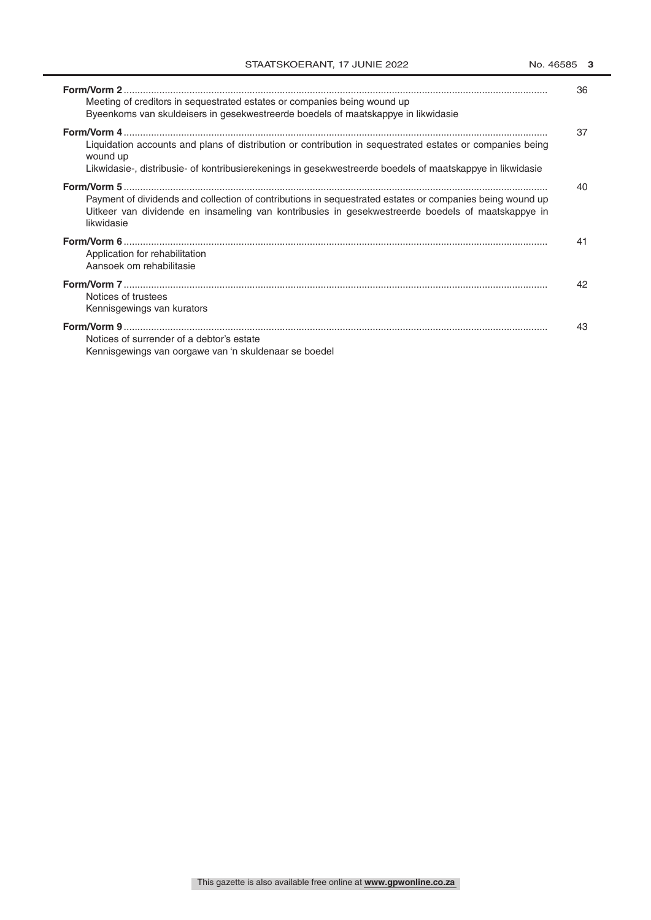| Meeting of creditors in sequestrated estates or companies being wound up<br>Byeenkoms van skuldeisers in gesekwestreerde boedels of maatskappye in likwidasie                                                                      | 36 |
|------------------------------------------------------------------------------------------------------------------------------------------------------------------------------------------------------------------------------------|----|
| Liquidation accounts and plans of distribution or contribution in sequestrated estates or companies being<br>wound up<br>Likwidasie-, distribusie- of kontribusierekenings in gesekwestreerde boedels of maatskappye in likwidasie | 37 |
| Payment of dividends and collection of contributions in sequestrated estates or companies being wound up<br>Uitkeer van dividende en insameling van kontribusies in gesekwestreerde boedels of maatskappye in<br>likwidasie        | 40 |
| Application for rehabilitation<br>Aansoek om rehabilitasie                                                                                                                                                                         | 41 |
| Notices of trustees<br>Kennisgewings van kurators                                                                                                                                                                                  | 42 |
| Notices of surrender of a debtor's estate<br>Kennisgewings van oorgawe van 'n skuldenaar se boedel                                                                                                                                 | 43 |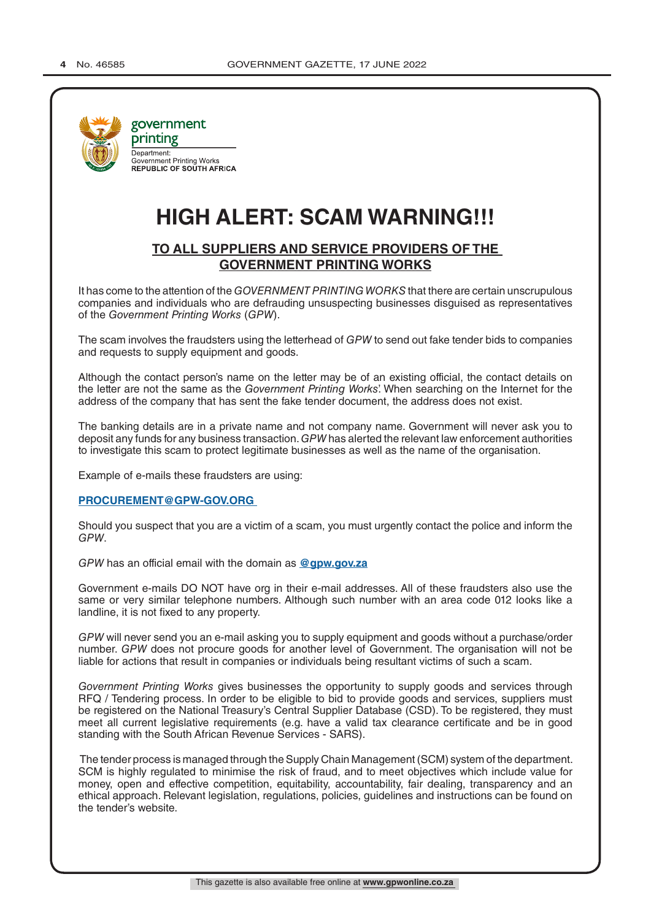

## **HIGH ALERT: SCAM WARNING!!!**

## **TO ALL SUPPLIERS AND SERVICE PROVIDERS OF THE GOVERNMENT PRINTING WORKS**

It has come to the attention of the *GOVERNMENT PRINTING WORKS* that there are certain unscrupulous companies and individuals who are defrauding unsuspecting businesses disguised as representatives of the *Government Printing Works* (*GPW*).

The scam involves the fraudsters using the letterhead of *GPW* to send out fake tender bids to companies and requests to supply equipment and goods.

Although the contact person's name on the letter may be of an existing official, the contact details on the letter are not the same as the *Government Printing Works*'. When searching on the Internet for the address of the company that has sent the fake tender document, the address does not exist.

The banking details are in a private name and not company name. Government will never ask you to deposit any funds for any business transaction. *GPW* has alerted the relevant law enforcement authorities to investigate this scam to protect legitimate businesses as well as the name of the organisation.

Example of e-mails these fraudsters are using:

#### **PROCUREMENT@GPW-GOV.ORG**

Should you suspect that you are a victim of a scam, you must urgently contact the police and inform the *GPW*.

*GPW* has an official email with the domain as **@gpw.gov.za**

Government e-mails DO NOT have org in their e-mail addresses. All of these fraudsters also use the same or very similar telephone numbers. Although such number with an area code 012 looks like a landline, it is not fixed to any property.

*GPW* will never send you an e-mail asking you to supply equipment and goods without a purchase/order number. *GPW* does not procure goods for another level of Government. The organisation will not be liable for actions that result in companies or individuals being resultant victims of such a scam.

*Government Printing Works* gives businesses the opportunity to supply goods and services through RFQ / Tendering process. In order to be eligible to bid to provide goods and services, suppliers must be registered on the National Treasury's Central Supplier Database (CSD). To be registered, they must meet all current legislative requirements (e.g. have a valid tax clearance certificate and be in good standing with the South African Revenue Services - SARS).

 The tender process is managed through the Supply Chain Management (SCM) system of the department. SCM is highly regulated to minimise the risk of fraud, and to meet objectives which include value for money, open and effective competition, equitability, accountability, fair dealing, transparency and an ethical approach. Relevant legislation, regulations, policies, guidelines and instructions can be found on the tender's website.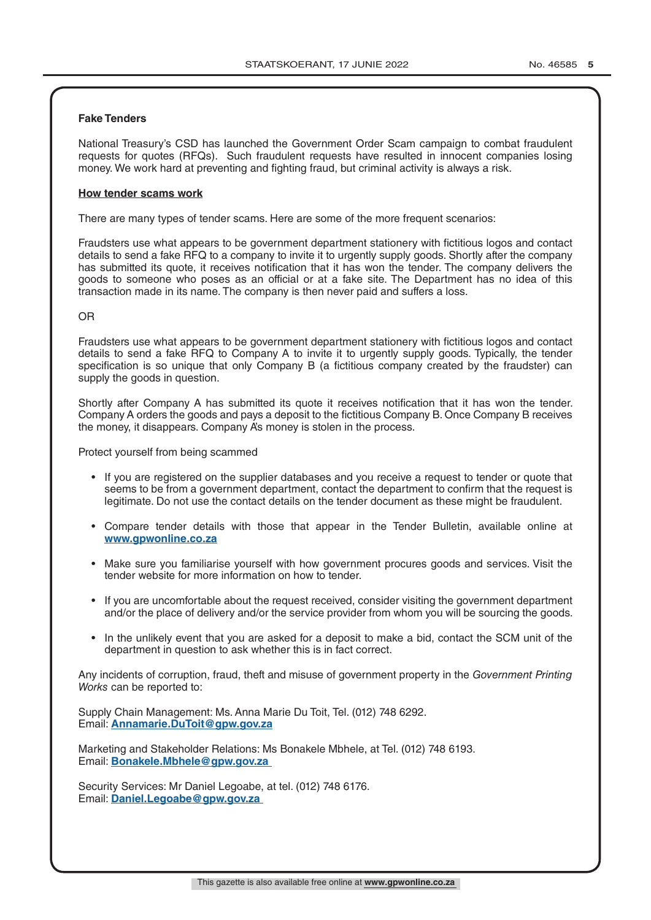#### **Fake Tenders**

National Treasury's CSD has launched the Government Order Scam campaign to combat fraudulent requests for quotes (RFQs). Such fraudulent requests have resulted in innocent companies losing money. We work hard at preventing and fighting fraud, but criminal activity is always a risk.

#### **How tender scams work**

There are many types of tender scams. Here are some of the more frequent scenarios:

Fraudsters use what appears to be government department stationery with fictitious logos and contact details to send a fake RFQ to a company to invite it to urgently supply goods. Shortly after the company has submitted its quote, it receives notification that it has won the tender. The company delivers the goods to someone who poses as an official or at a fake site. The Department has no idea of this transaction made in its name. The company is then never paid and suffers a loss.

#### OR

Fraudsters use what appears to be government department stationery with fictitious logos and contact details to send a fake RFQ to Company A to invite it to urgently supply goods. Typically, the tender specification is so unique that only Company B (a fictitious company created by the fraudster) can supply the goods in question.

Shortly after Company A has submitted its quote it receives notification that it has won the tender. Company A orders the goods and pays a deposit to the fictitious Company B. Once Company B receives the money, it disappears. Company A's money is stolen in the process.

Protect yourself from being scammed

- If you are registered on the supplier databases and you receive a request to tender or quote that seems to be from a government department, contact the department to confirm that the request is legitimate. Do not use the contact details on the tender document as these might be fraudulent.
- Compare tender details with those that appear in the Tender Bulletin, available online at **www.gpwonline.co.za**
- Make sure you familiarise yourself with how government procures goods and services. Visit the tender website for more information on how to tender.
- If you are uncomfortable about the request received, consider visiting the government department and/or the place of delivery and/or the service provider from whom you will be sourcing the goods.
- In the unlikely event that you are asked for a deposit to make a bid, contact the SCM unit of the department in question to ask whether this is in fact correct.

Any incidents of corruption, fraud, theft and misuse of government property in the *Government Printing Works* can be reported to:

Supply Chain Management: Ms. Anna Marie Du Toit, Tel. (012) 748 6292. Email: **Annamarie.DuToit@gpw.gov.za**

Marketing and Stakeholder Relations: Ms Bonakele Mbhele, at Tel. (012) 748 6193. Email: **Bonakele.Mbhele@gpw.gov.za** 

Security Services: Mr Daniel Legoabe, at tel. (012) 748 6176. Email: **Daniel.Legoabe@gpw.gov.za**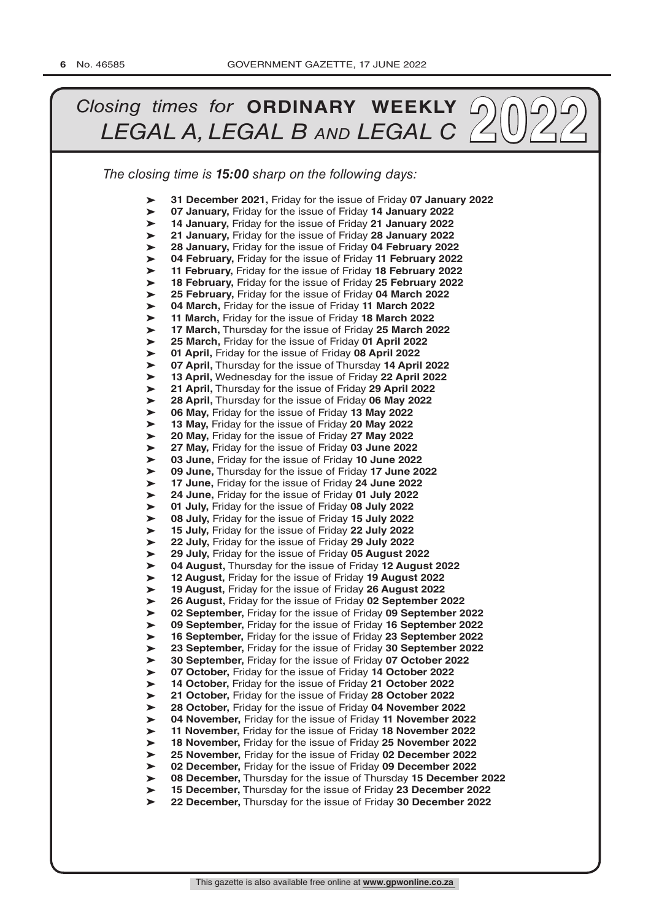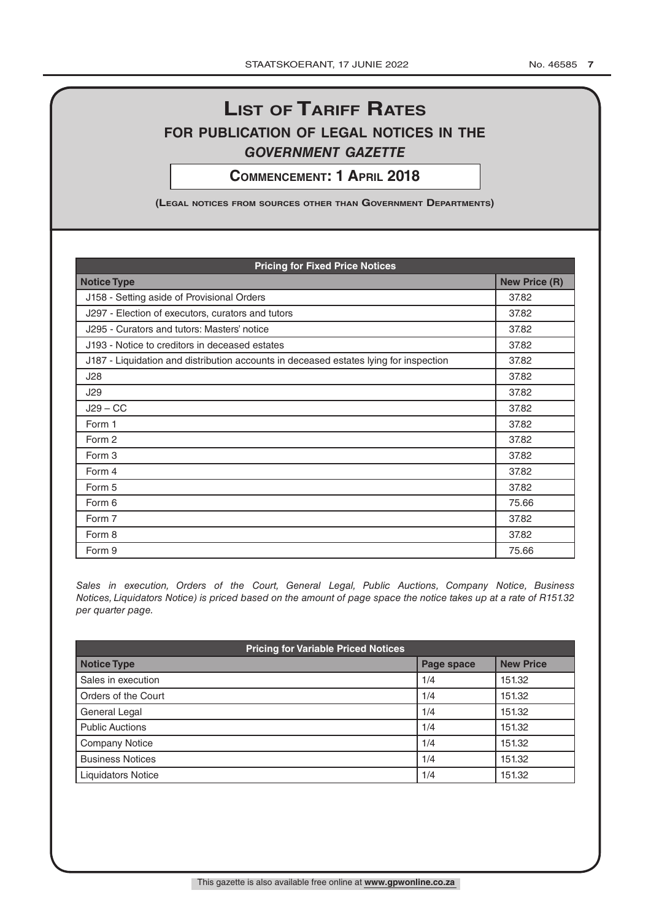## **List of tariff rates for pubLication of LegaL notices in the** *government gazette*

**commencement: 1 apriL 2018**

**(LegaL notices from sources other than government Departments)**

| <b>Pricing for Fixed Price Notices</b>                                                |       |  |  |
|---------------------------------------------------------------------------------------|-------|--|--|
| <b>Notice Type</b>                                                                    |       |  |  |
| J158 - Setting aside of Provisional Orders                                            | 37.82 |  |  |
| J297 - Election of executors, curators and tutors                                     | 37.82 |  |  |
| J295 - Curators and tutors: Masters' notice                                           | 37.82 |  |  |
| J193 - Notice to creditors in deceased estates                                        | 37.82 |  |  |
| J187 - Liquidation and distribution accounts in deceased estates lying for inspection | 37.82 |  |  |
| J28                                                                                   | 37.82 |  |  |
| J29                                                                                   | 37.82 |  |  |
| $J29 - CC$                                                                            | 37.82 |  |  |
| Form 1                                                                                | 37.82 |  |  |
| Form 2                                                                                | 37.82 |  |  |
| Form 3                                                                                | 37.82 |  |  |
| Form 4                                                                                | 37.82 |  |  |
| Form 5                                                                                | 37.82 |  |  |
| Form 6                                                                                | 75.66 |  |  |
| Form 7                                                                                | 37.82 |  |  |
| Form 8                                                                                | 37.82 |  |  |
| Form 9                                                                                | 75.66 |  |  |

*Sales in execution, Orders of the Court, General Legal, Public Auctions, Company Notice, Business Notices, Liquidators Notice) is priced based on the amount of page space the notice takes up at a rate of R151.32 per quarter page.*

| <b>Pricing for Variable Priced Notices</b> |            |                  |  |
|--------------------------------------------|------------|------------------|--|
| <b>Notice Type</b>                         | Page space | <b>New Price</b> |  |
| Sales in execution                         | 1/4        | 151.32           |  |
| Orders of the Court                        | 1/4        | 151.32           |  |
| General Legal                              | 1/4        | 151.32           |  |
| <b>Public Auctions</b>                     | 1/4        | 151.32           |  |
| <b>Company Notice</b>                      | 1/4        | 151.32           |  |
| <b>Business Notices</b>                    | 1/4        | 151.32           |  |
| <b>Liquidators Notice</b>                  | 1/4        | 151.32           |  |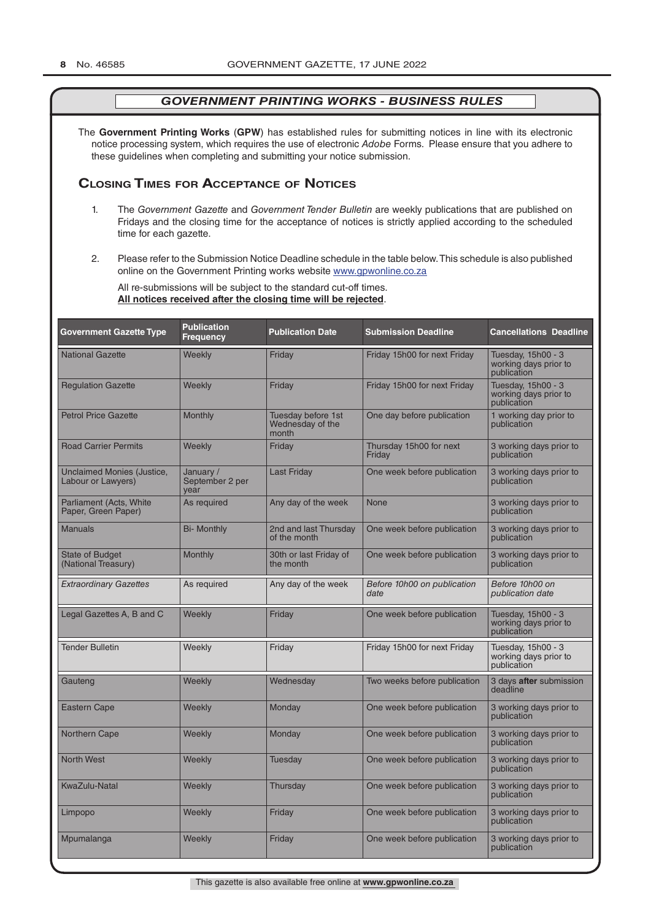The **Government Printing Works** (**GPW**) has established rules for submitting notices in line with its electronic notice processing system, which requires the use of electronic *Adobe* Forms. Please ensure that you adhere to these guidelines when completing and submitting your notice submission.

### **Closing Times for ACCepTAnCe of noTiCes**

- 1. The *Government Gazette* and *Government Tender Bulletin* are weekly publications that are published on Fridays and the closing time for the acceptance of notices is strictly applied according to the scheduled time for each gazette.
- 2. Please refer to the Submission Notice Deadline schedule in the table below. This schedule is also published online on the Government Printing works website www.gpwonline.co.za

All re-submissions will be subject to the standard cut-off times. **All notices received after the closing time will be rejected**.

| <b>Government Gazette Type</b>                   | <b>Publication</b><br><b>Frequency</b> | <b>Publication Date</b>                         | <b>Submission Deadline</b>          | <b>Cancellations Deadline</b>                              |
|--------------------------------------------------|----------------------------------------|-------------------------------------------------|-------------------------------------|------------------------------------------------------------|
| <b>National Gazette</b>                          | Weekly                                 | Friday                                          | Friday 15h00 for next Friday        | Tuesday, 15h00 - 3<br>working days prior to<br>publication |
| <b>Regulation Gazette</b>                        | Weekly                                 | Friday                                          | Friday 15h00 for next Friday        | Tuesday, 15h00 - 3<br>working days prior to<br>publication |
| <b>Petrol Price Gazette</b>                      | Monthly                                | Tuesday before 1st<br>Wednesday of the<br>month | One day before publication          | 1 working day prior to<br>publication                      |
| <b>Road Carrier Permits</b>                      | Weekly                                 | Friday                                          | Thursday 15h00 for next<br>Friday   | 3 working days prior to<br>publication                     |
| Unclaimed Monies (Justice,<br>Labour or Lawyers) | January /<br>September 2 per<br>vear   | <b>Last Friday</b>                              | One week before publication         | 3 working days prior to<br>publication                     |
| Parliament (Acts, White<br>Paper, Green Paper)   | As required                            | Any day of the week                             | None                                | 3 working days prior to<br>publication                     |
| <b>Manuals</b>                                   | <b>Bi- Monthly</b>                     | 2nd and last Thursday<br>of the month           | One week before publication         | 3 working days prior to<br>publication                     |
| <b>State of Budget</b><br>(National Treasury)    | <b>Monthly</b>                         | 30th or last Friday of<br>the month             | One week before publication         | 3 working days prior to<br>publication                     |
| <b>Extraordinary Gazettes</b>                    | As required                            | Any day of the week                             | Before 10h00 on publication<br>date | Before 10h00 on<br>publication date                        |
| Legal Gazettes A, B and C                        | Weekly                                 | Friday                                          | One week before publication         | Tuesday, 15h00 - 3<br>working days prior to<br>publication |
| <b>Tender Bulletin</b>                           | Weekly                                 | Friday                                          | Friday 15h00 for next Friday        | Tuesday, 15h00 - 3<br>working days prior to<br>publication |
| Gauteng                                          | Weekly                                 | Wednesday                                       | Two weeks before publication        | 3 days after submission<br>deadline                        |
| <b>Eastern Cape</b>                              | Weekly                                 | Monday                                          | One week before publication         | 3 working days prior to<br>publication                     |
| <b>Northern Cape</b>                             | Weekly                                 | Monday                                          | One week before publication         | 3 working days prior to<br>publication                     |
| <b>North West</b>                                | Weekly                                 | Tuesday                                         | One week before publication         | 3 working days prior to<br>publication                     |
| KwaZulu-Natal                                    | Weekly                                 | Thursday                                        | One week before publication         | 3 working days prior to<br>publication                     |
| Limpopo                                          | Weekly                                 | Friday                                          | One week before publication         | 3 working days prior to<br>publication                     |
| Mpumalanga                                       | Weekly                                 | Friday                                          | One week before publication         | 3 working days prior to<br>publication                     |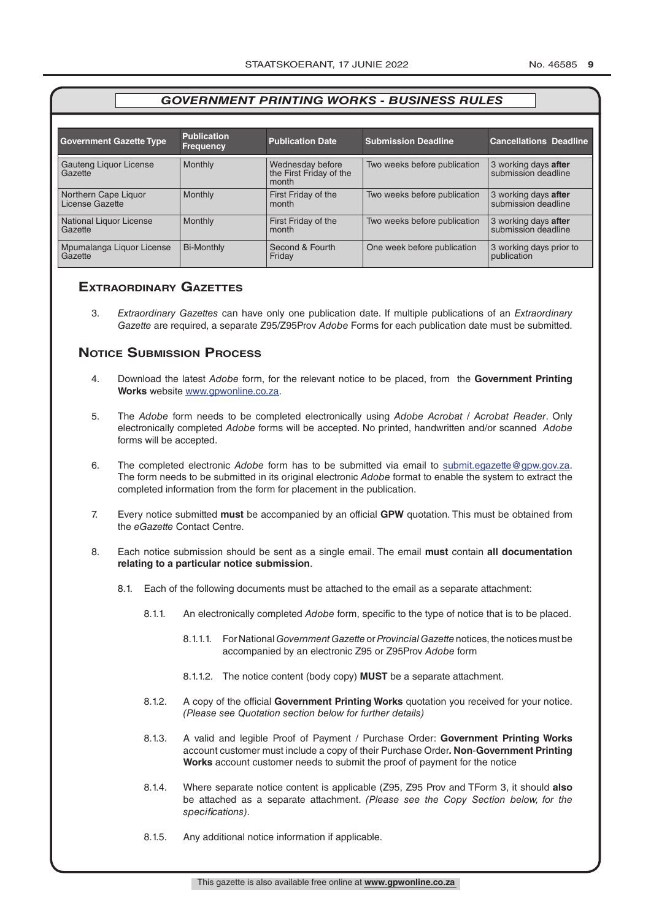| <b>Government Gazette Type</b>          | <b>Publication</b><br><b>Frequency</b> | <b>Publication Date</b>                              | <b>Submission Deadline</b>   | <b>Cancellations Deadline</b>               |
|-----------------------------------------|----------------------------------------|------------------------------------------------------|------------------------------|---------------------------------------------|
| Gauteng Liquor License<br>Gazette       | Monthly                                | Wednesday before<br>the First Friday of the<br>month | Two weeks before publication | 3 working days after<br>submission deadline |
| Northern Cape Liquor<br>License Gazette | Monthly                                | First Friday of the<br>month                         | Two weeks before publication | 3 working days after<br>submission deadline |
| National Liquor License<br>Gazette      | Monthly                                | First Friday of the<br>month                         | Two weeks before publication | 3 working days after<br>submission deadline |
| Mpumalanga Liquor License<br>Gazette    | <b>Bi-Monthly</b>                      | Second & Fourth<br>Friday                            | One week before publication  | 3 working days prior to<br>publication      |

## **exTrAordinAry gAzeTTes**

3. *Extraordinary Gazettes* can have only one publication date. If multiple publications of an *Extraordinary Gazette* are required, a separate Z95/Z95Prov *Adobe* Forms for each publication date must be submitted.

## **NOTICE SUBMISSION PROCESS**

- 4. Download the latest *Adobe* form, for the relevant notice to be placed, from the **Government Printing Works** website www.gpwonline.co.za.
- 5. The *Adobe* form needs to be completed electronically using *Adobe Acrobat* / *Acrobat Reader*. Only electronically completed *Adobe* forms will be accepted. No printed, handwritten and/or scanned *Adobe* forms will be accepted.
- 6. The completed electronic *Adobe* form has to be submitted via email to submit.egazette@gpw.gov.za. The form needs to be submitted in its original electronic *Adobe* format to enable the system to extract the completed information from the form for placement in the publication.
- 7. Every notice submitted **must** be accompanied by an official **GPW** quotation. This must be obtained from the *eGazette* Contact Centre.
- 8. Each notice submission should be sent as a single email. The email **must** contain **all documentation relating to a particular notice submission**.
	- 8.1. Each of the following documents must be attached to the email as a separate attachment:
		- 8.1.1. An electronically completed *Adobe* form, specific to the type of notice that is to be placed.
			- 8.1.1.1. For National *Government Gazette* or *Provincial Gazette* notices, the notices must be accompanied by an electronic Z95 or Z95Prov *Adobe* form
			- 8.1.1.2. The notice content (body copy) **MUST** be a separate attachment.
		- 8.1.2. A copy of the official **Government Printing Works** quotation you received for your notice. *(Please see Quotation section below for further details)*
		- 8.1.3. A valid and legible Proof of Payment / Purchase Order: **Government Printing Works** account customer must include a copy of their Purchase Order*.* **Non**-**Government Printing Works** account customer needs to submit the proof of payment for the notice
		- 8.1.4. Where separate notice content is applicable (Z95, Z95 Prov and TForm 3, it should **also** be attached as a separate attachment. *(Please see the Copy Section below, for the specifications)*.
		- 8.1.5. Any additional notice information if applicable.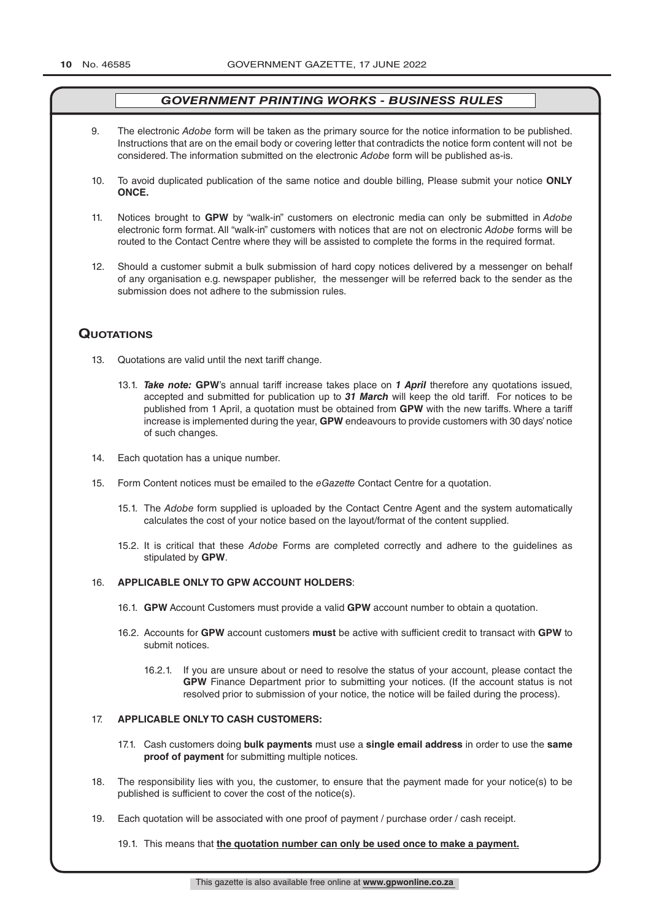- 9. The electronic *Adobe* form will be taken as the primary source for the notice information to be published. Instructions that are on the email body or covering letter that contradicts the notice form content will not be considered. The information submitted on the electronic *Adobe* form will be published as-is.
- 10. To avoid duplicated publication of the same notice and double billing, Please submit your notice **ONLY ONCE.**
- 11. Notices brought to **GPW** by "walk-in" customers on electronic media can only be submitted in *Adobe* electronic form format. All "walk-in" customers with notices that are not on electronic *Adobe* forms will be routed to the Contact Centre where they will be assisted to complete the forms in the required format.
- 12. Should a customer submit a bulk submission of hard copy notices delivered by a messenger on behalf of any organisation e.g. newspaper publisher, the messenger will be referred back to the sender as the submission does not adhere to the submission rules.

## **QuoTATions**

- 13. Quotations are valid until the next tariff change.
	- 13.1. *Take note:* **GPW**'s annual tariff increase takes place on *1 April* therefore any quotations issued, accepted and submitted for publication up to *31 March* will keep the old tariff. For notices to be published from 1 April, a quotation must be obtained from **GPW** with the new tariffs. Where a tariff increase is implemented during the year, **GPW** endeavours to provide customers with 30 days' notice of such changes.
- 14. Each quotation has a unique number.
- 15. Form Content notices must be emailed to the *eGazette* Contact Centre for a quotation.
	- 15.1. The *Adobe* form supplied is uploaded by the Contact Centre Agent and the system automatically calculates the cost of your notice based on the layout/format of the content supplied.
	- 15.2. It is critical that these *Adobe* Forms are completed correctly and adhere to the guidelines as stipulated by **GPW**.

#### 16. **APPLICABLE ONLY TO GPW ACCOUNT HOLDERS**:

- 16.1. **GPW** Account Customers must provide a valid **GPW** account number to obtain a quotation.
- 16.2. Accounts for **GPW** account customers **must** be active with sufficient credit to transact with **GPW** to submit notices.
	- 16.2.1. If you are unsure about or need to resolve the status of your account, please contact the **GPW** Finance Department prior to submitting your notices. (If the account status is not resolved prior to submission of your notice, the notice will be failed during the process).

#### 17. **APPLICABLE ONLY TO CASH CUSTOMERS:**

- 17.1. Cash customers doing **bulk payments** must use a **single email address** in order to use the **same proof of payment** for submitting multiple notices.
- 18. The responsibility lies with you, the customer, to ensure that the payment made for your notice(s) to be published is sufficient to cover the cost of the notice(s).
- 19. Each quotation will be associated with one proof of payment / purchase order / cash receipt.

#### 19.1. This means that **the quotation number can only be used once to make a payment.**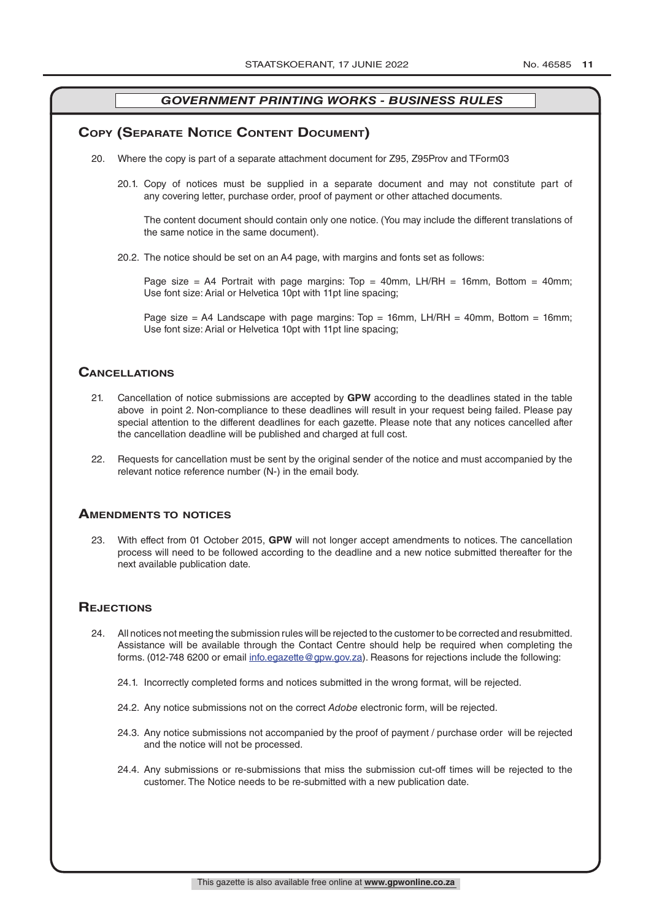### **COPY (SEPARATE NOTICE CONTENT DOCUMENT)**

- 20. Where the copy is part of a separate attachment document for Z95, Z95Prov and TForm03
	- 20.1. Copy of notices must be supplied in a separate document and may not constitute part of any covering letter, purchase order, proof of payment or other attached documents.

The content document should contain only one notice. (You may include the different translations of the same notice in the same document).

20.2. The notice should be set on an A4 page, with margins and fonts set as follows:

Page size = A4 Portrait with page margins: Top = 40mm, LH/RH = 16mm, Bottom = 40mm; Use font size: Arial or Helvetica 10pt with 11pt line spacing;

Page size = A4 Landscape with page margins:  $Top = 16mm$ , LH/RH = 40mm, Bottom = 16mm; Use font size: Arial or Helvetica 10pt with 11pt line spacing;

### **CAnCellATions**

- 21. Cancellation of notice submissions are accepted by **GPW** according to the deadlines stated in the table above in point 2. Non-compliance to these deadlines will result in your request being failed. Please pay special attention to the different deadlines for each gazette. Please note that any notices cancelled after the cancellation deadline will be published and charged at full cost.
- 22. Requests for cancellation must be sent by the original sender of the notice and must accompanied by the relevant notice reference number (N-) in the email body.

#### **AmendmenTs To noTiCes**

23. With effect from 01 October 2015, **GPW** will not longer accept amendments to notices. The cancellation process will need to be followed according to the deadline and a new notice submitted thereafter for the next available publication date.

### **REJECTIONS**

- 24. All notices not meeting the submission rules will be rejected to the customer to be corrected and resubmitted. Assistance will be available through the Contact Centre should help be required when completing the forms. (012-748 6200 or email info.egazette@gpw.gov.za). Reasons for rejections include the following:
	- 24.1. Incorrectly completed forms and notices submitted in the wrong format, will be rejected.
	- 24.2. Any notice submissions not on the correct *Adobe* electronic form, will be rejected.
	- 24.3. Any notice submissions not accompanied by the proof of payment / purchase order will be rejected and the notice will not be processed.
	- 24.4. Any submissions or re-submissions that miss the submission cut-off times will be rejected to the customer. The Notice needs to be re-submitted with a new publication date.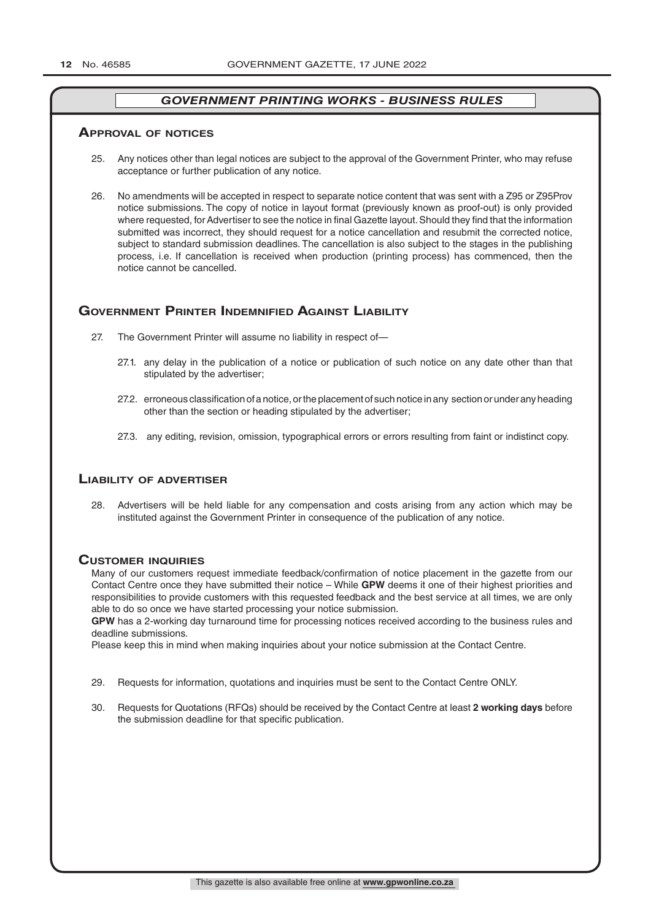#### **ApprovAl of noTiCes**

- 25. Any notices other than legal notices are subject to the approval of the Government Printer, who may refuse acceptance or further publication of any notice.
- 26. No amendments will be accepted in respect to separate notice content that was sent with a Z95 or Z95Prov notice submissions. The copy of notice in layout format (previously known as proof-out) is only provided where requested, for Advertiser to see the notice in final Gazette layout. Should they find that the information submitted was incorrect, they should request for a notice cancellation and resubmit the corrected notice, subject to standard submission deadlines. The cancellation is also subject to the stages in the publishing process, i.e. If cancellation is received when production (printing process) has commenced, then the notice cannot be cancelled.

#### **governmenT prinTer indemnified AgAinsT liAbiliTy**

- 27. The Government Printer will assume no liability in respect of—
	- 27.1. any delay in the publication of a notice or publication of such notice on any date other than that stipulated by the advertiser;
	- 27.2. erroneous classification of a notice, or the placement of such notice in any section or under any heading other than the section or heading stipulated by the advertiser;
	- 27.3. any editing, revision, omission, typographical errors or errors resulting from faint or indistinct copy.

#### **liAbiliTy of AdverTiser**

28. Advertisers will be held liable for any compensation and costs arising from any action which may be instituted against the Government Printer in consequence of the publication of any notice.

#### **CusTomer inQuiries**

Many of our customers request immediate feedback/confirmation of notice placement in the gazette from our Contact Centre once they have submitted their notice – While **GPW** deems it one of their highest priorities and responsibilities to provide customers with this requested feedback and the best service at all times, we are only able to do so once we have started processing your notice submission.

**GPW** has a 2-working day turnaround time for processing notices received according to the business rules and deadline submissions.

Please keep this in mind when making inquiries about your notice submission at the Contact Centre.

- 29. Requests for information, quotations and inquiries must be sent to the Contact Centre ONLY.
- 30. Requests for Quotations (RFQs) should be received by the Contact Centre at least **2 working days** before the submission deadline for that specific publication.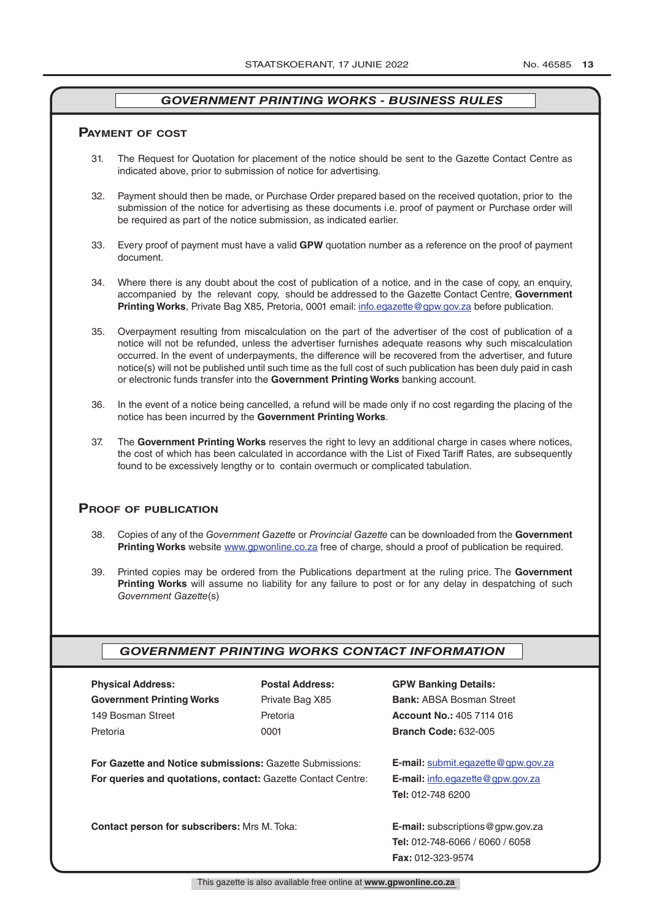#### **pAymenT of CosT**

- 31. The Request for Quotation for placement of the notice should be sent to the Gazette Contact Centre as indicated above, prior to submission of notice for advertising.
- 32. Payment should then be made, or Purchase Order prepared based on the received quotation, prior to the submission of the notice for advertising as these documents i.e. proof of payment or Purchase order will be required as part of the notice submission, as indicated earlier.
- 33. Every proof of payment must have a valid **GPW** quotation number as a reference on the proof of payment document.
- 34. Where there is any doubt about the cost of publication of a notice, and in the case of copy, an enquiry, accompanied by the relevant copy, should be addressed to the Gazette Contact Centre, **Government Printing Works**, Private Bag X85, Pretoria, 0001 email: info.egazette@gpw.gov.za before publication.
- 35. Overpayment resulting from miscalculation on the part of the advertiser of the cost of publication of a notice will not be refunded, unless the advertiser furnishes adequate reasons why such miscalculation occurred. In the event of underpayments, the difference will be recovered from the advertiser, and future notice(s) will not be published until such time as the full cost of such publication has been duly paid in cash or electronic funds transfer into the **Government Printing Works** banking account.
- 36. In the event of a notice being cancelled, a refund will be made only if no cost regarding the placing of the notice has been incurred by the **Government Printing Works**.
- 37. The **Government Printing Works** reserves the right to levy an additional charge in cases where notices, the cost of which has been calculated in accordance with the List of Fixed Tariff Rates, are subsequently found to be excessively lengthy or to contain overmuch or complicated tabulation.

### **proof of publiCATion**

- 38. Copies of any of the *Government Gazette* or *Provincial Gazette* can be downloaded from the **Government Printing Works** website www.gpwonline.co.za free of charge, should a proof of publication be required.
- 39. Printed copies may be ordered from the Publications department at the ruling price. The **Government Printing Works** will assume no liability for any failure to post or for any delay in despatching of such *Government Gazette*(s)

#### *GOVERNMENT PRINTING WORKS CONTACT INFORMATION*

| <b>Physical Address:</b>                                                                                                        | <b>Postal Address:</b>                               | <b>GPW Ban</b>    |
|---------------------------------------------------------------------------------------------------------------------------------|------------------------------------------------------|-------------------|
| <b>Government Printing Works</b>                                                                                                | Private Bag X85                                      | <b>Bank: AB</b>   |
| 149 Bosman Street                                                                                                               | Pretoria                                             | Account I         |
| Pretoria                                                                                                                        | 0001                                                 | <b>Branch C</b>   |
| <b>For Gazette and Notice submissions: Gazette Submissions:</b><br>For queries and quotations, contact: Gazette Contact Centre: | <b>E-mail: SL</b><br>E-mail: in<br><b>Tel: 012-7</b> |                   |
| <b>Contact person for subscribers:</b> Mrs M. Toka:                                                                             |                                                      | <b>E-mail: su</b> |

## **Physical Details:**

**SA Bosman Street** 149 Bosman Street Pretoria **Account No.:** 405 7114 016 Pretoria 0001 **Branch Code:** 632-005

**For Gazette and Notice submissions:** Gazette Submissions: **E-mail:** submit.egazette@gpw.gov.za fo. egazette@gpw.gov.za **Tel:** 012-748 6200

**Contact person for subscribers:** Mrs M. Toka: **E-mail:** subscriptions@gpw.gov.za **Tel:** 012-748-6066 / 6060 / 6058 **Fax:** 012-323-9574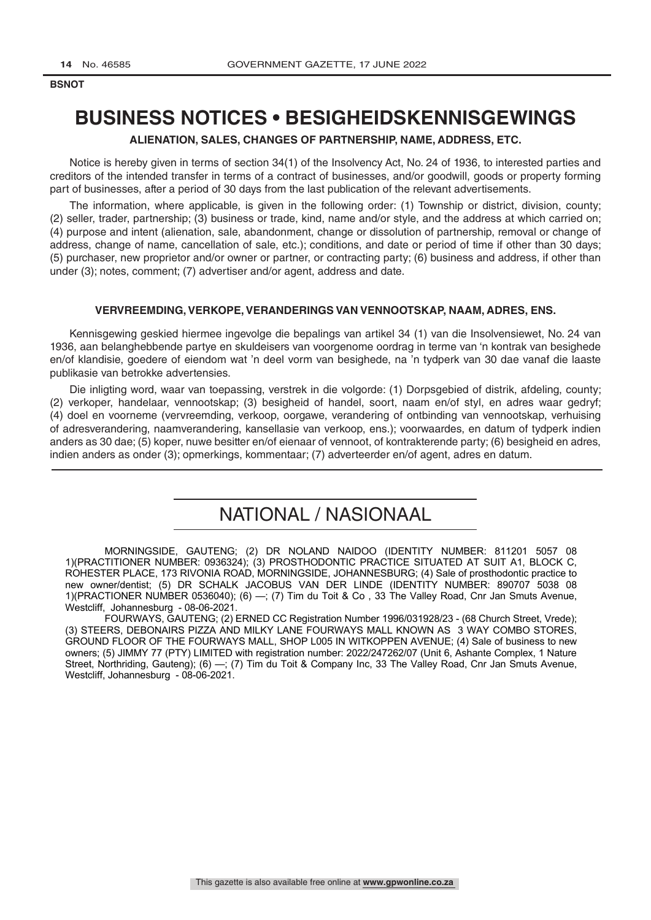**BSNOT LEGAL NOTICES** *LEGAL NOTICES**LEGAL NOTICES* **<b>***LEGAL NOTICES* 

## **BUSINESS NOTICES • BESIGHEIDSKENNISGEWINGS**

### **ALIENATION, SALES, CHANGES OF PARTNERSHIP, NAME, ADDRESS, ETC.**

Notice is hereby given in terms of section 34(1) of the Insolvency Act, No. 24 of 1936, to interested parties and creditors of the intended transfer in terms of a contract of businesses, and/or goodwill, goods or property forming part of businesses, after a period of 30 days from the last publication of the relevant advertisements.

The information, where applicable, is given in the following order: (1) Township or district, division, county; (2) seller, trader, partnership; (3) business or trade, kind, name and/or style, and the address at which carried on; (4) purpose and intent (alienation, sale, abandonment, change or dissolution of partnership, removal or change of address, change of name, cancellation of sale, etc.); conditions, and date or period of time if other than 30 days; (5) purchaser, new proprietor and/or owner or partner, or contracting party; (6) business and address, if other than under (3); notes, comment; (7) advertiser and/or agent, address and date.

#### **VERVREEMDING, VERKOPE, VERANDERINGS VAN VENNOOTSKAP, NAAM, ADRES, ENS.**

Kennisgewing geskied hiermee ingevolge die bepalings van artikel 34 (1) van die Insolvensiewet, No. 24 van 1936, aan belanghebbende partye en skuldeisers van voorgenome oordrag in terme van 'n kontrak van besighede en/of klandisie, goedere of eiendom wat 'n deel vorm van besighede, na 'n tydperk van 30 dae vanaf die laaste publikasie van betrokke advertensies.

Die inligting word, waar van toepassing, verstrek in die volgorde: (1) Dorpsgebied of distrik, afdeling, county; (2) verkoper, handelaar, vennootskap; (3) besigheid of handel, soort, naam en/of styl, en adres waar gedryf; (4) doel en voorneme (vervreemding, verkoop, oorgawe, verandering of ontbinding van vennootskap, verhuising of adresverandering, naamverandering, kansellasie van verkoop, ens.); voorwaardes, en datum of tydperk indien anders as 30 dae; (5) koper, nuwe besitter en/of eienaar of vennoot, of kontrakterende party; (6) besigheid en adres, indien anders as onder (3); opmerkings, kommentaar; (7) adverteerder en/of agent, adres en datum.

## NATIONAL / NASIONAAL

MORNINGSIDE, GAUTENG; (2) DR NOLAND NAIDOO (IDENTITY NUMBER: 811201 5057 08 1)(PRACTITIONER NUMBER: 0936324); (3) PROSTHODONTIC PRACTICE SITUATED AT SUIT A1, BLOCK C, ROHESTER PLACE, 173 RIVONIA ROAD, MORNINGSIDE, JOHANNESBURG; (4) Sale of prosthodontic practice to new owner/dentist; (5) DR SCHALK JACOBUS VAN DER LINDE (IDENTITY NUMBER: 890707 5038 08 1)(PRACTIONER NUMBER 0536040); (6) —; (7) Tim du Toit & Co , 33 The Valley Road, Cnr Jan Smuts Avenue, Westcliff, Johannesburg - 08-06-2021.

FOURWAYS, GAUTENG; (2) ERNED CC Registration Number 1996/031928/23 - (68 Church Street, Vrede); (3) STEERS, DEBONAIRS PIZZA AND MILKY LANE FOURWAYS MALL KNOWN AS 3 WAY COMBO STORES, GROUND FLOOR OF THE FOURWAYS MALL, SHOP L005 IN WITKOPPEN AVENUE; (4) Sale of business to new owners; (5) JIMMY 77 (PTY) LIMITED with registration number: 2022/247262/07 (Unit 6, Ashante Complex, 1 Nature Street, Northriding, Gauteng); (6) —; (7) Tim du Toit & Company Inc, 33 The Valley Road, Cnr Jan Smuts Avenue, Westcliff, Johannesburg - 08-06-2021.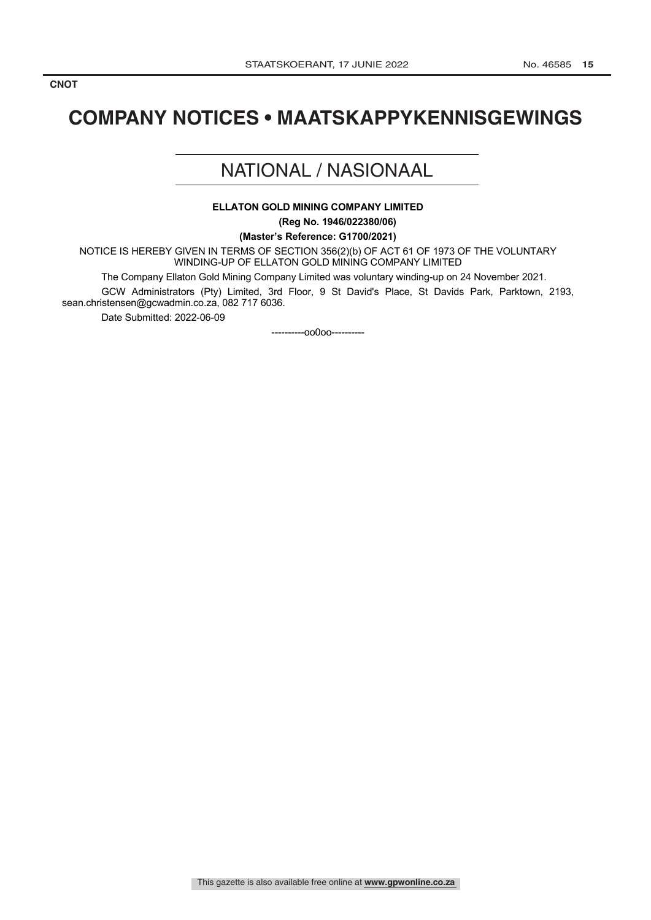## **COMPANY NOTICES • MAATSKAPPYKENNISGEWINGS**

## NATIONAL / NASIONAAL

### **ELLATON GOLD MINING COMPANY LIMITED**

**(Reg No. 1946/022380/06)**

**(Master's Reference: G1700/2021)**

NOTICE IS HEREBY GIVEN IN TERMS OF SECTION 356(2)(b) OF ACT 61 OF 1973 OF THE VOLUNTARY WINDING-UP OF ELLATON GOLD MINING COMPANY LIMITED

The Company Ellaton Gold Mining Company Limited was voluntary winding-up on 24 November 2021.

GCW Administrators (Pty) Limited, 3rd Floor, 9 St David's Place, St Davids Park, Parktown, 2193, sean.christensen@gcwadmin.co.za, 082 717 6036.

Date Submitted: 2022-06-09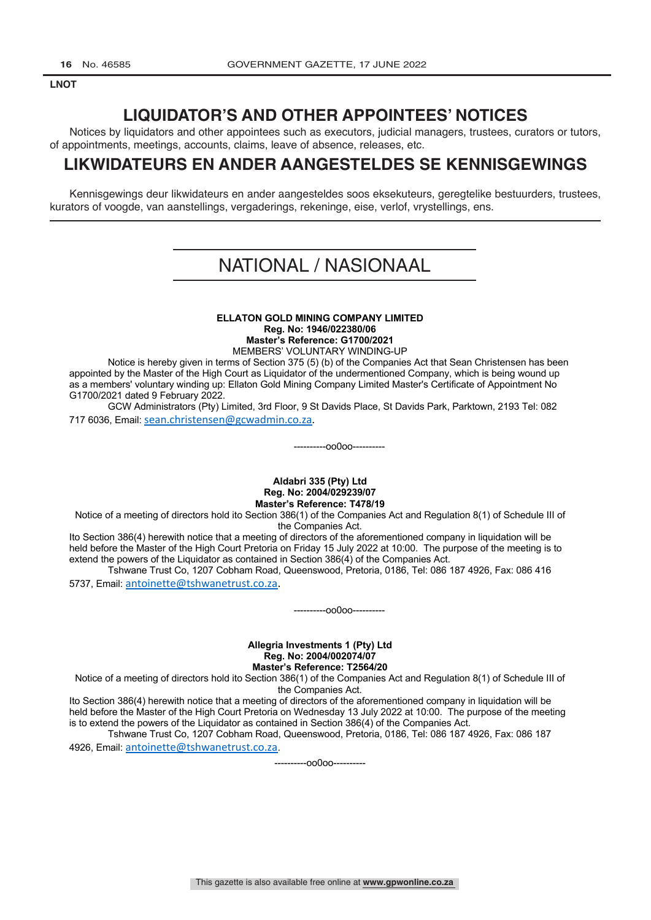**LNOT LEGAL NOTICES** *LEGAL NOTICES**LEGAL NOTICES* **<b>***LEGAL NOTICES* 

## **LIQUIDATOR'S AND OTHER APPOINTEES' NOTICES**

Notices by liquidators and other appointees such as executors, judicial managers, trustees, curators or tutors, of appointments, meetings, accounts, claims, leave of absence, releases, etc.

## **LIKWIDATEURS EN ANDER AANGESTELDES SE KENNISGEWINGS**

Kennisgewings deur likwidateurs en ander aangesteldes soos eksekuteurs, geregtelike bestuurders, trustees, kurators of voogde, van aanstellings, vergaderings, rekeninge, eise, verlof, vrystellings, ens.

## NATIONAL / NASIONAAL

#### **ELLATON GOLD MINING COMPANY LIMITED Reg. No: 1946/022380/06 Master's Reference: G1700/2021**

MEMBERS' VOLUNTARY WINDING-UP

Notice is hereby given in terms of Section 375 (5) (b) of the Companies Act that Sean Christensen has been appointed by the Master of the High Court as Liquidator of the undermentioned Company, which is being wound up as a members' voluntary winding up: Ellaton Gold Mining Company Limited Master's Certificate of Appointment No G1700/2021 dated 9 February 2022.

GCW Administrators (Pty) Limited, 3rd Floor, 9 St Davids Place, St Davids Park, Parktown, 2193 Tel: 082 717 6036, Email: sean.christensen@gcwadmin.co.za.

----------oo0oo----------

#### **Aldabri 335 (Pty) Ltd Reg. No: 2004/029239/07 Master's Reference: T478/19**

Notice of a meeting of directors hold ito Section 386(1) of the Companies Act and Regulation 8(1) of Schedule III of the Companies Act.

Ito Section 386(4) herewith notice that a meeting of directors of the aforementioned company in liquidation will be held before the Master of the High Court Pretoria on Friday 15 July 2022 at 10:00. The purpose of the meeting is to extend the powers of the Liquidator as contained in Section 386(4) of the Companies Act.

Tshwane Trust Co, 1207 Cobham Road, Queenswood, Pretoria, 0186, Tel: 086 187 4926, Fax: 086 416 5737, Email: antoinette@tshwanetrust.co.za.

----------oo0oo----------

#### **Allegria Investments 1 (Pty) Ltd Reg. No: 2004/002074/07 Master's Reference: T2564/20**

Notice of a meeting of directors hold ito Section 386(1) of the Companies Act and Regulation 8(1) of Schedule III of the Companies Act.

Ito Section 386(4) herewith notice that a meeting of directors of the aforementioned company in liquidation will be held before the Master of the High Court Pretoria on Wednesday 13 July 2022 at 10:00. The purpose of the meeting is to extend the powers of the Liquidator as contained in Section 386(4) of the Companies Act.

Tshwane Trust Co, 1207 Cobham Road, Queenswood, Pretoria, 0186, Tel: 086 187 4926, Fax: 086 187 4926, Email: antoinette@tshwanetrust.co.za.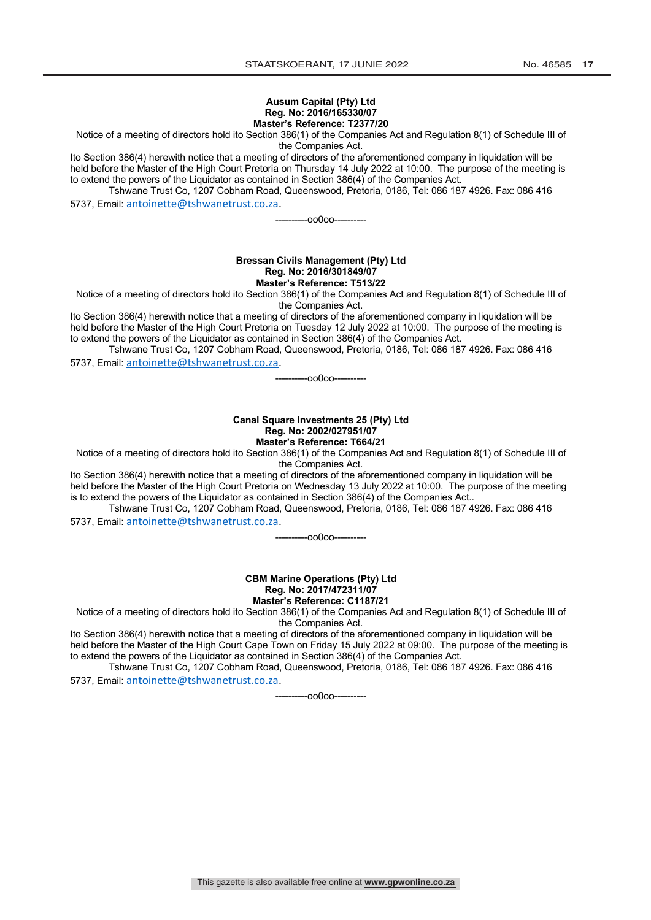#### **Ausum Capital (Pty) Ltd Reg. No: 2016/165330/07 Master's Reference: T2377/20**

Notice of a meeting of directors hold ito Section 386(1) of the Companies Act and Regulation 8(1) of Schedule III of

the Companies Act.

Ito Section 386(4) herewith notice that a meeting of directors of the aforementioned company in liquidation will be held before the Master of the High Court Pretoria on Thursday 14 July 2022 at 10:00. The purpose of the meeting is to extend the powers of the Liquidator as contained in Section 386(4) of the Companies Act.

Tshwane Trust Co, 1207 Cobham Road, Queenswood, Pretoria, 0186, Tel: 086 187 4926. Fax: 086 416 5737, Email: antoinette@tshwanetrust.co.za.

----------oo0oo----------

#### **Bressan Civils Management (Pty) Ltd Reg. No: 2016/301849/07 Master's Reference: T513/22**

Notice of a meeting of directors hold ito Section 386(1) of the Companies Act and Regulation 8(1) of Schedule III of the Companies Act.

Ito Section 386(4) herewith notice that a meeting of directors of the aforementioned company in liquidation will be held before the Master of the High Court Pretoria on Tuesday 12 July 2022 at 10:00. The purpose of the meeting is to extend the powers of the Liquidator as contained in Section 386(4) of the Companies Act.

Tshwane Trust Co, 1207 Cobham Road, Queenswood, Pretoria, 0186, Tel: 086 187 4926. Fax: 086 416 5737, Email: antoinette@tshwanetrust.co.za.

----------oo0oo----------

#### **Canal Square Investments 25 (Pty) Ltd Reg. No: 2002/027951/07 Master's Reference: T664/21**

Notice of a meeting of directors hold ito Section 386(1) of the Companies Act and Regulation 8(1) of Schedule III of the Companies Act.

Ito Section 386(4) herewith notice that a meeting of directors of the aforementioned company in liquidation will be held before the Master of the High Court Pretoria on Wednesday 13 July 2022 at 10:00. The purpose of the meeting is to extend the powers of the Liquidator as contained in Section 386(4) of the Companies Act..

Tshwane Trust Co, 1207 Cobham Road, Queenswood, Pretoria, 0186, Tel: 086 187 4926. Fax: 086 416 5737, Email: antoinette@tshwanetrust.co.za.

----------oo0oo----------

**CBM Marine Operations (Pty) Ltd Reg. No: 2017/472311/07 Master's Reference: C1187/21**

Notice of a meeting of directors hold ito Section 386(1) of the Companies Act and Regulation 8(1) of Schedule III of the Companies Act.

Ito Section 386(4) herewith notice that a meeting of directors of the aforementioned company in liquidation will be held before the Master of the High Court Cape Town on Friday 15 July 2022 at 09:00. The purpose of the meeting is to extend the powers of the Liquidator as contained in Section 386(4) of the Companies Act.

Tshwane Trust Co, 1207 Cobham Road, Queenswood, Pretoria, 0186, Tel: 086 187 4926. Fax: 086 416 5737, Email: antoinette@tshwanetrust.co.za.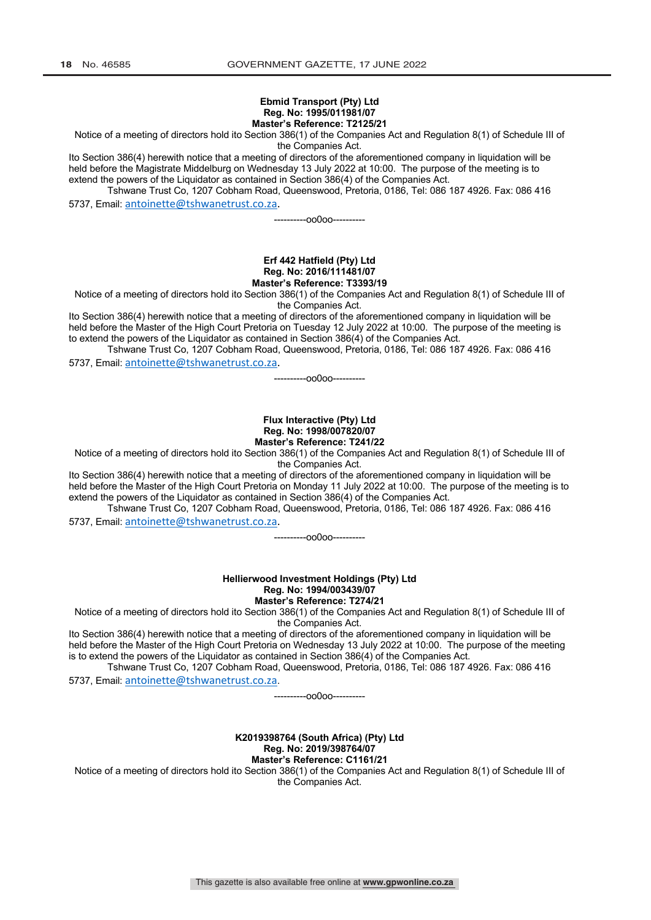#### **Ebmid Transport (Pty) Ltd Reg. No: 1995/011981/07 Master's Reference: T2125/21**

Notice of a meeting of directors hold ito Section 386(1) of the Companies Act and Regulation 8(1) of Schedule III of

the Companies Act.

Ito Section 386(4) herewith notice that a meeting of directors of the aforementioned company in liquidation will be held before the Magistrate Middelburg on Wednesday 13 July 2022 at 10:00. The purpose of the meeting is to extend the powers of the Liquidator as contained in Section 386(4) of the Companies Act.

Tshwane Trust Co, 1207 Cobham Road, Queenswood, Pretoria, 0186, Tel: 086 187 4926. Fax: 086 416 5737, Email: antoinette@tshwanetrust.co.za.

----------oo0oo----------

#### **Erf 442 Hatfield (Pty) Ltd Reg. No: 2016/111481/07 Master's Reference: T3393/19**

Notice of a meeting of directors hold ito Section 386(1) of the Companies Act and Regulation 8(1) of Schedule III of the Companies Act.

Ito Section 386(4) herewith notice that a meeting of directors of the aforementioned company in liquidation will be held before the Master of the High Court Pretoria on Tuesday 12 July 2022 at 10:00. The purpose of the meeting is to extend the powers of the Liquidator as contained in Section 386(4) of the Companies Act.

Tshwane Trust Co, 1207 Cobham Road, Queenswood, Pretoria, 0186, Tel: 086 187 4926. Fax: 086 416 5737, Email: antoinette@tshwanetrust.co.za.

----------oo0oo----------

#### **Flux Interactive (Pty) Ltd Reg. No: 1998/007820/07 Master's Reference: T241/22**

Notice of a meeting of directors hold ito Section 386(1) of the Companies Act and Regulation 8(1) of Schedule III of

the Companies Act.

Ito Section 386(4) herewith notice that a meeting of directors of the aforementioned company in liquidation will be held before the Master of the High Court Pretoria on Monday 11 July 2022 at 10:00. The purpose of the meeting is to extend the powers of the Liquidator as contained in Section 386(4) of the Companies Act.

Tshwane Trust Co, 1207 Cobham Road, Queenswood, Pretoria, 0186, Tel: 086 187 4926. Fax: 086 416 5737, Email: antoinette@tshwanetrust.co.za.

----------oo0oo----------

**Hellierwood Investment Holdings (Pty) Ltd Reg. No: 1994/003439/07 Master's Reference: T274/21**

Notice of a meeting of directors hold ito Section 386(1) of the Companies Act and Regulation 8(1) of Schedule III of the Companies Act.

Ito Section 386(4) herewith notice that a meeting of directors of the aforementioned company in liquidation will be held before the Master of the High Court Pretoria on Wednesday 13 July 2022 at 10:00. The purpose of the meeting is to extend the powers of the Liquidator as contained in Section 386(4) of the Companies Act.

Tshwane Trust Co, 1207 Cobham Road, Queenswood, Pretoria, 0186, Tel: 086 187 4926. Fax: 086 416 5737, Email: antoinette@tshwanetrust.co.za.

----------oo0oo----------

**K2019398764 (South Africa) (Pty) Ltd Reg. No: 2019/398764/07 Master's Reference: C1161/21**

Notice of a meeting of directors hold ito Section 386(1) of the Companies Act and Regulation 8(1) of Schedule III of the Companies Act.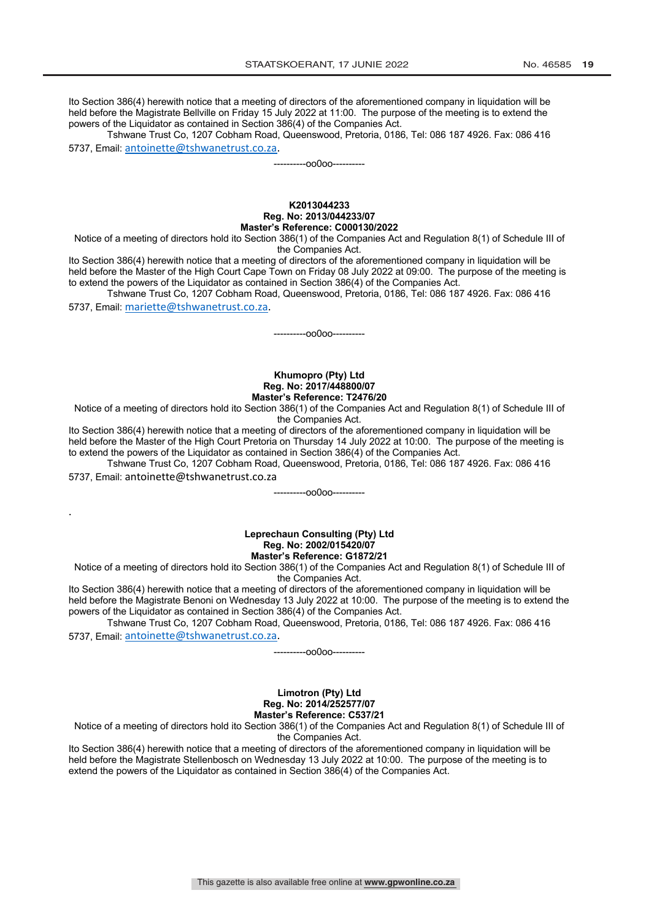Ito Section 386(4) herewith notice that a meeting of directors of the aforementioned company in liquidation will be held before the Magistrate Bellville on Friday 15 July 2022 at 11:00. The purpose of the meeting is to extend the powers of the Liquidator as contained in Section 386(4) of the Companies Act.

Tshwane Trust Co, 1207 Cobham Road, Queenswood, Pretoria, 0186, Tel: 086 187 4926. Fax: 086 416 5737, Email: antoinette@tshwanetrust.co.za.

----------oo0oo----------

#### **K2013044233 Reg. No: 2013/044233/07 Master's Reference: C000130/2022**

Notice of a meeting of directors hold ito Section 386(1) of the Companies Act and Regulation 8(1) of Schedule III of the Companies Act.

Ito Section 386(4) herewith notice that a meeting of directors of the aforementioned company in liquidation will be held before the Master of the High Court Cape Town on Friday 08 July 2022 at 09:00. The purpose of the meeting is to extend the powers of the Liquidator as contained in Section 386(4) of the Companies Act.

Tshwane Trust Co, 1207 Cobham Road, Queenswood, Pretoria, 0186, Tel: 086 187 4926. Fax: 086 416 5737, Email: mariette@tshwanetrust.co.za.

----------oo0oo----------

#### **Khumopro (Pty) Ltd Reg. No: 2017/448800/07 Master's Reference: T2476/20**

Notice of a meeting of directors hold ito Section 386(1) of the Companies Act and Regulation 8(1) of Schedule III of the Companies Act.

Ito Section 386(4) herewith notice that a meeting of directors of the aforementioned company in liquidation will be held before the Master of the High Court Pretoria on Thursday 14 July 2022 at 10:00. The purpose of the meeting is to extend the powers of the Liquidator as contained in Section 386(4) of the Companies Act.

Tshwane Trust Co, 1207 Cobham Road, Queenswood, Pretoria, 0186, Tel: 086 187 4926. Fax: 086 416 5737, Email: antoinette@tshwanetrust.co.za

.

----------oo0oo----------

#### **Leprechaun Consulting (Pty) Ltd Reg. No: 2002/015420/07 Master's Reference: G1872/21**

Notice of a meeting of directors hold ito Section 386(1) of the Companies Act and Regulation 8(1) of Schedule III of the Companies Act.

Ito Section 386(4) herewith notice that a meeting of directors of the aforementioned company in liquidation will be held before the Magistrate Benoni on Wednesday 13 July 2022 at 10:00. The purpose of the meeting is to extend the powers of the Liquidator as contained in Section 386(4) of the Companies Act.

Tshwane Trust Co, 1207 Cobham Road, Queenswood, Pretoria, 0186, Tel: 086 187 4926. Fax: 086 416 5737, Email: antoinette@tshwanetrust.co.za.

----------oo0oo----------

#### **Limotron (Pty) Ltd Reg. No: 2014/252577/07 Master's Reference: C537/21**

Notice of a meeting of directors hold ito Section 386(1) of the Companies Act and Regulation 8(1) of Schedule III of the Companies Act.

Ito Section 386(4) herewith notice that a meeting of directors of the aforementioned company in liquidation will be held before the Magistrate Stellenbosch on Wednesday 13 July 2022 at 10:00. The purpose of the meeting is to extend the powers of the Liquidator as contained in Section 386(4) of the Companies Act.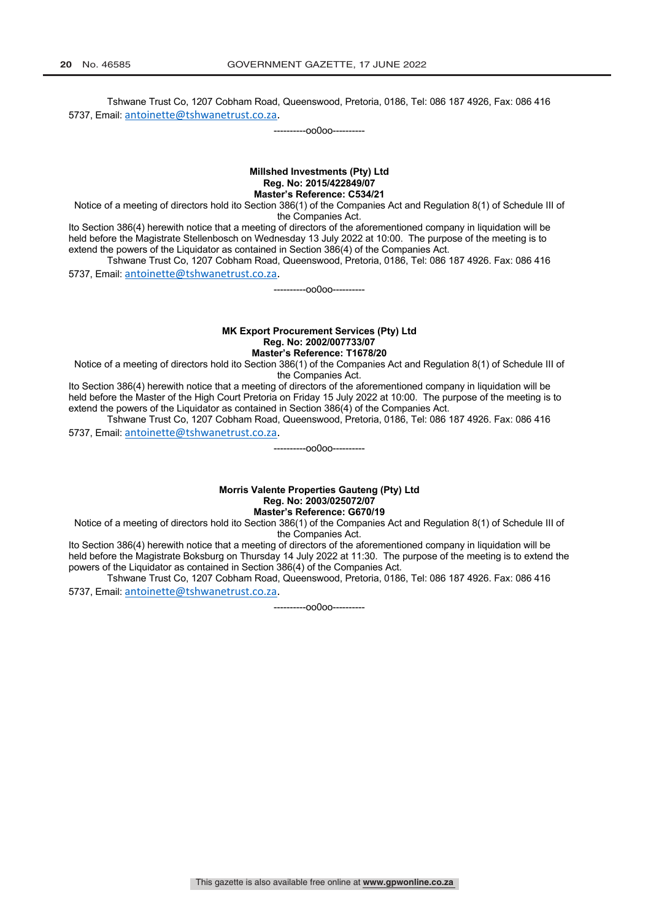Tshwane Trust Co, 1207 Cobham Road, Queenswood, Pretoria, 0186, Tel: 086 187 4926, Fax: 086 416 5737, Email: antoinette@tshwanetrust.co.za.

----------oo0oo----------

#### **Millshed Investments (Pty) Ltd Reg. No: 2015/422849/07 Master's Reference: C534/21**

Notice of a meeting of directors hold ito Section 386(1) of the Companies Act and Regulation 8(1) of Schedule III of the Companies Act.

Ito Section 386(4) herewith notice that a meeting of directors of the aforementioned company in liquidation will be held before the Magistrate Stellenbosch on Wednesday 13 July 2022 at 10:00. The purpose of the meeting is to extend the powers of the Liquidator as contained in Section 386(4) of the Companies Act.

Tshwane Trust Co, 1207 Cobham Road, Queenswood, Pretoria, 0186, Tel: 086 187 4926. Fax: 086 416 5737, Email: antoinette@tshwanetrust.co.za.

----------oo0oo----------

#### **MK Export Procurement Services (Pty) Ltd Reg. No: 2002/007733/07 Master's Reference: T1678/20**

Notice of a meeting of directors hold ito Section 386(1) of the Companies Act and Regulation 8(1) of Schedule III of the Companies Act.

Ito Section 386(4) herewith notice that a meeting of directors of the aforementioned company in liquidation will be held before the Master of the High Court Pretoria on Friday 15 July 2022 at 10:00. The purpose of the meeting is to extend the powers of the Liquidator as contained in Section 386(4) of the Companies Act.

Tshwane Trust Co, 1207 Cobham Road, Queenswood, Pretoria, 0186, Tel: 086 187 4926. Fax: 086 416 5737, Email: antoinette@tshwanetrust.co.za.

**Morris Valente Properties Gauteng (Pty) Ltd Reg. No: 2003/025072/07**

----------oo0oo----------

**Master's Reference: G670/19**

Notice of a meeting of directors hold ito Section 386(1) of the Companies Act and Regulation 8(1) of Schedule III of the Companies Act.

Ito Section 386(4) herewith notice that a meeting of directors of the aforementioned company in liquidation will be held before the Magistrate Boksburg on Thursday 14 July 2022 at 11:30. The purpose of the meeting is to extend the powers of the Liquidator as contained in Section 386(4) of the Companies Act.

Tshwane Trust Co, 1207 Cobham Road, Queenswood, Pretoria, 0186, Tel: 086 187 4926. Fax: 086 416 5737, Email: antoinette@tshwanetrust.co.za.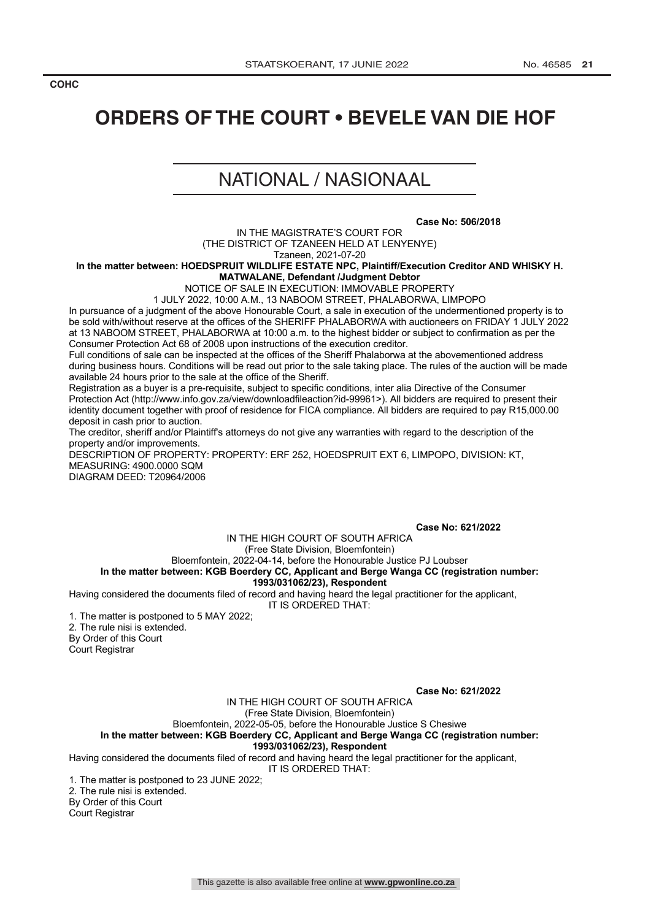#### **COHC LEGAL NOTICES / WETLINGS <b>***LEGAL NOTICES*

## **ORDERS OF THE COURT • BEVELE VAN DIE HOF**

## NATIONAL / NASIONAAL

**Case No: 506/2018**

IN THE MAGISTRATE'S COURT FOR (THE DISTRICT OF TZANEEN HELD AT LENYENYE)

Tzaneen, 2021-07-20

**In the matter between: HOEDSPRUIT WILDLIFE ESTATE NPC, Plaintiff/Execution Creditor AND WHISKY H. MATWALANE, Defendant /Judgment Debtor**

NOTICE OF SALE IN EXECUTION: IMMOVABLE PROPERTY

1 JULY 2022, 10:00 A.M., 13 NABOOM STREET, PHALABORWA, LIMPOPO

In pursuance of a judgment of the above Honourable Court, a sale in execution of the undermentioned property is to be sold with/without reserve at the offices of the SHERIFF PHALABORWA with auctioneers on FRIDAY 1 JULY 2022 at 13 NABOOM STREET, PHALABORWA at 10:00 a.m. to the highest bidder or subject to confirmation as per the Consumer Protection Act 68 of 2008 upon instructions of the execution creditor.

Full conditions of sale can be inspected at the offices of the Sheriff Phalaborwa at the abovementioned address during business hours. Conditions will be read out prior to the sale taking place. The rules of the auction will be made available 24 hours prior to the sale at the office of the Sheriff.

Registration as a buyer is a pre-requisite, subject to specific conditions, inter alia Directive of the Consumer Protection Act (http://www.info.gov.za/view/downloadfileaction?id-99961>). All bidders are required to present their identity document together with proof of residence for FICA compliance. All bidders are required to pay R15,000.00 deposit in cash prior to auction.

The creditor, sheriff and/or Plaintiff's attorneys do not give any warranties with regard to the description of the property and/or improvements.

DESCRIPTION OF PROPERTY: PROPERTY: ERF 252, HOEDSPRUIT EXT 6, LIMPOPO, DIVISION: KT, MEASURING: 4900.0000 SQM

DIAGRAM DEED: T20964/2006

**Case No: 621/2022**

IN THE HIGH COURT OF SOUTH AFRICA

(Free State Division, Bloemfontein)

Bloemfontein, 2022-04-14, before the Honourable Justice PJ Loubser **In the matter between: KGB Boerdery CC, Applicant and Berge Wanga CC (registration number:** 

#### **1993/031062/23), Respondent**

Having considered the documents filed of record and having heard the legal practitioner for the applicant,

IT IS ORDERED THAT:

1. The matter is postponed to 5 MAY 2022; 2. The rule nisi is extended. By Order of this Court

Court Registrar

**Case No: 621/2022**

IN THE HIGH COURT OF SOUTH AFRICA (Free State Division, Bloemfontein) Bloemfontein, 2022-05-05, before the Honourable Justice S Chesiwe

**In the matter between: KGB Boerdery CC, Applicant and Berge Wanga CC (registration number: 1993/031062/23), Respondent**

Having considered the documents filed of record and having heard the legal practitioner for the applicant,

IT IS ORDERED THAT:

1. The matter is postponed to 23 JUNE 2022;

2. The rule nisi is extended.

By Order of this Court

Court Registrar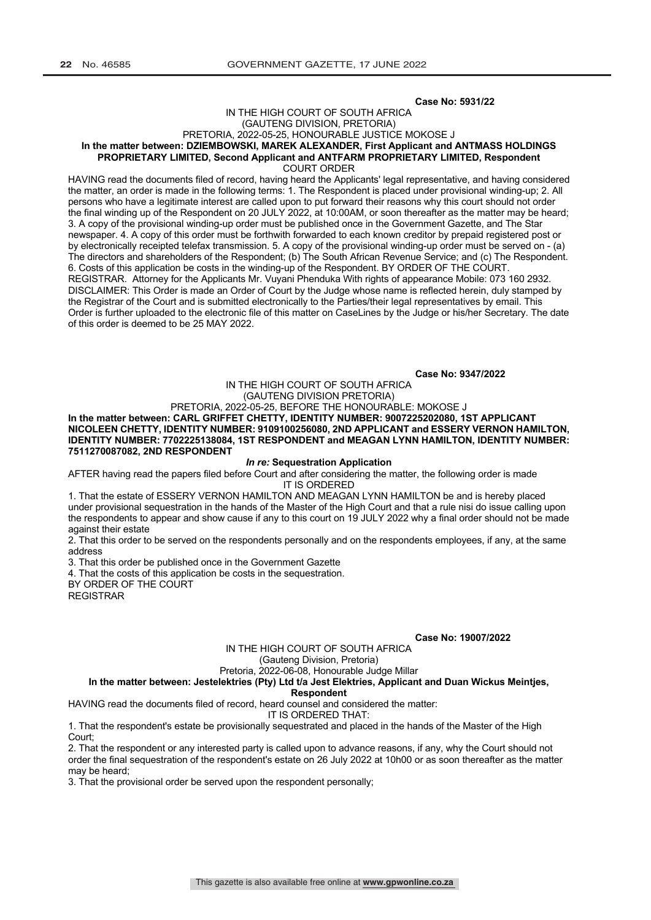#### **Case No: 5931/22**

#### IN THE HIGH COURT OF SOUTH AFRICA (GAUTENG DIVISION, PRETORIA) PRETORIA, 2022-05-25, HONOURABLE JUSTICE MOKOSE J **In the matter between: DZIEMBOWSKI, MAREK ALEXANDER, First Applicant and ANTMASS HOLDINGS PROPRIETARY LIMITED, Second Applicant and ANTFARM PROPRIETARY LIMITED, Respondent**

COURT ORDER

HAVING read the documents filed of record, having heard the Applicants' legal representative, and having considered the matter, an order is made in the following terms: 1. The Respondent is placed under provisional winding-up; 2. All persons who have a legitimate interest are called upon to put forward their reasons why this court should not order the final winding up of the Respondent on 20 JULY 2022, at 10:00AM, or soon thereafter as the matter may be heard; 3. A copy of the provisional winding-up order must be published once in the Government Gazette, and The Star newspaper. 4. A copy of this order must be forthwith forwarded to each known creditor by prepaid registered post or by electronically receipted telefax transmission. 5. A copy of the provisional winding-up order must be served on - (a) The directors and shareholders of the Respondent; (b) The South African Revenue Service; and (c) The Respondent. 6. Costs of this application be costs in the winding-up of the Respondent. BY ORDER OF THE COURT. REGISTRAR. Attorney for the Applicants Mr. Vuyani Phenduka With rights of appearance Mobile: 073 160 2932. DISCLAIMER: This Order is made an Order of Court by the Judge whose name is reflected herein, duly stamped by the Registrar of the Court and is submitted electronically to the Parties/their legal representatives by email. This Order is further uploaded to the electronic file of this matter on CaseLines by the Judge or his/her Secretary. The date of this order is deemed to be 25 MAY 2022.

**Case No: 9347/2022**

IN THE HIGH COURT OF SOUTH AFRICA (GAUTENG DIVISION PRETORIA)

### PRETORIA, 2022-05-25, BEFORE THE HONOURABLE: MOKOSE J

**In the matter between: CARL GRIFFET CHETTY, IDENTITY NUMBER: 9007225202080, 1ST APPLICANT NICOLEEN CHETTY, IDENTITY NUMBER: 9109100256080, 2ND APPLICANT and ESSERY VERNON HAMILTON, IDENTITY NUMBER: 7702225138084, 1ST RESPONDENT and MEAGAN LYNN HAMILTON, IDENTITY NUMBER: 7511270087082, 2ND RESPONDENT**

#### *In re:* **Sequestration Application**

AFTER having read the papers filed before Court and after considering the matter, the following order is made IT IS ORDERED

1. That the estate of ESSERY VERNON HAMILTON AND MEAGAN LYNN HAMILTON be and is hereby placed under provisional sequestration in the hands of the Master of the High Court and that a rule nisi do issue calling upon the respondents to appear and show cause if any to this court on 19 JULY 2022 why a final order should not be made against their estate

2. That this order to be served on the respondents personally and on the respondents employees, if any, at the same address

3. That this order be published once in the Government Gazette

4. That the costs of this application be costs in the sequestration.

BY ORDER OF THE COURT REGISTRAR

**Case No: 19007/2022**

IN THE HIGH COURT OF SOUTH AFRICA

(Gauteng Division, Pretoria)

Pretoria, 2022-06-08, Honourable Judge Millar

#### **In the matter between: Jestelektries (Pty) Ltd t/a Jest Elektries, Applicant and Duan Wickus Meintjes,**

#### **Respondent**

HAVING read the documents filed of record, heard counsel and considered the matter:

IT IS ORDERED THAT: 1. That the respondent's estate be provisionally sequestrated and placed in the hands of the Master of the High Court;

2. That the respondent or any interested party is called upon to advance reasons, if any, why the Court should not order the final sequestration of the respondent's estate on 26 July 2022 at 10h00 or as soon thereafter as the matter may be heard;

3. That the provisional order be served upon the respondent personally;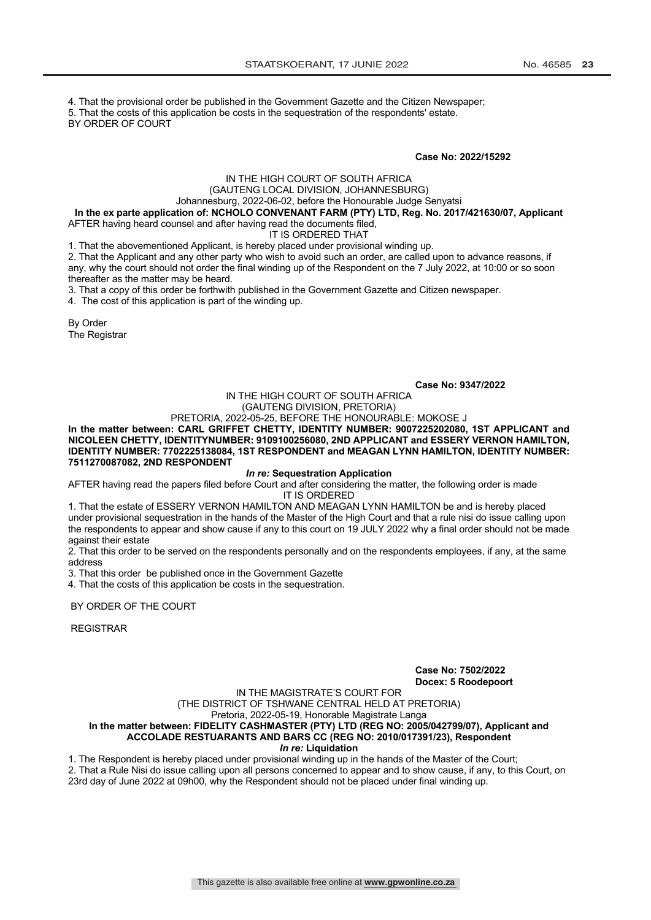4. That the provisional order be published in the Government Gazette and the Citizen Newspaper;

5. That the costs of this application be costs in the sequestration of the respondents' estate.

BY ORDER OF COURT

**Case No: 2022/15292**

## IN THE HIGH COURT OF SOUTH AFRICA

#### (GAUTENG LOCAL DIVISION, JOHANNESBURG)

Johannesburg, 2022-06-02, before the Honourable Judge Senyatsi

**In the ex parte application of: NCHOLO CONVENANT FARM (PTY) LTD, Reg. No. 2017/421630/07, Applicant** AFTER having heard counsel and after having read the documents filed,

IT IS ORDERED THAT

1. That the abovementioned Applicant, is hereby placed under provisional winding up.

2. That the Applicant and any other party who wish to avoid such an order, are called upon to advance reasons, if any, why the court should not order the final winding up of the Respondent on the 7 July 2022, at 10:00 or so soon thereafter as the matter may be heard.

3. That a copy of this order be forthwith published in the Government Gazette and Citizen newspaper.

4. The cost of this application is part of the winding up.

By Order The Registrar

#### **Case No: 9347/2022**

#### IN THE HIGH COURT OF SOUTH AFRICA (GAUTENG DIVISION, PRETORIA)

PRETORIA, 2022-05-25, BEFORE THE HONOURABLE: MOKOSE J **In the matter between: CARL GRIFFET CHETTY, IDENTITY NUMBER: 9007225202080, 1ST APPLICANT and NICOLEEN CHETTY, IDENTITYNUMBER: 9109100256080, 2ND APPLICANT and ESSERY VERNON HAMILTON, IDENTITY NUMBER: 7702225138084, 1ST RESPONDENT and MEAGAN LYNN HAMILTON, IDENTITY NUMBER: 7511270087082, 2ND RESPONDENT**

#### *In re:* **Sequestration Application**

AFTER having read the papers filed before Court and after considering the matter, the following order is made IT IS ORDERED

1. That the estate of ESSERY VERNON HAMILTON AND MEAGAN LYNN HAMILTON be and is hereby placed under provisional sequestration in the hands of the Master of the High Court and that a rule nisi do issue calling upon the respondents to appear and show cause if any to this court on 19 JULY 2022 why a final order should not be made against their estate

2. That this order to be served on the respondents personally and on the respondents employees, if any, at the same address

3. That this order be published once in the Government Gazette

4. That the costs of this application be costs in the sequestration.

BY ORDER OF THE COURT

REGISTRAR

#### **Case No: 7502/2022 Docex: 5 Roodepoort**

IN THE MAGISTRATE'S COURT FOR

(THE DISTRICT OF TSHWANE CENTRAL HELD AT PRETORIA)

Pretoria, 2022-05-19, Honorable Magistrate Langa

#### **In the matter between: FIDELITY CASHMASTER (PTY) LTD (REG NO: 2005/042799/07), Applicant and ACCOLADE RESTUARANTS AND BARS CC (REG NO: 2010/017391/23), Respondent**

#### *In re:* **Liquidation**

1. The Respondent is hereby placed under provisional winding up in the hands of the Master of the Court; 2. That a Rule Nisi do issue calling upon all persons concerned to appear and to show cause, if any, to this Court, on 23rd day of June 2022 at 09h00, why the Respondent should not be placed under final winding up.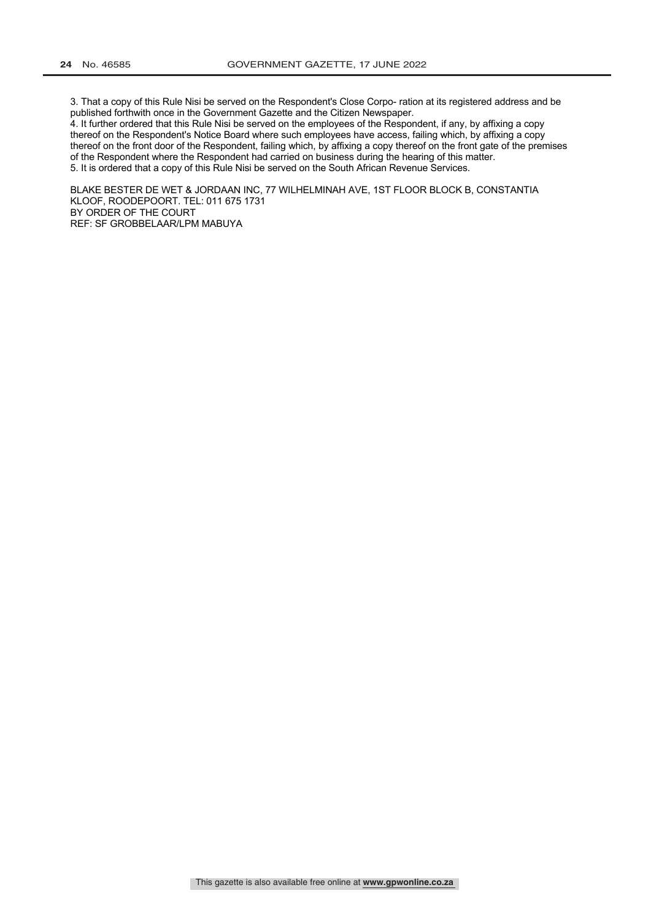3. That a copy of this Rule Nisi be served on the Respondent's Close Corpo- ration at its registered address and be published forthwith once in the Government Gazette and the Citizen Newspaper.

4. It further ordered that this Rule Nisi be served on the employees of the Respondent, if any, by affixing a copy thereof on the Respondent's Notice Board where such employees have access, failing which, by affixing a copy thereof on the front door of the Respondent, failing which, by affixing a copy thereof on the front gate of the premises of the Respondent where the Respondent had carried on business during the hearing of this matter. 5. It is ordered that a copy of this Rule Nisi be served on the South African Revenue Services.

BLAKE BESTER DE WET & JORDAAN INC, 77 WILHELMINAH AVE, 1ST FLOOR BLOCK B, CONSTANTIA KLOOF, ROODEPOORT. TEL: 011 675 1731 BY ORDER OF THE COURT REF: SF GROBBELAAR/LPM MABUYA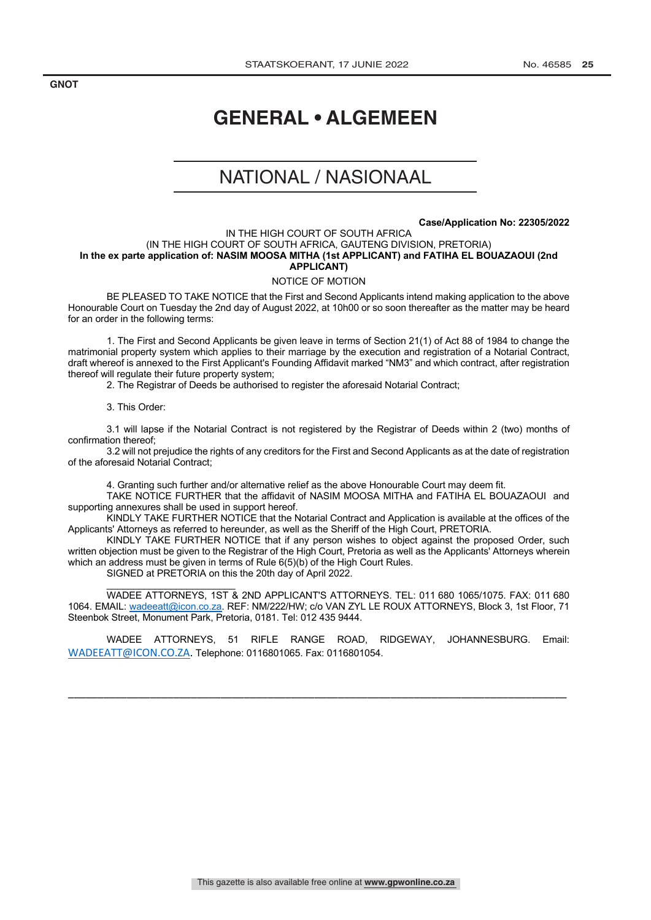**GNOT LEGAL NOTICES** *LEGAL NOTICES**LEGAL NOTICES* **<b>***LEGAL NOTICES* 

## **GENERAL • ALGEMEEN**

## NATIONAL / NASIONAAL

#### **Case/Application No: 22305/2022**

#### IN THE HIGH COURT OF SOUTH AFRICA (IN THE HIGH COURT OF SOUTH AFRICA, GAUTENG DIVISION, PRETORIA) **In the ex parte application of: NASIM MOOSA MITHA (1st APPLICANT) and FATIHA EL BOUAZAOUI (2nd APPLICANT)**

#### NOTICE OF MOTION

BE PLEASED TO TAKE NOTICE that the First and Second Applicants intend making application to the above Honourable Court on Tuesday the 2nd day of August 2022, at 10h00 or so soon thereafter as the matter may be heard for an order in the following terms:

1. The First and Second Applicants be given leave in terms of Section 21(1) of Act 88 of 1984 to change the matrimonial property system which applies to their marriage by the execution and registration of a Notarial Contract, draft whereof is annexed to the First Applicant's Founding Affidavit marked "NM3" and which contract, after registration thereof will regulate their future property system;

2. The Registrar of Deeds be authorised to register the aforesaid Notarial Contract;

3. This Order:

3.1 will lapse if the Notarial Contract is not registered by the Registrar of Deeds within 2 (two) months of confirmation thereof;

3.2 will not prejudice the rights of any creditors for the First and Second Applicants as at the date of registration of the aforesaid Notarial Contract;

4. Granting such further and/or alternative relief as the above Honourable Court may deem fit.

TAKE NOTICE FURTHER that the affidavit of NASIM MOOSA MITHA and FATIHA EL BOUAZAOUI and supporting annexures shall be used in support hereof.

KINDLY TAKE FURTHER NOTICE that the Notarial Contract and Application is available at the offices of the Applicants' Attorneys as referred to hereunder, as well as the Sheriff of the High Court, PRETORIA.

KINDLY TAKE FURTHER NOTICE that if any person wishes to object against the proposed Order, such written objection must be given to the Registrar of the High Court, Pretoria as well as the Applicants' Attorneys wherein which an address must be given in terms of Rule 6(5)(b) of the High Court Rules.

SIGNED at PRETORIA on this the 20th day of April 2022.

 $\overline{\phantom{a}}$  , where the contract of the contract of the contract of the contract of the contract of the contract of the contract of the contract of the contract of the contract of the contract of the contract of the contr

WADEE ATTORNEYS, 1ST & 2ND APPLICANT'S ATTORNEYS. TEL: 011 680 1065/1075. FAX: 011 680 1064. EMAIL: wadeeatt@icon.co.za. REF: NM/222/HW; c/o VAN ZYL LE ROUX ATTORNEYS, Block 3, 1st Floor, 71 Steenbok Street, Monument Park, Pretoria, 0181. Tel: 012 435 9444.

WADEE ATTORNEYS, 51 RIFLE RANGE ROAD, RIDGEWAY, JOHANNESBURG. Email: WADEEATT@ICON.CO.ZA. Telephone: 0116801065. Fax: 0116801054.

\_\_\_\_\_\_\_\_\_\_\_\_\_\_\_\_\_\_\_\_\_\_\_\_\_\_\_\_\_\_\_\_\_\_\_\_\_\_\_\_\_\_\_\_\_\_\_\_\_\_\_\_\_\_\_\_\_\_\_\_\_\_\_\_\_\_\_\_\_\_\_\_\_\_\_\_\_\_\_\_\_\_\_\_\_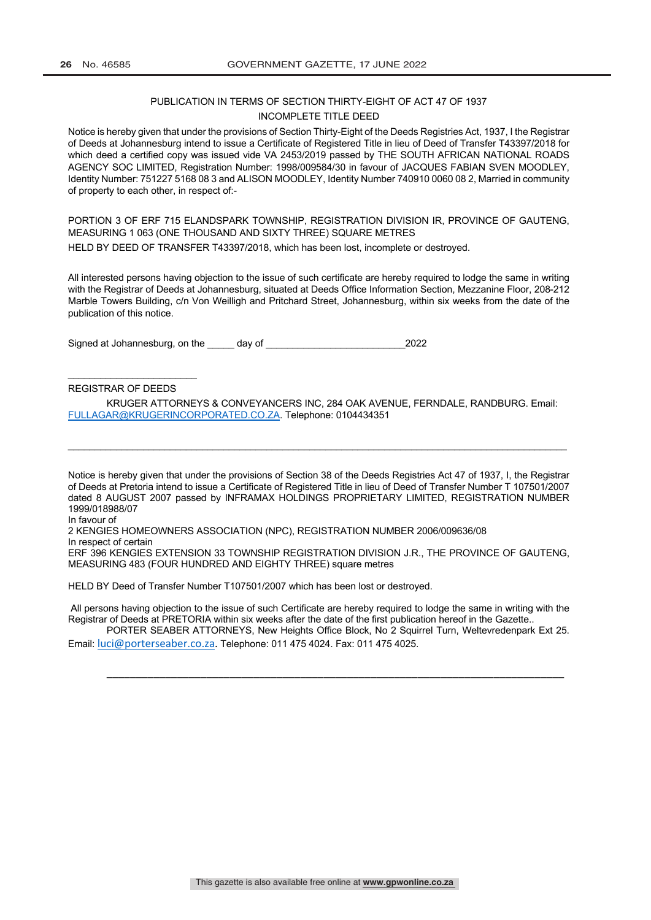#### PUBLICATION IN TERMS OF SECTION THIRTY-EIGHT OF ACT 47 OF 1937 INCOMPLETE TITLE DEED

Notice is hereby given that under the provisions of Section Thirty-Eight of the Deeds Registries Act, 1937, I the Registrar of Deeds at Johannesburg intend to issue a Certificate of Registered Title in lieu of Deed of Transfer T43397/2018 for which deed a certified copy was issued vide VA 2453/2019 passed by THE SOUTH AFRICAN NATIONAL ROADS AGENCY SOC LIMITED, Registration Number: 1998/009584/30 in favour of JACQUES FABIAN SVEN MOODLEY, Identity Number: 751227 5168 08 3 and ALISON MOODLEY, Identity Number 740910 0060 08 2, Married in community of property to each other, in respect of:-

PORTION 3 OF ERF 715 ELANDSPARK TOWNSHIP, REGISTRATION DIVISION IR, PROVINCE OF GAUTENG, MEASURING 1 063 (ONE THOUSAND AND SIXTY THREE) SQUARE METRES HELD BY DEED OF TRANSFER T43397/2018, which has been lost, incomplete or destroyed.

All interested persons having objection to the issue of such certificate are hereby required to lodge the same in writing with the Registrar of Deeds at Johannesburg, situated at Deeds Office Information Section, Mezzanine Floor, 208-212 Marble Towers Building, c/n Von Weilligh and Pritchard Street, Johannesburg, within six weeks from the date of the publication of this notice.

Signed at Johannesburg, on the day of  $\qquad$  2022

#### REGISTRAR OF DEEDS

 $\overline{\phantom{a}}$  , where the contract of the contract of the contract of the contract of the contract of the contract of the contract of the contract of the contract of the contract of the contract of the contract of the contr

KRUGER ATTORNEYS & CONVEYANCERS INC, 284 OAK AVENUE, FERNDALE, RANDBURG. Email: FULLAGAR@KRUGERINCORPORATED.CO.ZA. Telephone: 0104434351

\_\_\_\_\_\_\_\_\_\_\_\_\_\_\_\_\_\_\_\_\_\_\_\_\_\_\_\_\_\_\_\_\_\_\_\_\_\_\_\_\_\_\_\_\_\_\_\_\_\_\_\_\_\_\_\_\_\_\_\_\_\_\_\_\_\_\_\_\_\_\_\_\_\_\_\_\_\_\_\_\_\_\_\_\_\_\_\_\_\_\_\_\_

Notice is hereby given that under the provisions of Section 38 of the Deeds Registries Act 47 of 1937, I, the Registrar of Deeds at Pretoria intend to issue a Certificate of Registered Title in lieu of Deed of Transfer Number T 107501/2007 dated 8 AUGUST 2007 passed by INFRAMAX HOLDINGS PROPRIETARY LIMITED, REGISTRATION NUMBER 1999/018988/07

In favour of

2 KENGIES HOMEOWNERS ASSOCIATION (NPC), REGISTRATION NUMBER 2006/009636/08 In respect of certain

ERF 396 KENGIES EXTENSION 33 TOWNSHIP REGISTRATION DIVISION J.R., THE PROVINCE OF GAUTENG, MEASURING 483 (FOUR HUNDRED AND EIGHTY THREE) square metres

HELD BY Deed of Transfer Number T107501/2007 which has been lost or destroyed.

All persons having objection to the issue of such Certificate are hereby required to lodge the same in writing with the Registrar of Deeds at PRETORIA within six weeks after the date of the first publication hereof in the Gazette..

PORTER SEABER ATTORNEYS, New Heights Office Block, No 2 Squirrel Turn, Weltevredenpark Ext 25. Email: luci@porterseaber.co.za. Telephone: 011 475 4024. Fax: 011 475 4025.

\_\_\_\_\_\_\_\_\_\_\_\_\_\_\_\_\_\_\_\_\_\_\_\_\_\_\_\_\_\_\_\_\_\_\_\_\_\_\_\_\_\_\_\_\_\_\_\_\_\_\_\_\_\_\_\_\_\_\_\_\_\_\_\_\_\_\_\_\_\_\_\_\_\_\_\_\_\_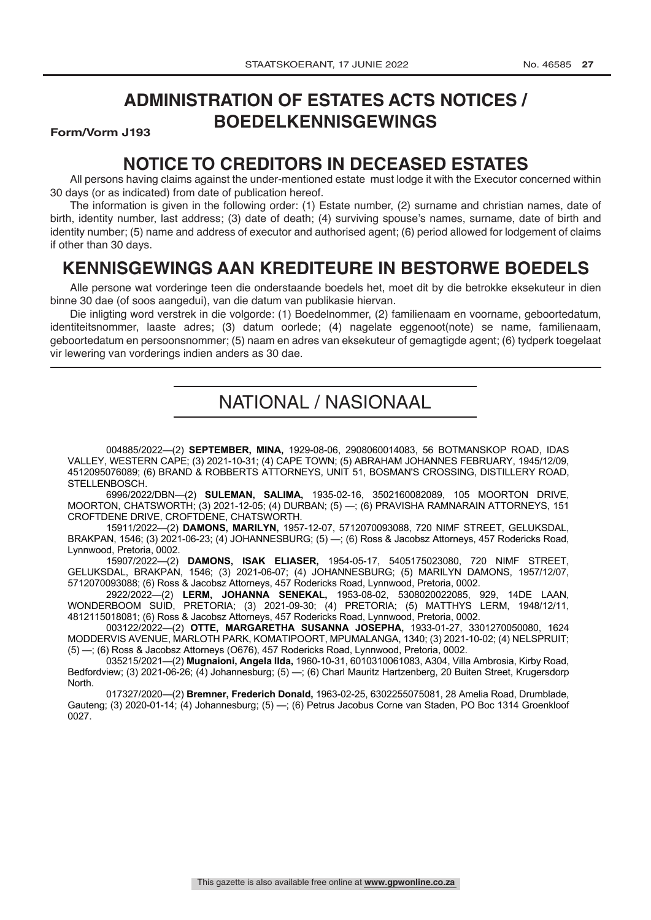## **ADMINISTRATION OF ESTATES ACTS NOTICES / BOEDELKENNISGEWINGS**

**Form/Vorm J193** 

## **NOTICE TO CREDITORS IN DECEASED ESTATES**

All persons having claims against the under-mentioned estate must lodge it with the Executor concerned within 30 days (or as indicated) from date of publication hereof.

The information is given in the following order: (1) Estate number, (2) surname and christian names, date of birth, identity number, last address; (3) date of death; (4) surviving spouse's names, surname, date of birth and identity number; (5) name and address of executor and authorised agent; (6) period allowed for lodgement of claims if other than 30 days.

## **KENNISGEWINGS AAN KREDITEURE IN BESTORWE BOEDELS**

Alle persone wat vorderinge teen die onderstaande boedels het, moet dit by die betrokke eksekuteur in dien binne 30 dae (of soos aangedui), van die datum van publikasie hiervan.

Die inligting word verstrek in die volgorde: (1) Boedelnommer, (2) familienaam en voorname, geboortedatum, identiteitsnommer, laaste adres; (3) datum oorlede; (4) nagelate eggenoot(note) se name, familienaam, geboortedatum en persoonsnommer; (5) naam en adres van eksekuteur of gemagtigde agent; (6) tydperk toegelaat vir lewering van vorderings indien anders as 30 dae.

## NATIONAL / NASIONAAL

004885/2022—(2) **SEPTEMBER, MINA,** 1929-08-06, 2908060014083, 56 BOTMANSKOP ROAD, IDAS VALLEY, WESTERN CAPE; (3) 2021-10-31; (4) CAPE TOWN; (5) ABRAHAM JOHANNES FEBRUARY, 1945/12/09, 4512095076089; (6) BRAND & ROBBERTS ATTORNEYS, UNIT 51, BOSMAN'S CROSSING, DISTILLERY ROAD, STELLENBOSCH.

6996/2022/DBN—(2) **SULEMAN, SALIMA,** 1935-02-16, 3502160082089, 105 MOORTON DRIVE, MOORTON, CHATSWORTH; (3) 2021-12-05; (4) DURBAN; (5) —; (6) PRAVISHA RAMNARAIN ATTORNEYS, 151 CROFTDENE DRIVE, CROFTDENE, CHATSWORTH.

15911/2022—(2) **DAMONS, MARILYN,** 1957-12-07, 5712070093088, 720 NIMF STREET, GELUKSDAL, BRAKPAN, 1546; (3) 2021-06-23; (4) JOHANNESBURG; (5) —; (6) Ross & Jacobsz Attorneys, 457 Rodericks Road, Lynnwood, Pretoria, 0002.

15907/2022—(2) **DAMONS, ISAK ELIASER,** 1954-05-17, 5405175023080, 720 NIMF STREET, GELUKSDAL, BRAKPAN, 1546; (3) 2021-06-07; (4) JOHANNESBURG; (5) MARILYN DAMONS, 1957/12/07, 5712070093088; (6) Ross & Jacobsz Attorneys, 457 Rodericks Road, Lynnwood, Pretoria, 0002.

2922/2022—(2) **LERM, JOHANNA SENEKAL,** 1953-08-02, 5308020022085, 929, 14DE LAAN, WONDERBOOM SUID, PRETORIA; (3) 2021-09-30; (4) PRETORIA; (5) MATTHYS LERM, 1948/12/11, 4812115018081; (6) Ross & Jacobsz Attorneys, 457 Rodericks Road, Lynnwood, Pretoria, 0002.

003122/2022—(2) **OTTE, MARGARETHA SUSANNA JOSEPHA,** 1933-01-27, 3301270050080, 1624 MODDERVIS AVENUE, MARLOTH PARK, KOMATIPOORT, MPUMALANGA, 1340; (3) 2021-10-02; (4) NELSPRUIT; (5) —; (6) Ross & Jacobsz Attorneys (O676), 457 Rodericks Road, Lynnwood, Pretoria, 0002.

035215/2021—(2) **Mugnaioni, Angela Ilda,** 1960-10-31, 6010310061083, A304, Villa Ambrosia, Kirby Road, Bedfordview; (3) 2021-06-26; (4) Johannesburg; (5) —; (6) Charl Mauritz Hartzenberg, 20 Buiten Street, Krugersdorp North.

017327/2020—(2) **Bremner, Frederich Donald,** 1963-02-25, 6302255075081, 28 Amelia Road, Drumblade, Gauteng; (3) 2020-01-14; (4) Johannesburg; (5) —; (6) Petrus Jacobus Corne van Staden, PO Boc 1314 Groenkloof 0027.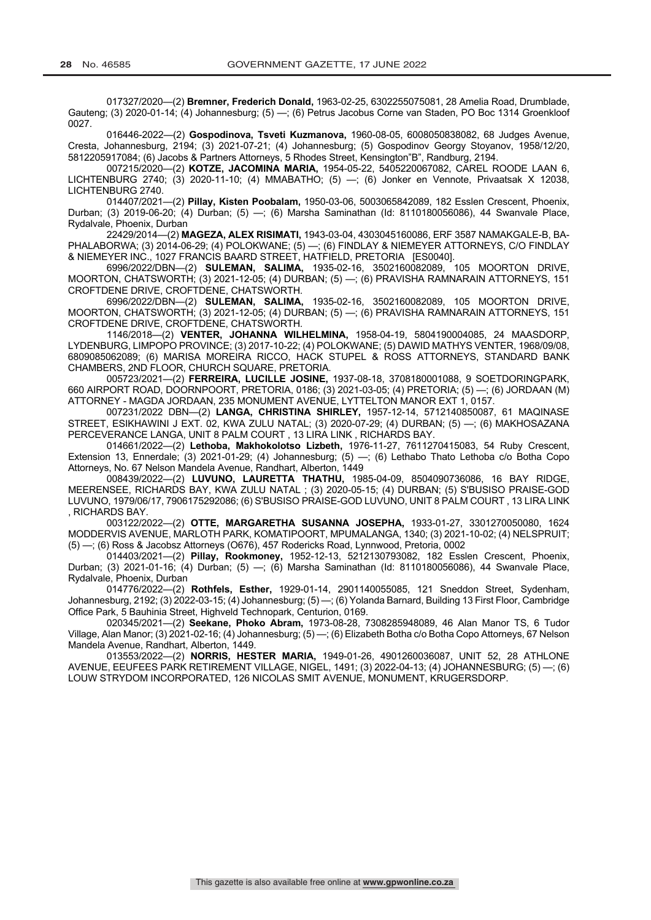017327/2020—(2) **Bremner, Frederich Donald,** 1963-02-25, 6302255075081, 28 Amelia Road, Drumblade, Gauteng; (3) 2020-01-14; (4) Johannesburg; (5) —; (6) Petrus Jacobus Corne van Staden, PO Boc 1314 Groenkloof 0027.

016446-2022—(2) **Gospodinova, Tsveti Kuzmanova,** 1960-08-05, 6008050838082, 68 Judges Avenue, Cresta, Johannesburg, 2194; (3) 2021-07-21; (4) Johannesburg; (5) Gospodinov Georgy Stoyanov, 1958/12/20, 5812205917084; (6) Jacobs & Partners Attorneys, 5 Rhodes Street, Kensington"B", Randburg, 2194.

007215/2020—(2) **KOTZE, JACOMINA MARIA,** 1954-05-22, 5405220067082, CAREL ROODE LAAN 6, LICHTENBURG 2740; (3) 2020-11-10; (4) MMABATHO; (5) —; (6) Jonker en Vennote, Privaatsak X 12038, LICHTENBURG 2740.

014407/2021—(2) **Pillay, Kisten Poobalam,** 1950-03-06, 5003065842089, 182 Esslen Crescent, Phoenix, Durban; (3) 2019-06-20; (4) Durban; (5) —; (6) Marsha Saminathan (Id: 8110180056086), 44 Swanvale Place, Rydalvale, Phoenix, Durban

22429/2014—(2) **MAGEZA, ALEX RISIMATI,** 1943-03-04, 4303045160086, ERF 3587 NAMAKGALE-B, BA-PHALABORWA; (3) 2014-06-29; (4) POLOKWANE; (5) —; (6) FINDLAY & NIEMEYER ATTORNEYS, C/O FINDLAY & NIEMEYER INC., 1027 FRANCIS BAARD STREET, HATFIELD, PRETORIA [ES0040].<br>.6996/2022/DBN—(2) SULEMAN, SALIMA, 1935-02-16, 3502160082089, 105 MOORTON DRIVE,

6996/2022/DBN—(2) **SULEMAN, SALIMA,** 1935-02-16, 3502160082089, MOORTON, CHATSWORTH; (3) 2021-12-05; (4) DURBAN; (5) —; (6) PRAVISHA RAMNARAIN ATTORNEYS, 151 CROFTDENE DRIVE, CROFTDENE, CHATSWORTH.

6996/2022/DBN—(2) **SULEMAN, SALIMA,** 1935-02-16, 3502160082089, 105 MOORTON DRIVE, MOORTON, CHATSWORTH; (3) 2021-12-05; (4) DURBAN; (5) —; (6) PRAVISHA RAMNARAIN ATTORNEYS, 151 CROFTDENE DRIVE, CROFTDENE, CHATSWORTH.

1146/2018—(2) **VENTER, JOHANNA WILHELMINA,** 1958-04-19, 5804190004085, 24 MAASDORP, LYDENBURG, LIMPOPO PROVINCE; (3) 2017-10-22; (4) POLOKWANE; (5) DAWID MATHYS VENTER, 1968/09/08, 6809085062089; (6) MARISA MOREIRA RICCO, HACK STUPEL & ROSS ATTORNEYS, STANDARD BANK CHAMBERS, 2ND FLOOR, CHURCH SQUARE, PRETORIA.

005723/2021—(2) **FERREIRA, LUCILLE JOSINE,** 1937-08-18, 3708180001088, 9 SOETDORINGPARK, 660 AIRPORT ROAD, DOORNPOORT, PRETORIA, 0186; (3) 2021-03-05; (4) PRETORIA; (5) —; (6) JORDAAN (M) ATTORNEY - MAGDA JORDAAN, 235 MONUMENT AVENUE, LYTTELTON MANOR EXT 1, 0157.

007231/2022 DBN—(2) **LANGA, CHRISTINA SHIRLEY,** 1957-12-14, 5712140850087, 61 MAQINASE STREET, ESIKHAWINI J EXT. 02, KWA ZULU NATAL; (3) 2020-07-29; (4) DURBAN; (5) —; (6) MAKHOSAZANA PERCEVERANCE LANGA, UNIT 8 PALM COURT , 13 LIRA LINK , RICHARDS BAY.

014661/2022—(2) **Lethoba, Makhokolotso Lizbeth,** 1976-11-27, 7611270415083, 54 Ruby Crescent, Extension 13, Ennerdale; (3) 2021-01-29; (4) Johannesburg; (5) —; (6) Lethabo Thato Lethoba c/o Botha Copo Attorneys, No. 67 Nelson Mandela Avenue, Randhart, Alberton, 1449

008439/2022—(2) **LUVUNO, LAURETTA THATHU,** 1985-04-09, 8504090736086, 16 BAY RIDGE, MEERENSEE, RICHARDS BAY, KWA ZULU NATAL ; (3) 2020-05-15; (4) DURBAN; (5) S'BUSISO PRAISE-GOD LUVUNO, 1979/06/17, 7906175292086; (6) S'BUSISO PRAISE-GOD LUVUNO, UNIT 8 PALM COURT , 13 LIRA LINK , RICHARDS BAY.

003122/2022—(2) **OTTE, MARGARETHA SUSANNA JOSEPHA,** 1933-01-27, 3301270050080, 1624 MODDERVIS AVENUE, MARLOTH PARK, KOMATIPOORT, MPUMALANGA, 1340; (3) 2021-10-02; (4) NELSPRUIT; (5) —; (6) Ross & Jacobsz Attorneys (O676), 457 Rodericks Road, Lynnwood, Pretoria, 0002

014403/2021—(2) **Pillay, Rookmoney,** 1952-12-13, 5212130793082, 182 Esslen Crescent, Phoenix, Durban; (3) 2021-01-16; (4) Durban; (5) —; (6) Marsha Saminathan (Id: 8110180056086), 44 Swanvale Place, Rydalvale, Phoenix, Durban

014776/2022—(2) **Rothfels, Esther,** 1929-01-14, 2901140055085, 121 Sneddon Street, Sydenham, Johannesburg, 2192; (3) 2022-03-15; (4) Johannesburg; (5) —; (6) Yolanda Barnard, Building 13 First Floor, Cambridge Office Park, 5 Bauhinia Street, Highveld Technopark, Centurion, 0169.

020345/2021—(2) **Seekane, Phoko Abram,** 1973-08-28, 7308285948089, 46 Alan Manor TS, 6 Tudor Village, Alan Manor; (3) 2021-02-16; (4) Johannesburg; (5) —; (6) Elizabeth Botha c/o Botha Copo Attorneys, 67 Nelson Mandela Avenue, Randhart, Alberton, 1449.

013553/2022—(2) **NORRIS, HESTER MARIA,** 1949-01-26, 4901260036087, UNIT 52, 28 ATHLONE AVENUE, EEUFEES PARK RETIREMENT VILLAGE, NIGEL, 1491; (3) 2022-04-13; (4) JOHANNESBURG; (5) —; (6) LOUW STRYDOM INCORPORATED, 126 NICOLAS SMIT AVENUE, MONUMENT, KRUGERSDORP.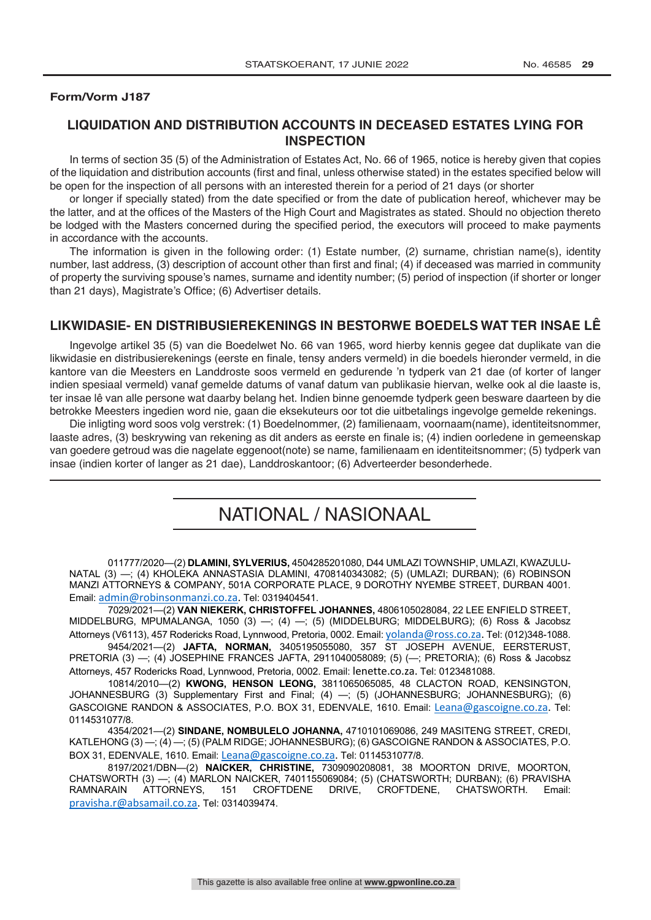#### **Form/Vorm J187**

## **LIQUIDATION AND DISTRIBUTION ACCOUNTS IN DECEASED ESTATES LYING FOR INSPECTION**

In terms of section 35 (5) of the Administration of Estates Act, No. 66 of 1965, notice is hereby given that copies of the liquidation and distribution accounts (first and final, unless otherwise stated) in the estates specified below will be open for the inspection of all persons with an interested therein for a period of 21 days (or shorter

or longer if specially stated) from the date specified or from the date of publication hereof, whichever may be the latter, and at the offices of the Masters of the High Court and Magistrates as stated. Should no objection thereto be lodged with the Masters concerned during the specified period, the executors will proceed to make payments in accordance with the accounts.

The information is given in the following order: (1) Estate number, (2) surname, christian name(s), identity number, last address, (3) description of account other than first and final; (4) if deceased was married in community of property the surviving spouse's names, surname and identity number; (5) period of inspection (if shorter or longer than 21 days), Magistrate's Office; (6) Advertiser details.

## **LIKWIDASIE- EN DISTRIBUSIEREKENINGS IN BESTORWE BOEDELS WAT TER INSAE LÊ**

Ingevolge artikel 35 (5) van die Boedelwet No. 66 van 1965, word hierby kennis gegee dat duplikate van die likwidasie en distribusierekenings (eerste en finale, tensy anders vermeld) in die boedels hieronder vermeld, in die kantore van die Meesters en Landdroste soos vermeld en gedurende 'n tydperk van 21 dae (of korter of langer indien spesiaal vermeld) vanaf gemelde datums of vanaf datum van publikasie hiervan, welke ook al die laaste is, ter insae lê van alle persone wat daarby belang het. Indien binne genoemde tydperk geen besware daarteen by die betrokke Meesters ingedien word nie, gaan die eksekuteurs oor tot die uitbetalings ingevolge gemelde rekenings.

Die inligting word soos volg verstrek: (1) Boedelnommer, (2) familienaam, voornaam(name), identiteitsnommer, laaste adres, (3) beskrywing van rekening as dit anders as eerste en finale is; (4) indien oorledene in gemeenskap van goedere getroud was die nagelate eggenoot(note) se name, familienaam en identiteitsnommer; (5) tydperk van insae (indien korter of langer as 21 dae), Landdroskantoor; (6) Adverteerder besonderhede.

## NATIONAL / NASIONAAL

011777/2020—(2) **DLAMINI, SYLVERIUS,** 4504285201080, D44 UMLAZI TOWNSHIP, UMLAZI, KWAZULU-NATAL (3) —; (4) KHOLEKA ANNASTASIA DLAMINI, 4708140343082; (5) (UMLAZI; DURBAN); (6) ROBINSON MANZI ATTORNEYS & COMPANY, 501A CORPORATE PLACE, 9 DOROTHY NYEMBE STREET, DURBAN 4001. Email: admin@robinsonmanzi.co.za. Tel: 0319404541.

7029/2021—(2) **VAN NIEKERK, CHRISTOFFEL JOHANNES,** 4806105028084, 22 LEE ENFIELD STREET, MIDDELBURG, MPUMALANGA, 1050 (3) —; (4) —; (5) (MIDDELBURG; MIDDELBURG); (6) Ross & Jacobsz Attorneys (V6113), 457 Rodericks Road, Lynnwood, Pretoria, 0002. Email: yolanda@ross.co.za. Tel: (012)348-1088.

9454/2021—(2) **JAFTA, NORMAN,** 3405195055080, 357 ST JOSEPH AVENUE, EERSTERUST, PRETORIA (3) —; (4) JOSEPHINE FRANCES JAFTA, 2911040058089; (5) (—; PRETORIA); (6) Ross & Jacobsz Attorneys, 457 Rodericks Road, Lynnwood, Pretoria, 0002. Email: lenette.co.za. Tel: 0123481088.

10814/2010—(2) **KWONG, HENSON LEONG,** 3811065065085, 48 CLACTON ROAD, KENSINGTON, JOHANNESBURG (3) Supplementary First and Final; (4) —; (5) (JOHANNESBURG; JOHANNESBURG); (6) GASCOIGNE RANDON & ASSOCIATES, P.O. BOX 31, EDENVALE, 1610. Email: Leana@gascoigne.co.za. Tel: 0114531077/8.

4354/2021—(2) **SINDANE, NOMBULELO JOHANNA,** 4710101069086, 249 MASITENG STREET, CREDI, KATLEHONG (3) —; (4) —; (5) (PALM RIDGE; JOHANNESBURG); (6) GASCOIGNE RANDON & ASSOCIATES, P.O. BOX 31, EDENVALE, 1610. Email: Leana@gascoigne.co.za. Tel: 0114531077/8.

8197/2021/DBN—(2) **NAICKER, CHRISTINE,** 7309090208081, 38 MOORTON DRIVE, MOORTON, CHATSWORTH (3) —; (4) MARLON NAICKER, 7401155069084; (5) (CHATSWORTH; DURBAN); (6) PRAVISHA RAMNARAIN ATTORNEYS, 151 CROFTDENE DRIVE, CROFTDENE, CHATSWORTH. Email: pravisha.r@absamail.co.za. Tel: 0314039474.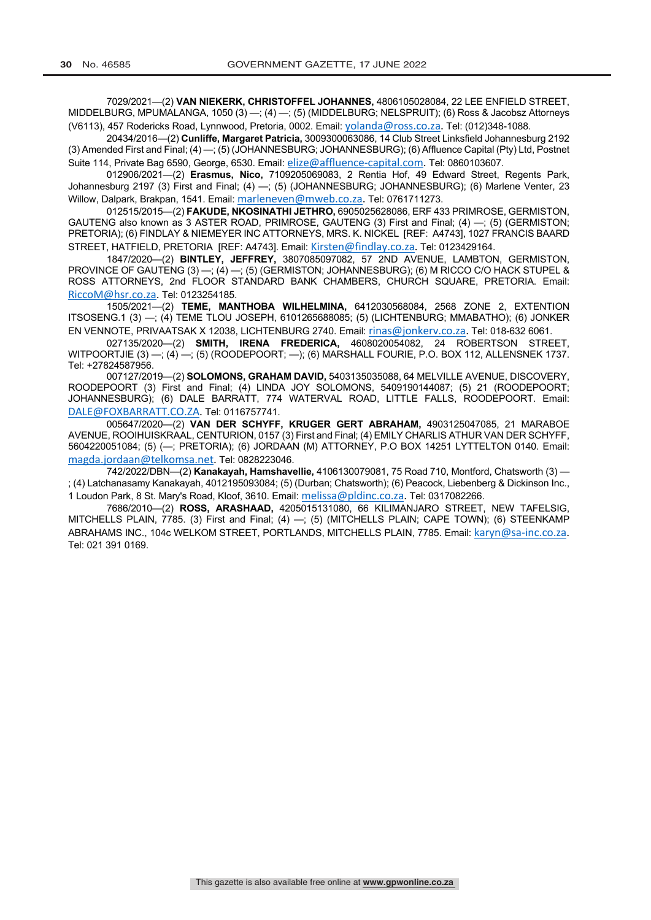7029/2021—(2) **VAN NIEKERK, CHRISTOFFEL JOHANNES,** 4806105028084, 22 LEE ENFIELD STREET, MIDDELBURG, MPUMALANGA, 1050 (3) —; (4) —; (5) (MIDDELBURG; NELSPRUIT); (6) Ross & Jacobsz Attorneys (V6113), 457 Rodericks Road, Lynnwood, Pretoria, 0002. Email: yolanda@ross.co.za. Tel: (012)348-1088.

20434/2016—(2) **Cunliffe, Margaret Patricia,** 3009300063086, 14 Club Street Linksfield Johannesburg 2192 (3) Amended First and Final; (4) —; (5) (JOHANNESBURG; JOHANNESBURG); (6) Affluence Capital (Pty) Ltd, Postnet Suite 114, Private Bag 6590, George, 6530. Email: elize@affluence-capital.com. Tel: 0860103607.

012906/2021—(2) **Erasmus, Nico,** 7109205069083, 2 Rentia Hof, 49 Edward Street, Regents Park, Johannesburg 2197 (3) First and Final; (4) —; (5) (JOHANNESBURG; JOHANNESBURG); (6) Marlene Venter, 23 Willow, Dalpark, Brakpan, 1541. Email: marleneven@mweb.co.za. Tel: 0761711273.

012515/2015—(2) **FAKUDE, NKOSINATHI JETHRO,** 6905025628086, ERF 433 PRIMROSE, GERMISTON, GAUTENG also known as 3 ASTER ROAD, PRIMROSE, GAUTENG (3) First and Final; (4) —; (5) (GERMISTON; PRETORIA); (6) FINDLAY & NIEMEYER INC ATTORNEYS, MRS. K. NICKEL [REF: A4743], 1027 FRANCIS BAARD STREET, HATFIELD, PRETORIA [REF: A4743]. Email: Kirsten@findlay.co.za. Tel: 0123429164.

1847/2020—(2) **BINTLEY, JEFFREY,** 3807085097082, 57 2ND AVENUE, LAMBTON, GERMISTON, PROVINCE OF GAUTENG (3) -; (4) -; (5) (GERMISTON; JOHANNESBURG); (6) M RICCO C/O HACK STUPEL & ROSS ATTORNEYS, 2nd FLOOR STANDARD BANK CHAMBERS, CHURCH SQUARE, PRETORIA. Email: RiccoM@hsr.co.za. Tel: 0123254185.

1505/2021—(2) **TEME, MANTHOBA WILHELMINA,** 6412030568084, 2568 ZONE 2, EXTENTION ITSOSENG.1 (3) —; (4) TEME TLOU JOSEPH, 6101265688085; (5) (LICHTENBURG; MMABATHO); (6) JONKER EN VENNOTE, PRIVAATSAK X 12038, LICHTENBURG 2740. Email: rinas@jonkerv.co.za. Tel: 018-632 6061.

027135/2020—(2) **SMITH, IRENA FREDERICA,** 4608020054082, 24 ROBERTSON STREET, WITPOORTJIE  $(3)$  -;  $(4)$  -;  $(5)$  (ROODEPOORT; -);  $(6)$  MARSHALL FOURIE, P.O. BOX 112, ALLENSNEK 1737. Tel: +27824587956.

007127/2019—(2) **SOLOMONS, GRAHAM DAVID,** 5403135035088, 64 MELVILLE AVENUE, DISCOVERY, ROODEPOORT (3) First and Final; (4) LINDA JOY SOLOMONS, 5409190144087; (5) 21 (ROODEPOORT; JOHANNESBURG); (6) DALE BARRATT, 774 WATERVAL ROAD, LITTLE FALLS, ROODEPOORT. Email: DALE@FOXBARRATT.CO.ZA. Tel: 0116757741.

005647/2020—(2) **VAN DER SCHYFF, KRUGER GERT ABRAHAM,** 4903125047085, 21 MARABOE AVENUE, ROOIHUISKRAAL, CENTURION, 0157 (3) First and Final; (4) EMILY CHARLIS ATHUR VAN DER SCHYFF, 5604220051084; (5) (—; PRETORIA); (6) JORDAAN (M) ATTORNEY, P.O BOX 14251 LYTTELTON 0140. Email: magda.jordaan@telkomsa.net. Tel: 0828223046.

742/2022/DBN—(2) **Kanakayah, Hamshavellie,** 4106130079081, 75 Road 710, Montford, Chatsworth (3) — ; (4) Latchanasamy Kanakayah, 4012195093084; (5) (Durban; Chatsworth); (6) Peacock, Liebenberg & Dickinson Inc., 1 Loudon Park, 8 St. Mary's Road, Kloof, 3610. Email: melissa@pldinc.co.za. Tel: 0317082266.

7686/2010—(2) **ROSS, ARASHAAD,** 4205015131080, 66 KILIMANJARO STREET, NEW TAFELSIG, MITCHELLS PLAIN,  $\overline{7785}$ . (3) First and Final; (4)  $-$ ; (5) (MITCHELLS PLAIN; CAPE TOWN); (6) STEENKAMP ABRAHAMS INC., 104c WELKOM STREET, PORTLANDS, MITCHELLS PLAIN, 7785. Email: karyn@sa-inc.co.za. Tel: 021 391 0169.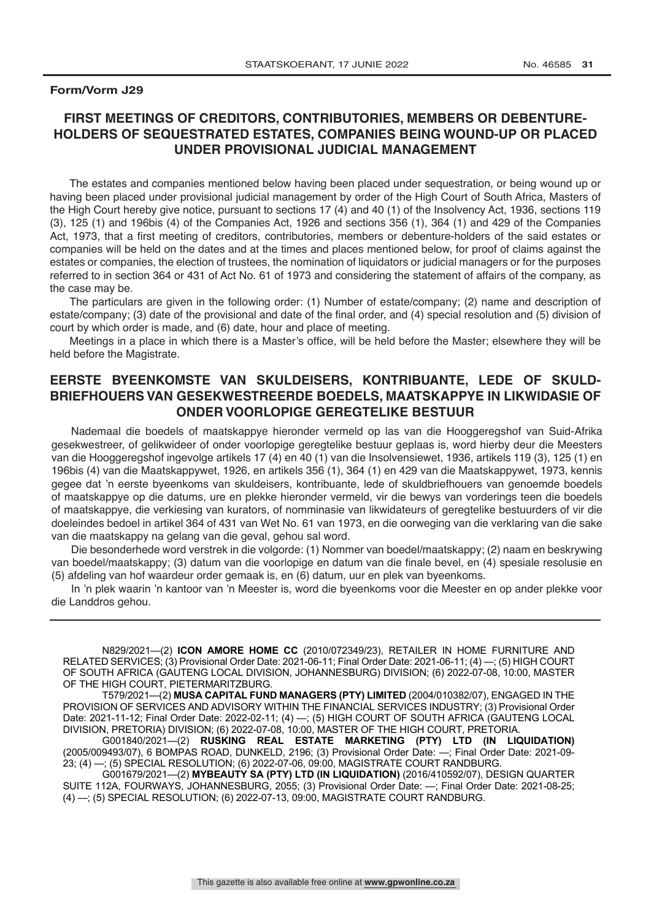### **Form/Vorm J29**

## **FIRST MEETINGS OF CREDITORS, CONTRIBUTORIES, MEMBERS OR DEBENTURE-HOLDERS OF SEQUESTRATED ESTATES, COMPANIES BEING WOUND-UP OR PLACED UNDER PROVISIONAL JUDICIAL MANAGEMENT**

The estates and companies mentioned below having been placed under sequestration, or being wound up or having been placed under provisional judicial management by order of the High Court of South Africa, Masters of the High Court hereby give notice, pursuant to sections 17 (4) and 40 (1) of the Insolvency Act, 1936, sections 119 (3), 125 (1) and 196bis (4) of the Companies Act, 1926 and sections 356 (1), 364 (1) and 429 of the Companies Act, 1973, that a first meeting of creditors, contributories, members or debenture-holders of the said estates or companies will be held on the dates and at the times and places mentioned below, for proof of claims against the estates or companies, the election of trustees, the nomination of liquidators or judicial managers or for the purposes referred to in section 364 or 431 of Act No. 61 of 1973 and considering the statement of affairs of the company, as the case may be.

The particulars are given in the following order: (1) Number of estate/company; (2) name and description of estate/company; (3) date of the provisional and date of the final order, and (4) special resolution and (5) division of court by which order is made, and (6) date, hour and place of meeting.

Meetings in a place in which there is a Master's office, will be held before the Master; elsewhere they will be held before the Magistrate.

## **EERSTE BYEENKOMSTE VAN SKULDEISERS, KONTRIBUANTE, LEDE OF SKULD-BRIEFHOUERS VAN GESEKWESTREERDE BOEDELS, MAATSKAPPYE IN LIKWIDASIE OF ONDER VOORLOPIGE GEREGTELIKE BESTUUR**

Nademaal die boedels of maatskappye hieronder vermeld op las van die Hooggeregshof van Suid-Afrika gesekwestreer, of gelikwideer of onder voorlopige geregtelike bestuur geplaas is, word hierby deur die Meesters van die Hooggeregshof ingevolge artikels 17 (4) en 40 (1) van die Insolvensiewet, 1936, artikels 119 (3), 125 (1) en 196bis (4) van die Maatskappywet, 1926, en artikels 356 (1), 364 (1) en 429 van die Maatskappywet, 1973, kennis gegee dat 'n eerste byeenkoms van skuldeisers, kontribuante, lede of skuldbriefhouers van genoemde boedels of maatskappye op die datums, ure en plekke hieronder vermeld, vir die bewys van vorderings teen die boedels of maatskappye, die verkiesing van kurators, of nomminasie van likwidateurs of geregtelike bestuurders of vir die doeleindes bedoel in artikel 364 of 431 van Wet No. 61 van 1973, en die oorweging van die verklaring van die sake van die maatskappy na gelang van die geval, gehou sal word.

Die besonderhede word verstrek in die volgorde: (1) Nommer van boedel/maatskappy; (2) naam en beskrywing van boedel/maatskappy; (3) datum van die voorlopige en datum van die finale bevel, en (4) spesiale resolusie en (5) afdeling van hof waardeur order gemaak is, en (6) datum, uur en plek van byeenkoms.

In 'n plek waarin 'n kantoor van 'n Meester is, word die byeenkoms voor die Meester en op ander plekke voor die Landdros gehou.

N829/2021—(2) **ICON AMORE HOME CC** (2010/072349/23), RETAILER IN HOME FURNITURE AND RELATED SERVICES; (3) Provisional Order Date: 2021-06-11; Final Order Date: 2021-06-11; (4) —; (5) HIGH COURT OF SOUTH AFRICA (GAUTENG LOCAL DIVISION, JOHANNESBURG) DIVISION; (6) 2022-07-08, 10:00, MASTER OF THE HIGH COURT, PIETERMARITZBURG.

T579/2021—(2) **MUSA CAPITAL FUND MANAGERS (PTY) LIMITED** (2004/010382/07), ENGAGED IN THE PROVISION OF SERVICES AND ADVISORY WITHIN THE FINANCIAL SERVICES INDUSTRY; (3) Provisional Order Date: 2021-11-12; Final Order Date: 2022-02-11; (4) -; (5) HIGH COURT OF SOUTH AFRICA (GAUTENG LOCAL DIVISION, PRETORIA) DIVISION; (6) 2022-07-08, 10:00, MASTER OF THE HIGH COURT, PRETORIA.

G001840/2021—(2) **RUSKING REAL ESTATE MARKETING (PTY) LTD (IN LIQUIDATION)**  (2005/009493/07), 6 BOMPAS ROAD, DUNKELD, 2196; (3) Provisional Order Date: —; Final Order Date: 2021-09- 23; (4) —; (5) SPECIAL RESOLUTION; (6) 2022-07-06, 09:00, MAGISTRATE COURT RANDBURG.

G001679/2021—(2) **MYBEAUTY SA (PTY) LTD (IN LIQUIDATION)** (2016/410592/07), DESIGN QUARTER SUITE 112A, FOURWAYS, JOHANNESBURG, 2055; (3) Provisional Order Date: —; Final Order Date: 2021-08-25; (4) —; (5) SPECIAL RESOLUTION; (6) 2022-07-13, 09:00, MAGISTRATE COURT RANDBURG.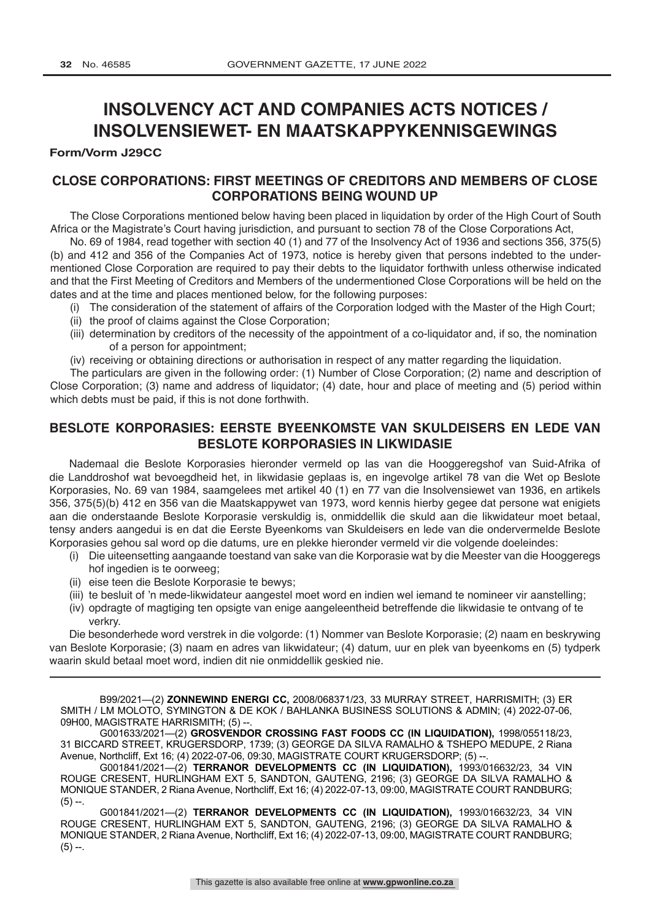## **INSOLVENCY ACT AND COMPANIES ACTS NOTICES / INSOLVENSIEWET- EN MAATSKAPPYKENNISGEWINGS**

### **Form/Vorm J29CC**

## **CLOSE CORPORATIONS: FIRST MEETINGS OF CREDITORS AND MEMBERS OF CLOSE CORPORATIONS BEING WOUND UP**

The Close Corporations mentioned below having been placed in liquidation by order of the High Court of South Africa or the Magistrate's Court having jurisdiction, and pursuant to section 78 of the Close Corporations Act,

No. 69 of 1984, read together with section 40 (1) and 77 of the Insolvency Act of 1936 and sections 356, 375(5) (b) and 412 and 356 of the Companies Act of 1973, notice is hereby given that persons indebted to the undermentioned Close Corporation are required to pay their debts to the liquidator forthwith unless otherwise indicated and that the First Meeting of Creditors and Members of the undermentioned Close Corporations will be held on the dates and at the time and places mentioned below, for the following purposes:

- (i) The consideration of the statement of affairs of the Corporation lodged with the Master of the High Court;
- (ii) the proof of claims against the Close Corporation;
- (iii) determination by creditors of the necessity of the appointment of a co-liquidator and, if so, the nomination of a person for appointment;
- (iv) receiving or obtaining directions or authorisation in respect of any matter regarding the liquidation.

The particulars are given in the following order: (1) Number of Close Corporation; (2) name and description of Close Corporation; (3) name and address of liquidator; (4) date, hour and place of meeting and (5) period within which debts must be paid, if this is not done forthwith.

## **BESLOTE KORPORASIES: EERSTE BYEENKOMSTE VAN SKULDEISERS EN LEDE VAN BESLOTE KORPORASIES IN LIKWIDASIE**

Nademaal die Beslote Korporasies hieronder vermeld op las van die Hooggeregshof van Suid-Afrika of die Landdroshof wat bevoegdheid het, in likwidasie geplaas is, en ingevolge artikel 78 van die Wet op Beslote Korporasies, No. 69 van 1984, saamgelees met artikel 40 (1) en 77 van die Insolvensiewet van 1936, en artikels 356, 375(5)(b) 412 en 356 van die Maatskappywet van 1973, word kennis hierby gegee dat persone wat enigiets aan die onderstaande Beslote Korporasie verskuldig is, onmiddellik die skuld aan die likwidateur moet betaal, tensy anders aangedui is en dat die Eerste Byeenkoms van Skuldeisers en lede van die ondervermelde Beslote Korporasies gehou sal word op die datums, ure en plekke hieronder vermeld vir die volgende doeleindes:

- (i) Die uiteensetting aangaande toestand van sake van die Korporasie wat by die Meester van die Hooggeregs hof ingedien is te oorweeg;
- (ii) eise teen die Beslote Korporasie te bewys;
- (iii) te besluit of 'n mede-likwidateur aangestel moet word en indien wel iemand te nomineer vir aanstelling;
- (iv) opdragte of magtiging ten opsigte van enige aangeleentheid betreffende die likwidasie te ontvang of te verkry.

Die besonderhede word verstrek in die volgorde: (1) Nommer van Beslote Korporasie; (2) naam en beskrywing van Beslote Korporasie; (3) naam en adres van likwidateur; (4) datum, uur en plek van byeenkoms en (5) tydperk waarin skuld betaal moet word, indien dit nie onmiddellik geskied nie.

B99/2021—(2) **ZONNEWIND ENERGI CC,** 2008/068371/23, 33 MURRAY STREET, HARRISMITH; (3) ER SMITH / LM MOLOTO, SYMINGTON & DE KOK / BAHLANKA BUSINESS SOLUTIONS & ADMIN; (4) 2022-07-06, 09H00, MAGISTRATE HARRISMITH; (5) --

G001633/2021—(2) **GROSVENDOR CROSSING FAST FOODS CC (IN LIQUIDATION),** 1998/055118/23, 31 BICCARD STREET, KRUGERSDORP, 1739; (3) GEORGE DA SILVA RAMALHO & TSHEPO MEDUPE, 2 Riana Avenue, Northcliff, Ext 16; (4) 2022-07-06, 09:30, MAGISTRATE COURT KRUGERSDORP; (5) --.

G001841/2021—(2) **TERRANOR DEVELOPMENTS CC (IN LIQUIDATION),** 1993/016632/23, 34 VIN ROUGE CRESENT, HURLINGHAM EXT 5, SANDTON, GAUTENG, 2196; (3) GEORGE DA SILVA RAMALHO & MONIQUE STANDER, 2 Riana Avenue, Northcliff, Ext 16; (4) 2022-07-13, 09:00, MAGISTRATE COURT RANDBURG;  $(5) -$ .

G001841/2021—(2) **TERRANOR DEVELOPMENTS CC (IN LIQUIDATION),** 1993/016632/23, 34 VIN ROUGE CRESENT, HURLINGHAM EXT 5, SANDTON, GAUTENG, 2196; (3) GEORGE DA SILVA RAMALHO & MONIQUE STANDER, 2 Riana Avenue, Northcliff, Ext 16; (4) 2022-07-13, 09:00, MAGISTRATE COURT RANDBURG;  $(5) -$ .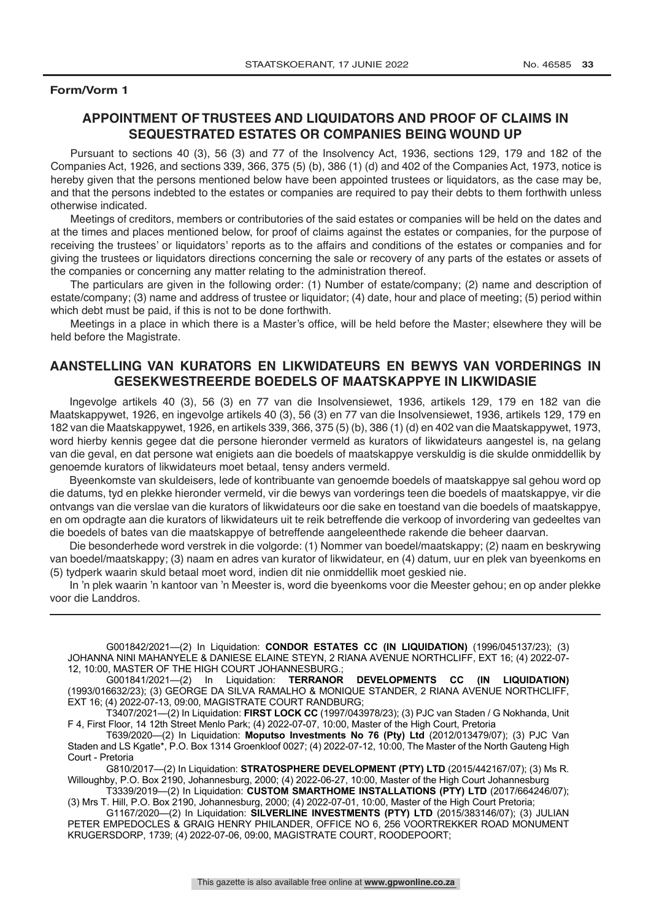## **APPOINTMENT OF TRUSTEES AND LIQUIDATORS AND PROOF OF CLAIMS IN SEQUESTRATED ESTATES OR COMPANIES BEING WOUND UP**

Pursuant to sections 40 (3), 56 (3) and 77 of the Insolvency Act, 1936, sections 129, 179 and 182 of the Companies Act, 1926, and sections 339, 366, 375 (5) (b), 386 (1) (d) and 402 of the Companies Act, 1973, notice is hereby given that the persons mentioned below have been appointed trustees or liquidators, as the case may be, and that the persons indebted to the estates or companies are required to pay their debts to them forthwith unless otherwise indicated.

Meetings of creditors, members or contributories of the said estates or companies will be held on the dates and at the times and places mentioned below, for proof of claims against the estates or companies, for the purpose of receiving the trustees' or liquidators' reports as to the affairs and conditions of the estates or companies and for giving the trustees or liquidators directions concerning the sale or recovery of any parts of the estates or assets of the companies or concerning any matter relating to the administration thereof.

The particulars are given in the following order: (1) Number of estate/company; (2) name and description of estate/company; (3) name and address of trustee or liquidator; (4) date, hour and place of meeting; (5) period within which debt must be paid, if this is not to be done forthwith.

Meetings in a place in which there is a Master's office, will be held before the Master; elsewhere they will be held before the Magistrate.

## **AANSTELLING VAN KURATORS EN LIKWIDATEURS EN BEWYS VAN VORDERINGS IN GESEKWESTREERDE BOEDELS OF MAATSKAPPYE IN LIKWIDASIE**

Ingevolge artikels 40 (3), 56 (3) en 77 van die Insolvensiewet, 1936, artikels 129, 179 en 182 van die Maatskappywet, 1926, en ingevolge artikels 40 (3), 56 (3) en 77 van die Insolvensiewet, 1936, artikels 129, 179 en 182 van die Maatskappywet, 1926, en artikels 339, 366, 375 (5) (b), 386 (1) (d) en 402 van die Maatskappywet, 1973, word hierby kennis gegee dat die persone hieronder vermeld as kurators of likwidateurs aangestel is, na gelang van die geval, en dat persone wat enigiets aan die boedels of maatskappye verskuldig is die skulde onmiddellik by genoemde kurators of likwidateurs moet betaal, tensy anders vermeld.

Byeenkomste van skuldeisers, lede of kontribuante van genoemde boedels of maatskappye sal gehou word op die datums, tyd en plekke hieronder vermeld, vir die bewys van vorderings teen die boedels of maatskappye, vir die ontvangs van die verslae van die kurators of likwidateurs oor die sake en toestand van die boedels of maatskappye, en om opdragte aan die kurators of likwidateurs uit te reik betreffende die verkoop of invordering van gedeeltes van die boedels of bates van die maatskappye of betreffende aangeleenthede rakende die beheer daarvan.

Die besonderhede word verstrek in die volgorde: (1) Nommer van boedel/maatskappy; (2) naam en beskrywing van boedel/maatskappy; (3) naam en adres van kurator of likwidateur, en (4) datum, uur en plek van byeenkoms en (5) tydperk waarin skuld betaal moet word, indien dit nie onmiddellik moet geskied nie.

In 'n plek waarin 'n kantoor van 'n Meester is, word die byeenkoms voor die Meester gehou; en op ander plekke voor die Landdros.

G001842/2021—(2) In Liquidation: **CONDOR ESTATES CC (IN LIQUIDATION)** (1996/045137/23); (3) JOHANNA NINI MAHANYELE & DANIESE ELAINE STEYN, 2 RIANA AVENUE NORTHCLIFF, EXT 16; (4) 2022-07- 12, 10:00, MASTER OF THE HIGH COURT JOHANNESBURG.;

G001841/2021—(2) In Liquidation: **TERRANOR DEVELOPMENTS CC (IN LIQUIDATION)**  (1993/016632/23); (3) GEORGE DA SILVA RAMALHO & MONIQUE STANDER, 2 RIANA AVENUE NORTHCLIFF, EXT 16; (4) 2022-07-13, 09:00, MAGISTRATE COURT RANDBURG;

T3407/2021—(2) In Liquidation: **FIRST LOCK CC** (1997/043978/23); (3) PJC van Staden / G Nokhanda, Unit F 4, First Floor, 14 12th Street Menlo Park; (4) 2022-07-07, 10:00, Master of the High Court, Pretoria

T639/2020—(2) In Liquidation: **Moputso Investments No 76 (Pty) Ltd** (2012/013479/07); (3) PJC Van Staden and LS Kgatle\*, P.O. Box 1314 Groenkloof 0027; (4) 2022-07-12, 10:00, The Master of the North Gauteng High Court - Pretoria

G810/2017—(2) In Liquidation: **STRATOSPHERE DEVELOPMENT (PTY) LTD** (2015/442167/07); (3) Ms R. Willoughby, P.O. Box 2190, Johannesburg, 2000; (4) 2022-06-27, 10:00, Master of the High Court Johannesburg

T3339/2019—(2) In Liquidation: **CUSTOM SMARTHOME INSTALLATIONS (PTY) LTD** (2017/664246/07); (3) Mrs T. Hill, P.O. Box 2190, Johannesburg, 2000; (4) 2022-07-01, 10:00, Master of the High Court Pretoria;

G1167/2020—(2) In Liquidation: **SILVERLINE INVESTMENTS (PTY) LTD** (2015/383146/07); (3) JULIAN PETER EMPEDOCLES & GRAIG HENRY PHILANDER, OFFICE NO 6, 256 VOORTREKKER ROAD MONUMENT KRUGERSDORP, 1739; (4) 2022-07-06, 09:00, MAGISTRATE COURT, ROODEPOORT;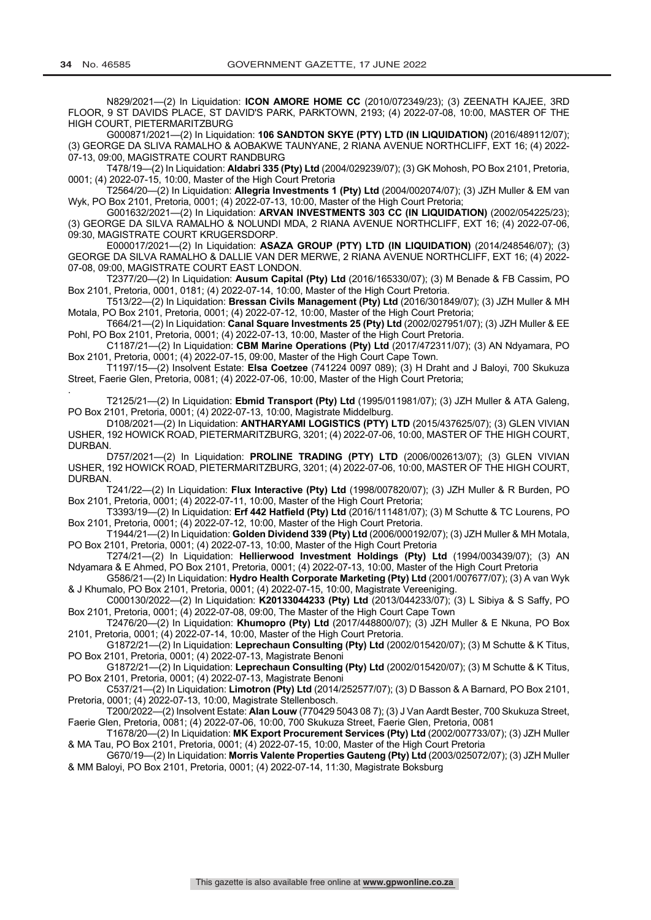N829/2021—(2) In Liquidation: **ICON AMORE HOME CC** (2010/072349/23); (3) ZEENATH KAJEE, 3RD FLOOR, 9 ST DAVIDS PLACE, ST DAVID'S PARK, PARKTOWN, 2193; (4) 2022-07-08, 10:00, MASTER OF THE HIGH COURT, PIETERMARITZBURG

G000871/2021—(2) In Liquidation: **106 SANDTON SKYE (PTY) LTD (IN LIQUIDATION)** (2016/489112/07); (3) GEORGE DA SLIVA RAMALHO & AOBAKWE TAUNYANE, 2 RIANA AVENUE NORTHCLIFF, EXT 16; (4) 2022- 07-13, 09:00, MAGISTRATE COURT RANDBURG

T478/19—(2) In Liquidation: **Aldabri 335 (Pty) Ltd** (2004/029239/07); (3) GK Mohosh, PO Box 2101, Pretoria, 0001; (4) 2022-07-15, 10:00, Master of the High Court Pretoria

T2564/20—(2) In Liquidation: **Allegria Investments 1 (Pty) Ltd** (2004/002074/07); (3) JZH Muller & EM van Wyk, PO Box 2101, Pretoria, 0001; (4) 2022-07-13, 10:00, Master of the High Court Pretoria;

G001632/2021—(2) In Liquidation: **ARVAN INVESTMENTS 303 CC (IN LIQUIDATION)** (2002/054225/23); (3) GEORGE DA SILVA RAMALHO & NOLUNDI MDA, 2 RIANA AVENUE NORTHCLIFF, EXT 16; (4) 2022-07-06, 09:30, MAGISTRATE COURT KRUGERSDORP.

E000017/2021—(2) In Liquidation: **ASAZA GROUP (PTY) LTD (IN LIQUIDATION)** (2014/248546/07); (3) GEORGE DA SILVA RAMALHO & DALLIE VAN DER MERWE, 2 RIANA AVENUE NORTHCLIFF, EXT 16; (4) 2022- 07-08, 09:00, MAGISTRATE COURT EAST LONDON.

T2377/20—(2) In Liquidation: **Ausum Capital (Pty) Ltd** (2016/165330/07); (3) M Benade & FB Cassim, PO Box 2101, Pretoria, 0001, 0181; (4) 2022-07-14, 10:00, Master of the High Court Pretoria.

T513/22—(2) In Liquidation: **Bressan Civils Management (Pty) Ltd** (2016/301849/07); (3) JZH Muller & MH Motala, PO Box 2101, Pretoria, 0001; (4) 2022-07-12, 10:00, Master of the High Court Pretoria;

T664/21—(2) In Liquidation: **Canal Square Investments 25 (Pty) Ltd** (2002/027951/07); (3) JZH Muller & EE Pohl, PO Box 2101, Pretoria, 0001; (4) 2022-07-13, 10:00, Master of the High Court Pretoria.

C1187/21—(2) In Liquidation: **CBM Marine Operations (Pty) Ltd** (2017/472311/07); (3) AN Ndyamara, PO Box 2101, Pretoria, 0001; (4) 2022-07-15, 09:00, Master of the High Court Cape Town.

T1197/15—(2) Insolvent Estate: **Elsa Coetzee** (741224 0097 089); (3) H Draht and J Baloyi, 700 Skukuza Street, Faerie Glen, Pretoria, 0081; (4) 2022-07-06, 10:00, Master of the High Court Pretoria;

. T2125/21—(2) In Liquidation: **Ebmid Transport (Pty) Ltd** (1995/011981/07); (3) JZH Muller & ATA Galeng, PO Box 2101, Pretoria, 0001; (4) 2022-07-13, 10:00, Magistrate Middelburg.

D108/2021—(2) In Liquidation: **ANTHARYAMI LOGISTICS (PTY) LTD** (2015/437625/07); (3) GLEN VIVIAN USHER, 192 HOWICK ROAD, PIETERMARITZBURG, 3201; (4) 2022-07-06, 10:00, MASTER OF THE HIGH COURT, DURBAN.

D757/2021—(2) In Liquidation: **PROLINE TRADING (PTY) LTD** (2006/002613/07); (3) GLEN VIVIAN USHER, 192 HOWICK ROAD, PIETERMARITZBURG, 3201; (4) 2022-07-06, 10:00, MASTER OF THE HIGH COURT, DURBAN.

T241/22—(2) In Liquidation: **Flux Interactive (Pty) Ltd** (1998/007820/07); (3) JZH Muller & R Burden, PO Box 2101, Pretoria, 0001; (4) 2022-07-11, 10:00, Master of the High Court Pretoria;

T3393/19—(2) In Liquidation: **Erf 442 Hatfield (Pty) Ltd** (2016/111481/07); (3) M Schutte & TC Lourens, PO Box 2101, Pretoria, 0001; (4) 2022-07-12, 10:00, Master of the High Court Pretoria.

T1944/21—(2) In Liquidation: **Golden Dividend 339 (Pty) Ltd** (2006/000192/07); (3) JZH Muller & MH Motala, PO Box 2101, Pretoria, 0001; (4) 2022-07-13, 10:00, Master of the High Court Pretoria

T274/21—(2) In Liquidation: **Hellierwood Investment Holdings (Pty) Ltd** (1994/003439/07); (3) AN Ndyamara & E Ahmed, PO Box 2101, Pretoria, 0001; (4) 2022-07-13, 10:00, Master of the High Court Pretoria

G586/21—(2) In Liquidation: **Hydro Health Corporate Marketing (Pty) Ltd** (2001/007677/07); (3) A van Wyk & J Khumalo, PO Box 2101, Pretoria, 0001; (4) 2022-07-15, 10:00, Magistrate Vereeniging.

C000130/2022—(2) In Liquidation: **K20133044233 (Pty) Ltd** (2013/044233/07); (3) L Sibiya & S Saffy, PO Box 2101, Pretoria, 0001; (4) 2022-07-08, 09:00, The Master of the High Court Cape Town

T2476/20—(2) In Liquidation: **Khumopro (Pty) Ltd** (2017/448800/07); (3) JZH Muller & E Nkuna, PO Box 2101, Pretoria, 0001; (4) 2022-07-14, 10:00, Master of the High Court Pretoria.

G1872/21—(2) In Liquidation: **Leprechaun Consulting (Pty) Ltd** (2002/015420/07); (3) M Schutte & K Titus, PO Box 2101, Pretoria, 0001; (4) 2022-07-13, Magistrate Benoni

G1872/21—(2) In Liquidation: **Leprechaun Consulting (Pty) Ltd** (2002/015420/07); (3) M Schutte & K Titus, PO Box 2101, Pretoria, 0001; (4) 2022-07-13, Magistrate Benoni

C537/21—(2) In Liquidation: **Limotron (Pty) Ltd** (2014/252577/07); (3) D Basson & A Barnard, PO Box 2101, Pretoria, 0001; (4) 2022-07-13, 10:00, Magistrate Stellenbosch.

T200/2022—(2) Insolvent Estate: **Alan Louw** (770429 5043 08 7); (3) J Van Aardt Bester, 700 Skukuza Street, Faerie Glen, Pretoria, 0081; (4) 2022-07-06, 10:00, 700 Skukuza Street, Faerie Glen, Pretoria, 0081

T1678/20—(2) In Liquidation: **MK Export Procurement Services (Pty) Ltd** (2002/007733/07); (3) JZH Muller & MA Tau, PO Box 2101, Pretoria, 0001; (4) 2022-07-15, 10:00, Master of the High Court Pretoria

G670/19—(2) In Liquidation: **Morris Valente Properties Gauteng (Pty) Ltd** (2003/025072/07); (3) JZH Muller & MM Baloyi, PO Box 2101, Pretoria, 0001; (4) 2022-07-14, 11:30, Magistrate Boksburg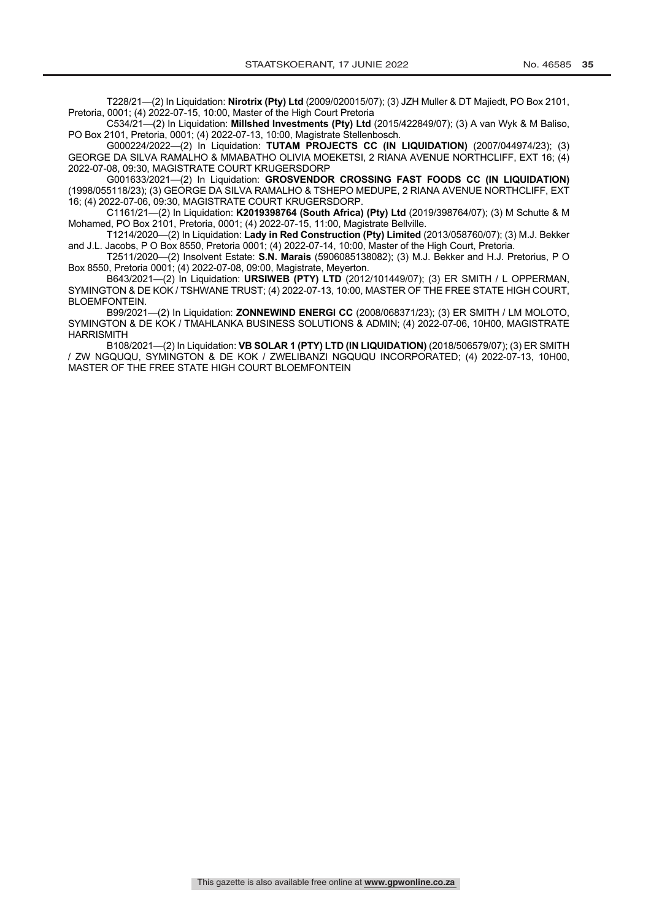T228/21—(2) In Liquidation: **Nirotrix (Pty) Ltd** (2009/020015/07); (3) JZH Muller & DT Majiedt, PO Box 2101, Pretoria, 0001; (4) 2022-07-15, 10:00, Master of the High Court Pretoria

C534/21—(2) In Liquidation: **Millshed Investments (Pty) Ltd** (2015/422849/07); (3) A van Wyk & M Baliso, PO Box 2101, Pretoria, 0001; (4) 2022-07-13, 10:00, Magistrate Stellenbosch.

G000224/2022—(2) In Liquidation: **TUTAM PROJECTS CC (IN LIQUIDATION)** (2007/044974/23); (3) GEORGE DA SILVA RAMALHO & MMABATHO OLIVIA MOEKETSI, 2 RIANA AVENUE NORTHCLIFF, EXT 16; (4) 2022-07-08, 09:30, MAGISTRATE COURT KRUGERSDORP

G001633/2021—(2) In Liquidation: **GROSVENDOR CROSSING FAST FOODS CC (IN LIQUIDATION)**  (1998/055118/23); (3) GEORGE DA SILVA RAMALHO & TSHEPO MEDUPE, 2 RIANA AVENUE NORTHCLIFF, EXT 16; (4) 2022-07-06, 09:30, MAGISTRATE COURT KRUGERSDORP.

C1161/21—(2) In Liquidation: **K2019398764 (South Africa) (Pty) Ltd** (2019/398764/07); (3) M Schutte & M Mohamed, PO Box 2101, Pretoria, 0001; (4) 2022-07-15, 11:00, Magistrate Bellville.

T1214/2020—(2) In Liquidation: **Lady in Red Construction (Pty) Limited** (2013/058760/07); (3) M.J. Bekker and J.L. Jacobs, P O Box 8550, Pretoria 0001; (4) 2022-07-14, 10:00, Master of the High Court, Pretoria.

T2511/2020—(2) Insolvent Estate: **S.N. Marais** (5906085138082); (3) M.J. Bekker and H.J. Pretorius, P O Box 8550, Pretoria 0001; (4) 2022-07-08, 09:00, Magistrate, Meyerton.

B643/2021—(2) In Liquidation: **URSIWEB (PTY) LTD** (2012/101449/07); (3) ER SMITH / L OPPERMAN, SYMINGTON & DE KOK / TSHWANE TRUST; (4) 2022-07-13, 10:00, MASTER OF THE FREE STATE HIGH COURT, BLOEMFONTEIN.

B99/2021—(2) In Liquidation: **ZONNEWIND ENERGI CC** (2008/068371/23); (3) ER SMITH / LM MOLOTO, SYMINGTON & DE KOK / TMAHLANKA BUSINESS SOLUTIONS & ADMIN; (4) 2022-07-06, 10H00, MAGISTRATE HARRISMITH

B108/2021—(2) In Liquidation: **VB SOLAR 1 (PTY) LTD (IN LIQUIDATION)** (2018/506579/07); (3) ER SMITH / ZW NGQUQU, SYMINGTON & DE KOK / ZWELIBANZI NGQUQU INCORPORATED; (4) 2022-07-13, 10H00, MASTER OF THE FREE STATE HIGH COURT BLOEMFONTEIN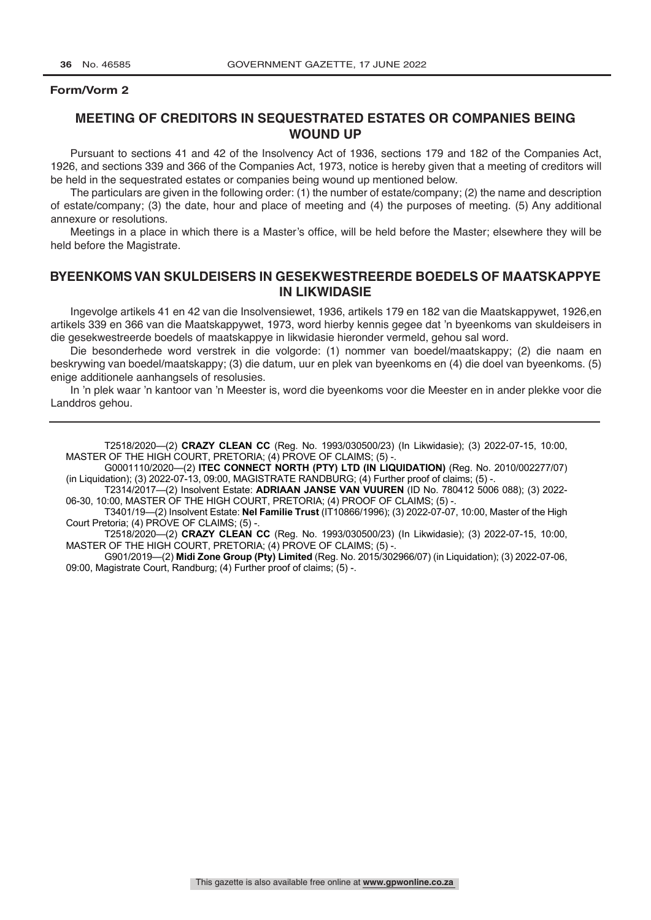## **MEETING OF CREDITORS IN SEQUESTRATED ESTATES OR COMPANIES BEING WOUND UP**

Pursuant to sections 41 and 42 of the Insolvency Act of 1936, sections 179 and 182 of the Companies Act, 1926, and sections 339 and 366 of the Companies Act, 1973, notice is hereby given that a meeting of creditors will be held in the sequestrated estates or companies being wound up mentioned below.

The particulars are given in the following order: (1) the number of estate/company; (2) the name and description of estate/company; (3) the date, hour and place of meeting and (4) the purposes of meeting. (5) Any additional annexure or resolutions.

Meetings in a place in which there is a Master's office, will be held before the Master; elsewhere they will be held before the Magistrate.

## **BYEENKOMS VAN SKULDEISERS IN GESEKWESTREERDE BOEDELS OF MAATSKAPPYE IN LIKWIDASIE**

Ingevolge artikels 41 en 42 van die Insolvensiewet, 1936, artikels 179 en 182 van die Maatskappywet, 1926,en artikels 339 en 366 van die Maatskappywet, 1973, word hierby kennis gegee dat 'n byeenkoms van skuldeisers in die gesekwestreerde boedels of maatskappye in likwidasie hieronder vermeld, gehou sal word.

Die besonderhede word verstrek in die volgorde: (1) nommer van boedel/maatskappy; (2) die naam en beskrywing van boedel/maatskappy; (3) die datum, uur en plek van byeenkoms en (4) die doel van byeenkoms. (5) enige additionele aanhangsels of resolusies.

In 'n plek waar 'n kantoor van 'n Meester is, word die byeenkoms voor die Meester en in ander plekke voor die Landdros gehou.

T2518/2020—(2) **CRAZY CLEAN CC** (Reg. No. 1993/030500/23) (In Likwidasie); (3) 2022-07-15, 10:00, MASTER OF THE HIGH COURT, PRETORIA; (4) PROVE OF CLAIMS; (5) -

G0001110/2020—(2) **ITEC CONNECT NORTH (PTY) LTD (IN LIQUIDATION)** (Reg. No. 2010/002277/07) (in Liquidation); (3) 2022-07-13, 09:00, MAGISTRATE RANDBURG; (4) Further proof of claims; (5) -.

T2314/2017—(2) Insolvent Estate: **ADRIAAN JANSE VAN VUUREN** (ID No. 780412 5006 088); (3) 2022- 06-30, 10:00, MASTER OF THE HIGH COURT, PRETORIA; (4) PROOF OF CLAIMS; (5) -

T3401/19—(2) Insolvent Estate: **Nel Familie Trust** (IT10866/1996); (3) 2022-07-07, 10:00, Master of the High Court Pretoria; (4) PROVE OF CLAIMS; (5) -

T2518/2020—(2) **CRAZY CLEAN CC** (Reg. No. 1993/030500/23) (In Likwidasie); (3) 2022-07-15, 10:00, MASTER OF THE HIGH COURT, PRETORIA; (4) PROVE OF CLAIMS; (5) -.

G901/2019—(2) **Midi Zone Group (Pty) Limited** (Reg. No. 2015/302966/07) (in Liquidation); (3) 2022-07-06, 09:00, Magistrate Court, Randburg; (4) Further proof of claims; (5) -.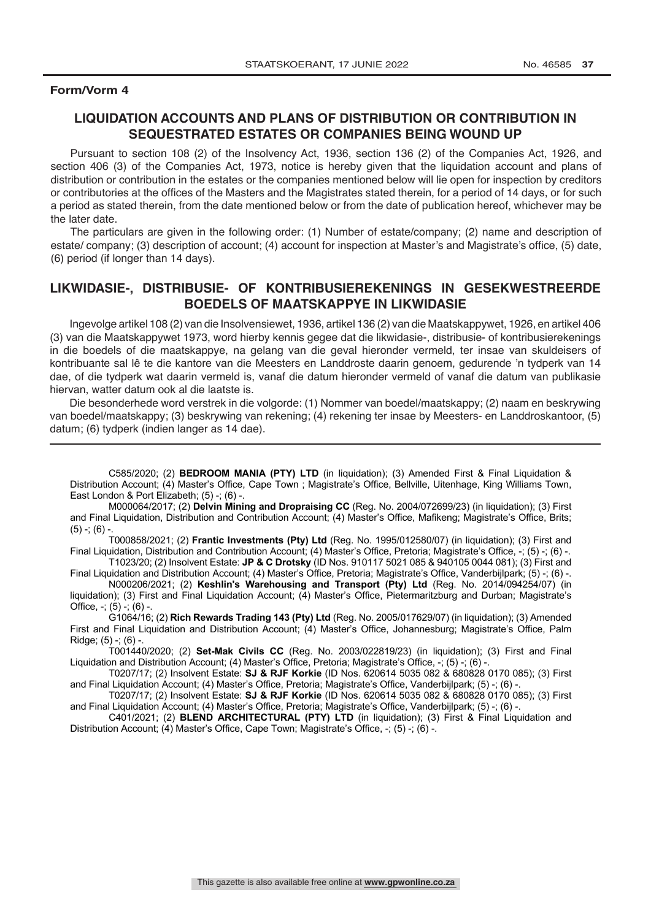## **LIQUIDATION ACCOUNTS AND PLANS OF DISTRIBUTION OR CONTRIBUTION IN SEQUESTRATED ESTATES OR COMPANIES BEING WOUND UP**

Pursuant to section 108 (2) of the Insolvency Act, 1936, section 136 (2) of the Companies Act, 1926, and section 406 (3) of the Companies Act, 1973, notice is hereby given that the liquidation account and plans of distribution or contribution in the estates or the companies mentioned below will lie open for inspection by creditors or contributories at the offices of the Masters and the Magistrates stated therein, for a period of 14 days, or for such a period as stated therein, from the date mentioned below or from the date of publication hereof, whichever may be the later date.

The particulars are given in the following order: (1) Number of estate/company; (2) name and description of estate/ company; (3) description of account; (4) account for inspection at Master's and Magistrate's office, (5) date, (6) period (if longer than 14 days).

## **LIKWIDASIE-, DISTRIBUSIE- OF KONTRIBUSIEREKENINGS IN GESEKWESTREERDE BOEDELS OF MAATSKAPPYE IN LIKWIDASIE**

Ingevolge artikel 108 (2) van die Insolvensiewet, 1936, artikel 136 (2) van die Maatskappywet, 1926, en artikel 406 (3) van die Maatskappywet 1973, word hierby kennis gegee dat die likwidasie-, distribusie- of kontribusierekenings in die boedels of die maatskappye, na gelang van die geval hieronder vermeld, ter insae van skuldeisers of kontribuante sal lê te die kantore van die Meesters en Landdroste daarin genoem, gedurende 'n tydperk van 14 dae, of die tydperk wat daarin vermeld is, vanaf die datum hieronder vermeld of vanaf die datum van publikasie hiervan, watter datum ook al die laatste is.

Die besonderhede word verstrek in die volgorde: (1) Nommer van boedel/maatskappy; (2) naam en beskrywing van boedel/maatskappy; (3) beskrywing van rekening; (4) rekening ter insae by Meesters- en Landdroskantoor, (5) datum; (6) tydperk (indien langer as 14 dae).

C585/2020; (2) **BEDROOM MANIA (PTY) LTD** (in liquidation); (3) Amended First & Final Liquidation & Distribution Account; (4) Master's Office, Cape Town ; Magistrate's Office, Bellville, Uitenhage, King Williams Town, East London & Port Elizabeth; (5) -; (6) -.

M000064/2017; (2) **Delvin Mining and Dropraising CC** (Reg. No. 2004/072699/23) (in liquidation); (3) First and Final Liquidation, Distribution and Contribution Account; (4) Master's Office, Mafikeng; Magistrate's Office, Brits;  $(5)$  -;  $(6)$  -.

T000858/2021; (2) **Frantic Investments (Pty) Ltd** (Reg. No. 1995/012580/07) (in liquidation); (3) First and Final Liquidation, Distribution and Contribution Account; (4) Master's Office, Pretoria; Magistrate's Office, -; (5) -; (6) -.

T1023/20; (2) Insolvent Estate: **JP & C Drotsky** (ID Nos. 910117 5021 085 & 940105 0044 081); (3) First and Final Liquidation and Distribution Account; (4) Master's Office, Pretoria; Magistrate's Office, Vanderbijlpark; (5) -; (6) -. N000206/2021; (2) **Keshlin's Warehousing and Transport (Pty) Ltd** (Reg. No. 2014/094254/07) (in

liquidation); (3) First and Final Liquidation Account; (4) Master's Office, Pietermaritzburg and Durban; Magistrate's Office,  $-(5) - (6) -$ 

G1064/16; (2) **Rich Rewards Trading 143 (Pty) Ltd** (Reg. No. 2005/017629/07) (in liquidation); (3) Amended First and Final Liquidation and Distribution Account; (4) Master's Office, Johannesburg; Magistrate's Office, Palm Ridge;  $(5)$  -;  $(6)$  -.

T001440/2020; (2) **Set-Mak Civils CC** (Reg. No. 2003/022819/23) (in liquidation); (3) First and Final Liquidation and Distribution Account; (4) Master's Office, Pretoria; Magistrate's Office, -; (5) -; (6) -

T0207/17; (2) Insolvent Estate: **SJ & RJF Korkie** (ID Nos. 620614 5035 082 & 680828 0170 085); (3) First and Final Liquidation Account; (4) Master's Office, Pretoria; Magistrate's Office, Vanderbijlpark; (5) -; (6) -

T0207/17; (2) Insolvent Estate: **SJ & RJF Korkie** (ID Nos. 620614 5035 082 & 680828 0170 085); (3) First and Final Liquidation Account; (4) Master's Office, Pretoria; Magistrate's Office, Vanderbijlpark; (5) -; (6) -.

C401/2021; (2) **BLEND ARCHITECTURAL (PTY) LTD** (in liquidation); (3) First & Final Liquidation and Distribution Account; (4) Master's Office, Cape Town; Magistrate's Office, -; (5) -; (6) -.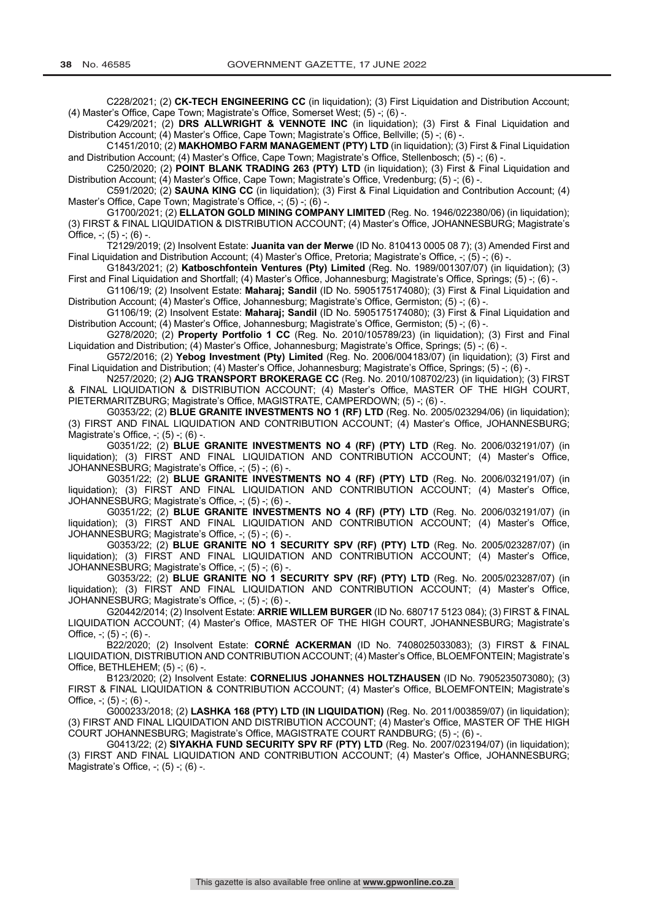C228/2021; (2) **CK-TECH ENGINEERING CC** (in liquidation); (3) First Liquidation and Distribution Account; (4) Master's Office, Cape Town; Magistrate's Office, Somerset West; (5) -; (6) -.

C429/2021; (2) **DRS ALLWRIGHT & VENNOTE INC** (in liquidation); (3) First & Final Liquidation and Distribution Account; (4) Master's Office, Cape Town; Magistrate's Office, Bellville; (5) -; (6) -

C1451/2010; (2) **MAKHOMBO FARM MANAGEMENT (PTY) LTD** (in liquidation); (3) First & Final Liquidation and Distribution Account; (4) Master's Office, Cape Town; Magistrate's Office, Stellenbosch; (5) -; (6) -

C250/2020; (2) **POINT BLANK TRADING 263 (PTY) LTD** (in liquidation); (3) First & Final Liquidation and Distribution Account; (4) Master's Office, Cape Town; Magistrate's Office, Vredenburg; (5) -; (6) -.

C591/2020; (2) **SAUNA KING CC** (in liquidation); (3) First & Final Liquidation and Contribution Account; (4) Master's Office, Cape Town; Magistrate's Office, -; (5) -; (6) -

G1700/2021; (2) **ELLATON GOLD MINING COMPANY LIMITED** (Reg. No. 1946/022380/06) (in liquidation); (3) FIRST & FINAL LIQUIDATION & DISTRIBUTION ACCOUNT; (4) Master's Office, JOHANNESBURG; Magistrate's Office,  $-$ ;  $(5) -$ ;  $(6) -$ .

T2129/2019; (2) Insolvent Estate: **Juanita van der Merwe** (ID No. 810413 0005 08 7); (3) Amended First and Final Liquidation and Distribution Account; (4) Master's Office, Pretoria; Magistrate's Office, -; (5) -; (6) -.

G1843/2021; (2) **Katboschfontein Ventures (Pty) Limited** (Reg. No. 1989/001307/07) (in liquidation); (3) First and Final Liquidation and Shortfall; (4) Master's Office, Johannesburg; Magistrate's Office, Springs; (5) -; (6) -.

G1106/19; (2) Insolvent Estate: **Maharaj; Sandil** (ID No. 5905175174080); (3) First & Final Liquidation and Distribution Account; (4) Master's Office, Johannesburg; Magistrate's Office, Germiston; (5) -; (6) -.

G1106/19; (2) Insolvent Estate: **Maharaj; Sandil** (ID No. 5905175174080); (3) First & Final Liquidation and Distribution Account; (4) Master's Office, Johannesburg; Magistrate's Office, Germiston; (5) -; (6) -

G278/2020; (2) **Property Portfolio 1 CC** (Reg. No. 2010/105789/23) (in liquidation); (3) First and Final Liquidation and Distribution; (4) Master's Office, Johannesburg; Magistrate's Office, Springs; (5) -; (6) -.

G572/2016; (2) **Yebog Investment (Pty) Limited** (Reg. No. 2006/004183/07) (in liquidation); (3) First and Final Liquidation and Distribution; (4) Master's Office, Johannesburg; Magistrate's Office, Springs; (5) -; (6)

N257/2020; (2) **AJG TRANSPORT BROKERAGE CC** (Reg. No. 2010/108702/23) (in liquidation); (3) FIRST & FINAL LIQUIDATION & DISTRIBUTION ACCOUNT; (4) Master's Office, MASTER OF THE HIGH COURT, PIETERMARITZBURG; Magistrate's Office, MAGISTRATE, CAMPERDOWN; (5) -; (6) -

G0353/22; (2) **BLUE GRANITE INVESTMENTS NO 1 (RF) LTD** (Reg. No. 2005/023294/06) (in liquidation); (3) FIRST AND FINAL LIQUIDATION AND CONTRIBUTION ACCOUNT; (4) Master's Office, JOHANNESBURG; Magistrate's Office,  $-$ ;  $(5)$   $-$ ;  $(6)$   $-$ 

G0351/22; (2) **BLUE GRANITE INVESTMENTS NO 4 (RF) (PTY) LTD** (Reg. No. 2006/032191/07) (in liquidation); (3) FIRST AND FINAL LIQUIDATION AND CONTRIBUTION ACCOUNT; (4) Master's Office, JOHANNESBURG; Magistrate's Office, -; (5) -; (6) -.

G0351/22; (2) **BLUE GRANITE INVESTMENTS NO 4 (RF) (PTY) LTD** (Reg. No. 2006/032191/07) (in liquidation); (3) FIRST AND FINAL LIQUIDATION AND CONTRIBUTION ACCOUNT; (4) Master's Office, JOHANNESBURG; Magistrate's Office, -; (5) -; (6) -

G0351/22; (2) **BLUE GRANITE INVESTMENTS NO 4 (RF) (PTY) LTD** (Reg. No. 2006/032191/07) (in liquidation); (3) FIRST AND FINAL LIQUIDATION AND CONTRIBUTION ACCOUNT; (4) Master's Office, JOHANNESBURG; Magistrate's Office, -; (5) -; (6) -.

G0353/22; (2) **BLUE GRANITE NO 1 SECURITY SPV (RF) (PTY) LTD** (Reg. No. 2005/023287/07) (in liquidation); (3) FIRST AND FINAL LIQUIDATION AND CONTRIBUTION ACCOUNT; (4) Master's Office, JOHANNESBURG; Magistrate's Office, -; (5) -; (6) -.

G0353/22; (2) **BLUE GRANITE NO 1 SECURITY SPV (RF) (PTY) LTD** (Reg. No. 2005/023287/07) (in liquidation); (3) FIRST AND FINAL LIQUIDATION AND CONTRIBUTION ACCOUNT; (4) Master's Office, JOHANNESBURG; Magistrate's Office, -; (5) -; (6) -

G20442/2014; (2) Insolvent Estate: **ARRIE WILLEM BURGER** (ID No. 680717 5123 084); (3) FIRST & FINAL LIQUIDATION ACCOUNT; (4) Master's Office, MASTER OF THE HIGH COURT, JOHANNESBURG; Magistrate's Office,  $-$ ; (5)  $-$ ; (6)  $-$ .

B22/2020; (2) Insolvent Estate: **CORNÉ ACKERMAN** (ID No. 7408025033083); (3) FIRST & FINAL LIQUIDATION, DISTRIBUTION AND CONTRIBUTION ACCOUNT; (4) Master's Office, BLOEMFONTEIN; Magistrate's Office, BETHLEHEM; (5) -; (6) -

B123/2020; (2) Insolvent Estate: **CORNELIUS JOHANNES HOLTZHAUSEN** (ID No. 7905235073080); (3) FIRST & FINAL LIQUIDATION & CONTRIBUTION ACCOUNT; (4) Master's Office, BLOEMFONTEIN; Magistrate's Office,  $-$ ; (5)  $-$ ; (6)  $-$ 

G000233/2018; (2) **LASHKA 168 (PTY) LTD (IN LIQUIDATION)** (Reg. No. 2011/003859/07) (in liquidation); (3) FIRST AND FINAL LIQUIDATION AND DISTRIBUTION ACCOUNT; (4) Master's Office, MASTER OF THE HIGH COURT JOHANNESBURG; Magistrate's Office, MAGISTRATE COURT RANDBURG; (5) -; (6) -.

G0413/22; (2) **SIYAKHA FUND SECURITY SPV RF (PTY) LTD** (Reg. No. 2007/023194/07) (in liquidation); (3) FIRST AND FINAL LIQUIDATION AND CONTRIBUTION ACCOUNT; (4) Master's Office, JOHANNESBURG; Magistrate's Office, -; (5) -; (6) -.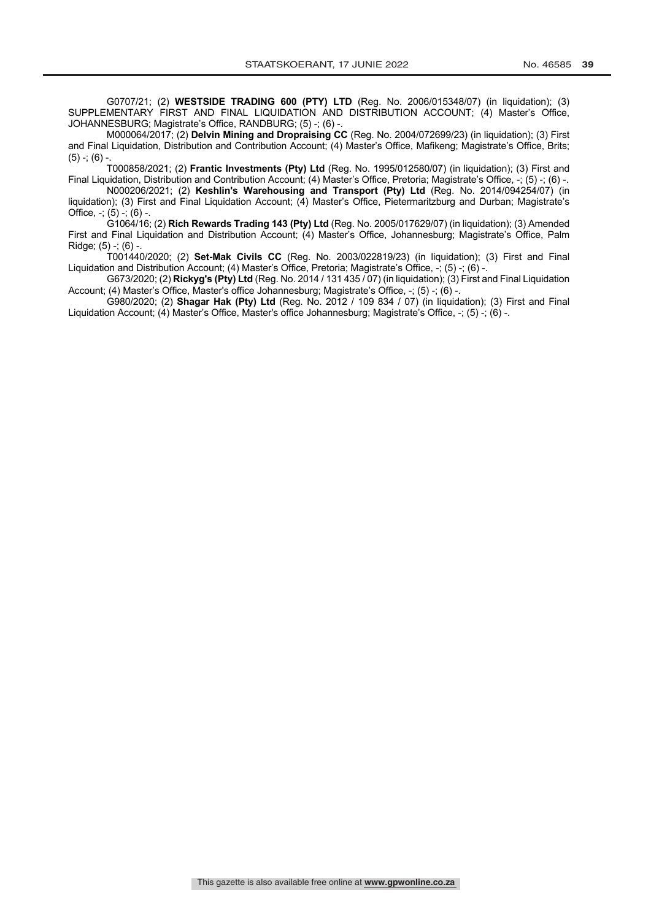G0707/21; (2) **WESTSIDE TRADING 600 (PTY) LTD** (Reg. No. 2006/015348/07) (in liquidation); (3) SUPPLEMENTARY FIRST AND FINAL LIQUIDATION AND DISTRIBUTION ACCOUNT; (4) Master's Office, JOHANNESBURG; Magistrate's Office, RANDBURG; (5) -; (6) -

M000064/2017; (2) **Delvin Mining and Dropraising CC** (Reg. No. 2004/072699/23) (in liquidation); (3) First and Final Liquidation, Distribution and Contribution Account; (4) Master's Office, Mafikeng; Magistrate's Office, Brits;  $(5)$  -;  $(6)$  -.

T000858/2021; (2) **Frantic Investments (Pty) Ltd** (Reg. No. 1995/012580/07) (in liquidation); (3) First and Final Liquidation, Distribution and Contribution Account; (4) Master's Office, Pretoria; Magistrate's Office, -; (5) -; (6) -.

N000206/2021; (2) **Keshlin's Warehousing and Transport (Pty) Ltd** (Reg. No. 2014/094254/07) (in liquidation); (3) First and Final Liquidation Account; (4) Master's Office, Pietermaritzburg and Durban; Magistrate's Office,  $-$ ;  $(5) -$ ;  $(6) -$ 

G1064/16; (2) **Rich Rewards Trading 143 (Pty) Ltd** (Reg. No. 2005/017629/07) (in liquidation); (3) Amended First and Final Liquidation and Distribution Account; (4) Master's Office, Johannesburg; Magistrate's Office, Palm Ridge; (5) -; (6) -.

T001440/2020; (2) **Set-Mak Civils CC** (Reg. No. 2003/022819/23) (in liquidation); (3) First and Final Liquidation and Distribution Account; (4) Master's Office, Pretoria; Magistrate's Office, -; (5) -; (6) -.

G673/2020; (2) **Rickyg's (Pty) Ltd** (Reg. No. 2014 / 131 435 / 07) (in liquidation); (3) First and Final Liquidation Account; (4) Master's Office, Master's office Johannesburg; Magistrate's Office, -; (5) -; (6) -.

G980/2020; (2) **Shagar Hak (Pty) Ltd** (Reg. No. 2012 / 109 834 / 07) (in liquidation); (3) First and Final Liquidation Account; (4) Master's Office, Master's office Johannesburg; Magistrate's Office, -; (5) -; (6) -.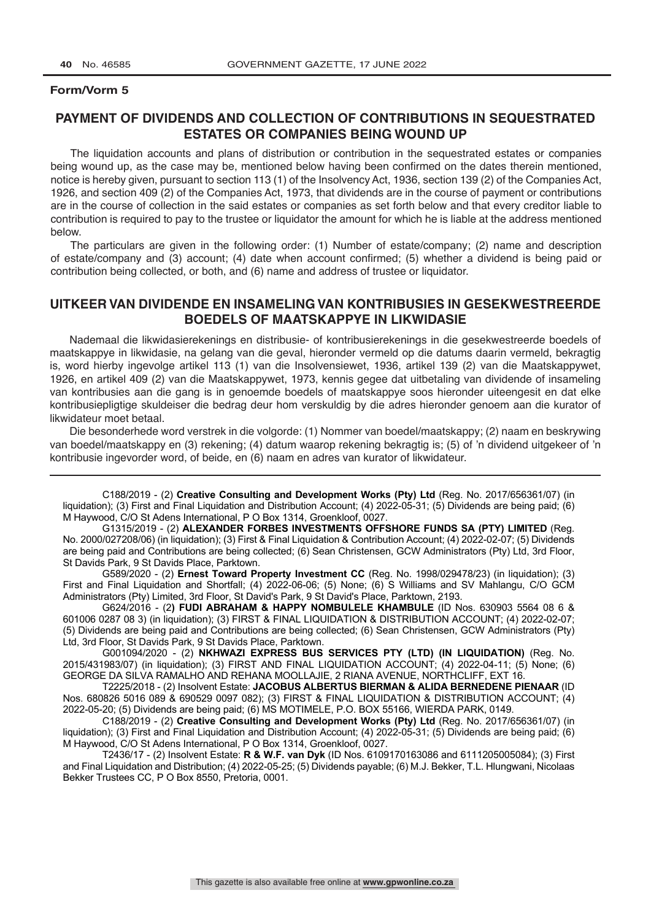## **PAYMENT OF DIVIDENDS AND COLLECTION OF CONTRIBUTIONS IN SEQUESTRATED ESTATES OR COMPANIES BEING WOUND UP**

The liquidation accounts and plans of distribution or contribution in the sequestrated estates or companies being wound up, as the case may be, mentioned below having been confirmed on the dates therein mentioned, notice is hereby given, pursuant to section 113 (1) of the Insolvency Act, 1936, section 139 (2) of the Companies Act, 1926, and section 409 (2) of the Companies Act, 1973, that dividends are in the course of payment or contributions are in the course of collection in the said estates or companies as set forth below and that every creditor liable to contribution is required to pay to the trustee or liquidator the amount for which he is liable at the address mentioned below.

The particulars are given in the following order: (1) Number of estate/company; (2) name and description of estate/company and (3) account; (4) date when account confirmed; (5) whether a dividend is being paid or contribution being collected, or both, and (6) name and address of trustee or liquidator.

## **UITKEER VAN DIVIDENDE EN INSAMELING VAN KONTRIBUSIES IN GESEKWESTREERDE BOEDELS OF MAATSKAPPYE IN LIKWIDASIE**

Nademaal die likwidasierekenings en distribusie- of kontribusierekenings in die gesekwestreerde boedels of maatskappye in likwidasie, na gelang van die geval, hieronder vermeld op die datums daarin vermeld, bekragtig is, word hierby ingevolge artikel 113 (1) van die Insolvensiewet, 1936, artikel 139 (2) van die Maatskappywet, 1926, en artikel 409 (2) van die Maatskappywet, 1973, kennis gegee dat uitbetaling van dividende of insameling van kontribusies aan die gang is in genoemde boedels of maatskappye soos hieronder uiteengesit en dat elke kontribusiepligtige skuldeiser die bedrag deur hom verskuldig by die adres hieronder genoem aan die kurator of likwidateur moet betaal.

Die besonderhede word verstrek in die volgorde: (1) Nommer van boedel/maatskappy; (2) naam en beskrywing van boedel/maatskappy en (3) rekening; (4) datum waarop rekening bekragtig is; (5) of 'n dividend uitgekeer of 'n kontribusie ingevorder word, of beide, en (6) naam en adres van kurator of likwidateur.

C188/2019 - (2) **Creative Consulting and Development Works (Pty) Ltd** (Reg. No. 2017/656361/07) (in liquidation); (3) First and Final Liquidation and Distribution Account; (4) 2022-05-31; (5) Dividends are being paid; (6) M Haywood, C/O St Adens International, P O Box 1314, Groenkloof, 0027.

G1315/2019 - (2) **ALEXANDER FORBES INVESTMENTS OFFSHORE FUNDS SA (PTY) LIMITED** (Reg. No. 2000/027208/06) (in liquidation); (3) First & Final Liquidation & Contribution Account; (4) 2022-02-07; (5) Dividends are being paid and Contributions are being collected; (6) Sean Christensen, GCW Administrators (Pty) Ltd, 3rd Floor, St Davids Park, 9 St Davids Place, Parktown.

G589/2020 - (2) **Ernest Toward Property Investment CC** (Reg. No. 1998/029478/23) (in liquidation); (3) First and Final Liquidation and Shortfall; (4) 2022-06-06; (5) None; (6) S Williams and SV Mahlangu, C/O GCM Administrators (Pty) Limited, 3rd Floor, St David's Park, 9 St David's Place, Parktown, 2193.

G624/2016 - (2**) FUDI ABRAHAM & HAPPY NOMBULELE KHAMBULE** (ID Nos. 630903 5564 08 6 & 601006 0287 08 3) (in liquidation); (3) FIRST & FINAL LIQUIDATION & DISTRIBUTION ACCOUNT; (4) 2022-02-07; (5) Dividends are being paid and Contributions are being collected; (6) Sean Christensen, GCW Administrators (Pty) Ltd, 3rd Floor, St Davids Park, 9 St Davids Place, Parktown.

G001094/2020 - (2) **NKHWAZI EXPRESS BUS SERVICES PTY (LTD) (IN LIQUIDATION)** (Reg. No. 2015/431983/07) (in liquidation); (3) FIRST AND FINAL LIQUIDATION ACCOUNT; (4) 2022-04-11; (5) None; (6) GEORGE DA SILVA RAMALHO AND REHANA MOOLLAJIE, 2 RIANA AVENUE, NORTHCLIFF, EXT 16.

T2225/2018 - (2) Insolvent Estate: **JACOBUS ALBERTUS BIERMAN & ALIDA BERNEDENE PIENAAR** (ID Nos. 680826 5016 089 & 690529 0097 082); (3) FIRST & FINAL LIQUIDATION & DISTRIBUTION ACCOUNT; (4) 2022-05-20; (5) Dividends are being paid; (6) MS MOTIMELE, P.O. BOX 55166, WIERDA PARK, 0149.

C188/2019 - (2) **Creative Consulting and Development Works (Pty) Ltd** (Reg. No. 2017/656361/07) (in liquidation); (3) First and Final Liquidation and Distribution Account; (4) 2022-05-31; (5) Dividends are being paid; (6) M Haywood, C/O St Adens International, P O Box 1314, Groenkloof, 0027.

T2436/17 - (2) Insolvent Estate: **R & W.F. van Dyk** (ID Nos. 6109170163086 and 6111205005084); (3) First and Final Liquidation and Distribution; (4) 2022-05-25; (5) Dividends payable; (6) M.J. Bekker, T.L. Hlungwani, Nicolaas Bekker Trustees CC, P O Box 8550, Pretoria, 0001.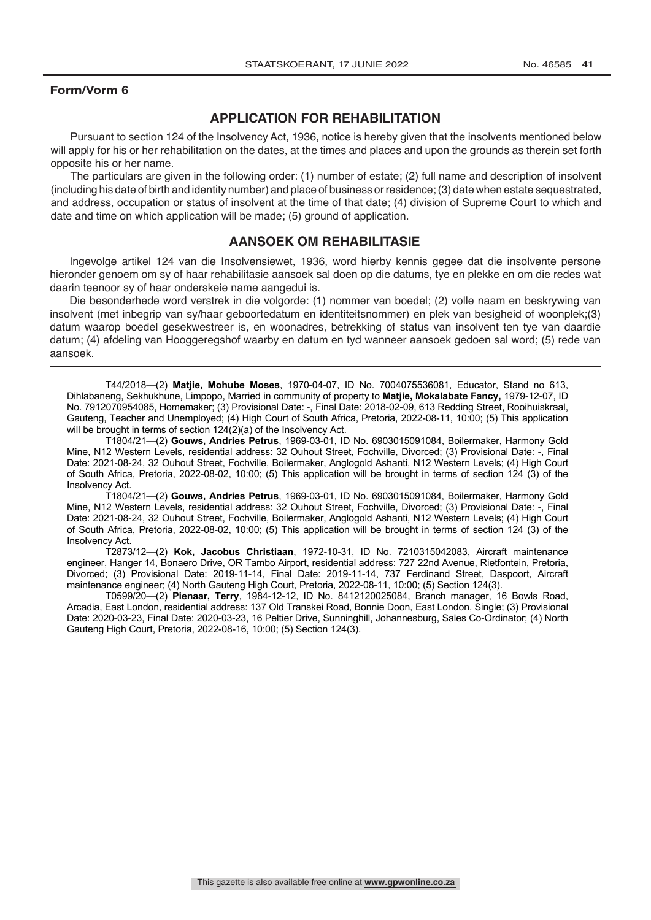## **APPLICATION FOR REHABILITATION**

Pursuant to section 124 of the Insolvency Act, 1936, notice is hereby given that the insolvents mentioned below will apply for his or her rehabilitation on the dates, at the times and places and upon the grounds as therein set forth opposite his or her name.

The particulars are given in the following order: (1) number of estate; (2) full name and description of insolvent (including his date of birth and identity number) and place of business or residence; (3) date when estate sequestrated, and address, occupation or status of insolvent at the time of that date; (4) division of Supreme Court to which and date and time on which application will be made; (5) ground of application.

## **AANSOEK OM REHABILITASIE**

Ingevolge artikel 124 van die Insolvensiewet, 1936, word hierby kennis gegee dat die insolvente persone hieronder genoem om sy of haar rehabilitasie aansoek sal doen op die datums, tye en plekke en om die redes wat daarin teenoor sy of haar onderskeie name aangedui is.

Die besonderhede word verstrek in die volgorde: (1) nommer van boedel; (2) volle naam en beskrywing van insolvent (met inbegrip van sy/haar geboortedatum en identiteitsnommer) en plek van besigheid of woonplek;(3) datum waarop boedel gesekwestreer is, en woonadres, betrekking of status van insolvent ten tye van daardie datum; (4) afdeling van Hooggeregshof waarby en datum en tyd wanneer aansoek gedoen sal word; (5) rede van aansoek.

T44/2018—(2) **Matjie, Mohube Moses**, 1970-04-07, ID No. 7004075536081, Educator, Stand no 613, Dihlabaneng, Sekhukhune, Limpopo, Married in community of property to **Matjie, Mokalabate Fancy,** 1979-12-07, ID No. 7912070954085, Homemaker; (3) Provisional Date: -, Final Date: 2018-02-09, 613 Redding Street, Rooihuiskraal, Gauteng, Teacher and Unemployed; (4) High Court of South Africa, Pretoria, 2022-08-11, 10:00; (5) This application will be brought in terms of section 124(2)(a) of the Insolvency Act.

T1804/21—(2) **Gouws, Andries Petrus**, 1969-03-01, ID No. 6903015091084, Boilermaker, Harmony Gold Mine, N12 Western Levels, residential address: 32 Ouhout Street, Fochville, Divorced; (3) Provisional Date: -, Final Date: 2021-08-24, 32 Ouhout Street, Fochville, Boilermaker, Anglogold Ashanti, N12 Western Levels; (4) High Court of South Africa, Pretoria, 2022-08-02, 10:00; (5) This application will be brought in terms of section 124 (3) of the Insolvency Act.

T1804/21—(2) **Gouws, Andries Petrus**, 1969-03-01, ID No. 6903015091084, Boilermaker, Harmony Gold Mine, N12 Western Levels, residential address: 32 Ouhout Street, Fochville, Divorced; (3) Provisional Date: -, Final Date: 2021-08-24, 32 Ouhout Street, Fochville, Boilermaker, Anglogold Ashanti, N12 Western Levels; (4) High Court of South Africa, Pretoria, 2022-08-02, 10:00; (5) This application will be brought in terms of section 124 (3) of the Insolvency Act.

T2873/12—(2) **Kok, Jacobus Christiaan**, 1972-10-31, ID No. 7210315042083, Aircraft maintenance engineer, Hanger 14, Bonaero Drive, OR Tambo Airport, residential address: 727 22nd Avenue, Rietfontein, Pretoria, Divorced; (3) Provisional Date: 2019-11-14, Final Date: 2019-11-14, 737 Ferdinand Street, Daspoort, Aircraft maintenance engineer; (4) North Gauteng High Court, Pretoria, 2022-08-11, 10:00; (5) Section 124(3).

T0599/20—(2) **Pienaar, Terry**, 1984-12-12, ID No. 8412120025084, Branch manager, 16 Bowls Road, Arcadia, East London, residential address: 137 Old Transkei Road, Bonnie Doon, East London, Single; (3) Provisional Date: 2020-03-23, Final Date: 2020-03-23, 16 Peltier Drive, Sunninghill, Johannesburg, Sales Co-Ordinator; (4) North Gauteng High Court, Pretoria, 2022-08-16, 10:00; (5) Section 124(3).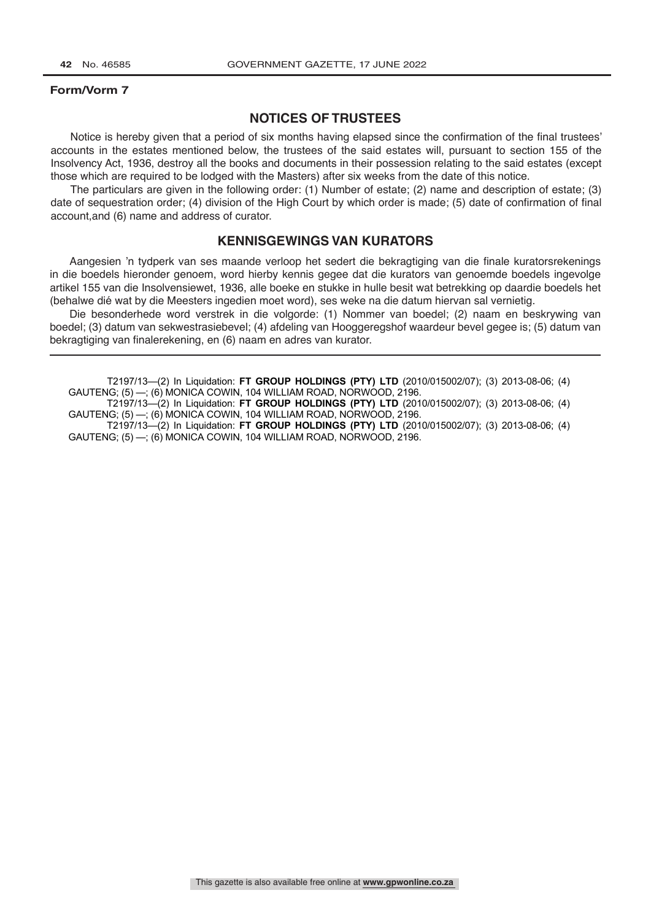## **NOTICES OF TRUSTEES**

Notice is hereby given that a period of six months having elapsed since the confirmation of the final trustees' accounts in the estates mentioned below, the trustees of the said estates will, pursuant to section 155 of the Insolvency Act, 1936, destroy all the books and documents in their possession relating to the said estates (except those which are required to be lodged with the Masters) after six weeks from the date of this notice.

The particulars are given in the following order: (1) Number of estate; (2) name and description of estate; (3) date of sequestration order; (4) division of the High Court by which order is made; (5) date of confirmation of final account,and (6) name and address of curator.

### **KENNISGEWINGS VAN KURATORS**

Aangesien 'n tydperk van ses maande verloop het sedert die bekragtiging van die finale kuratorsrekenings in die boedels hieronder genoem, word hierby kennis gegee dat die kurators van genoemde boedels ingevolge artikel 155 van die Insolvensiewet, 1936, alle boeke en stukke in hulle besit wat betrekking op daardie boedels het (behalwe dié wat by die Meesters ingedien moet word), ses weke na die datum hiervan sal vernietig.

Die besonderhede word verstrek in die volgorde: (1) Nommer van boedel; (2) naam en beskrywing van boedel; (3) datum van sekwestrasiebevel; (4) afdeling van Hooggeregshof waardeur bevel gegee is; (5) datum van bekragtiging van finalerekening, en (6) naam en adres van kurator.

T2197/13—(2) In Liquidation: **FT GROUP HOLDINGS (PTY) LTD** (2010/015002/07); (3) 2013-08-06; (4) GAUTENG; (5) —; (6) MONICA COWIN, 104 WILLIAM ROAD, NORWOOD, 2196.

T2197/13—(2) In Liquidation: **FT GROUP HOLDINGS (PTY) LTD** (2010/015002/07); (3) 2013-08-06; (4) GAUTENG; (5) —; (6) MONICA COWIN, 104 WILLIAM ROAD, NORWOOD, 2196.

T2197/13—(2) In Liquidation: **FT GROUP HOLDINGS (PTY) LTD** (2010/015002/07); (3) 2013-08-06; (4) GAUTENG; (5) —; (6) MONICA COWIN, 104 WILLIAM ROAD, NORWOOD, 2196.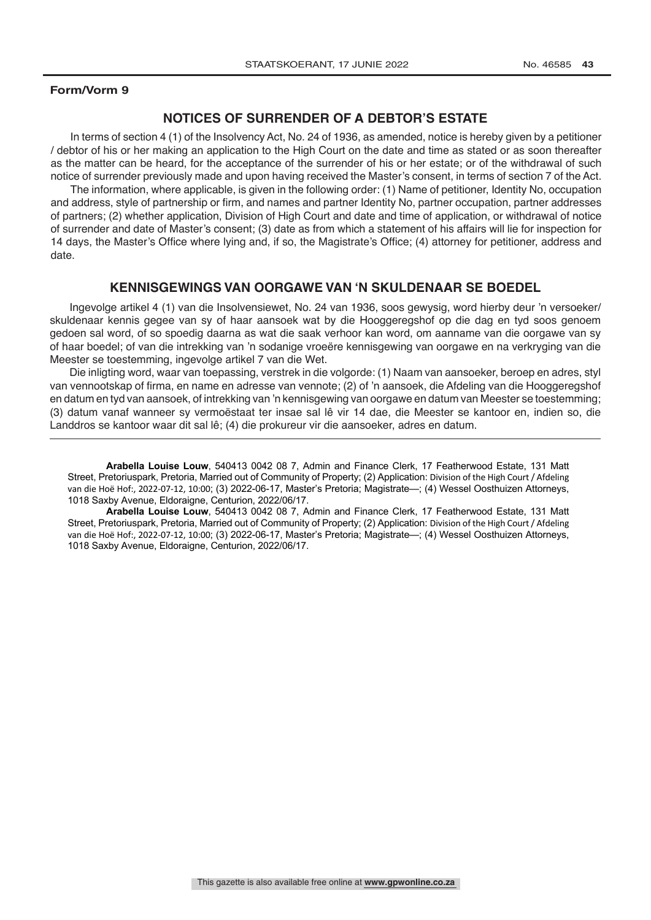## **NOTICES OF SURRENDER OF A DEBTOR'S ESTATE**

In terms of section 4 (1) of the Insolvency Act, No. 24 of 1936, as amended, notice is hereby given by a petitioner / debtor of his or her making an application to the High Court on the date and time as stated or as soon thereafter as the matter can be heard, for the acceptance of the surrender of his or her estate; or of the withdrawal of such notice of surrender previously made and upon having received the Master's consent, in terms of section 7 of the Act.

The information, where applicable, is given in the following order: (1) Name of petitioner, Identity No, occupation and address, style of partnership or firm, and names and partner Identity No, partner occupation, partner addresses of partners; (2) whether application, Division of High Court and date and time of application, or withdrawal of notice of surrender and date of Master's consent; (3) date as from which a statement of his affairs will lie for inspection for 14 days, the Master's Office where lying and, if so, the Magistrate's Office; (4) attorney for petitioner, address and date.

#### **KENNISGEWINGS VAN OORGAWE VAN 'N SKULDENAAR SE BOEDEL**

Ingevolge artikel 4 (1) van die Insolvensiewet, No. 24 van 1936, soos gewysig, word hierby deur 'n versoeker/ skuldenaar kennis gegee van sy of haar aansoek wat by die Hooggeregshof op die dag en tyd soos genoem gedoen sal word, of so spoedig daarna as wat die saak verhoor kan word, om aanname van die oorgawe van sy of haar boedel; of van die intrekking van 'n sodanige vroeëre kennisgewing van oorgawe en na verkryging van die Meester se toestemming, ingevolge artikel 7 van die Wet.

Die inligting word, waar van toepassing, verstrek in die volgorde: (1) Naam van aansoeker, beroep en adres, styl van vennootskap of firma, en name en adresse van vennote; (2) of 'n aansoek, die Afdeling van die Hooggeregshof en datum en tyd van aansoek, of intrekking van 'n kennisgewing van oorgawe en datum van Meester se toestemming; (3) datum vanaf wanneer sy vermoëstaat ter insae sal lê vir 14 dae, die Meester se kantoor en, indien so, die Landdros se kantoor waar dit sal lê; (4) die prokureur vir die aansoeker, adres en datum.

**Arabella Louise Louw**, 540413 0042 08 7, Admin and Finance Clerk, 17 Featherwood Estate, 131 Matt Street, Pretoriuspark, Pretoria, Married out of Community of Property; (2) Application: Division of the High Court / Afdeling van die Hoë Hof:, 2022-07-12, 10:00; (3) 2022-06-17, Master's Pretoria; Magistrate—; (4) Wessel Oosthuizen Attorneys, 1018 Saxby Avenue, Eldoraigne, Centurion, 2022/06/17.

**Arabella Louise Louw**, 540413 0042 08 7, Admin and Finance Clerk, 17 Featherwood Estate, 131 Matt Street, Pretoriuspark, Pretoria, Married out of Community of Property; (2) Application: Division of the High Court / Afdeling van die Hoë Hof:, 2022-07-12, 10:00; (3) 2022-06-17, Master's Pretoria; Magistrate—; (4) Wessel Oosthuizen Attorneys, 1018 Saxby Avenue, Eldoraigne, Centurion, 2022/06/17.